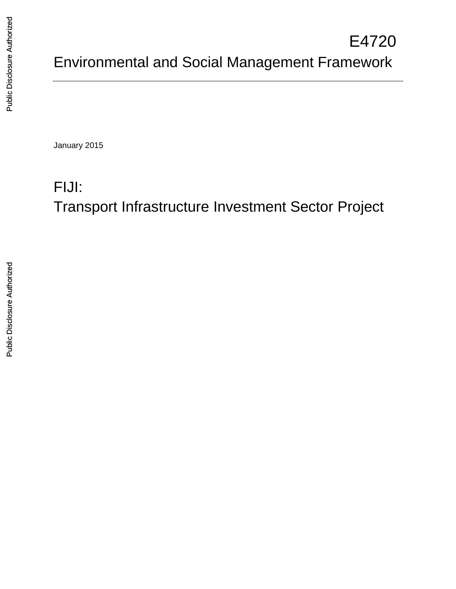January 2015

# FIJI: Transport Infrastructure Investment Sector Project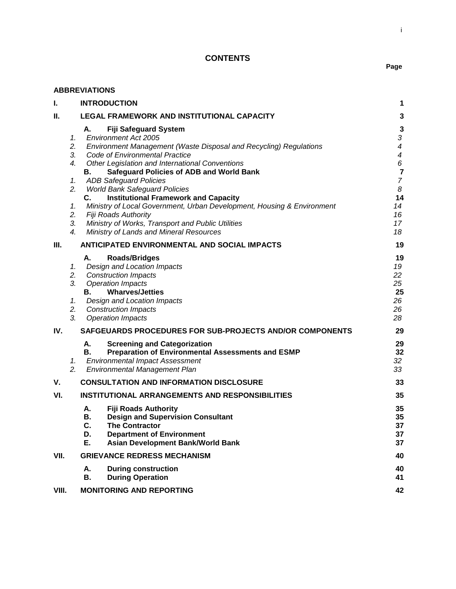### **CONTENTS**

| ۰.<br>. .<br>٩<br>٠<br>× |
|--------------------------|
|--------------------------|

|                                                          | <b>ABBREVIATIONS</b>                                                                                                                                                                                                                                                                                                                                                                                                                                                                                                                                                                                                 |                                                                                                                                                             |  |  |  |  |
|----------------------------------------------------------|----------------------------------------------------------------------------------------------------------------------------------------------------------------------------------------------------------------------------------------------------------------------------------------------------------------------------------------------------------------------------------------------------------------------------------------------------------------------------------------------------------------------------------------------------------------------------------------------------------------------|-------------------------------------------------------------------------------------------------------------------------------------------------------------|--|--|--|--|
| L.                                                       | <b>INTRODUCTION</b>                                                                                                                                                                                                                                                                                                                                                                                                                                                                                                                                                                                                  |                                                                                                                                                             |  |  |  |  |
| Ш.                                                       | <b>LEGAL FRAMEWORK AND INSTITUTIONAL CAPACITY</b>                                                                                                                                                                                                                                                                                                                                                                                                                                                                                                                                                                    | 3                                                                                                                                                           |  |  |  |  |
| 1.<br>2.<br>3.<br>4.<br>1.<br>2.<br>1.<br>2.<br>3.<br>4. | <b>Fiji Safeguard System</b><br>А.<br><b>Environment Act 2005</b><br>Environment Management (Waste Disposal and Recycling) Regulations<br>Code of Environmental Practice<br>Other Legislation and International Conventions<br><b>Safeguard Policies of ADB and World Bank</b><br>В.<br><b>ADB Safeguard Policies</b><br><b>World Bank Safeguard Policies</b><br><b>Institutional Framework and Capacity</b><br>C.<br>Ministry of Local Government, Urban Development, Housing & Environment<br>Fiji Roads Authority<br>Ministry of Works, Transport and Public Utilities<br>Ministry of Lands and Mineral Resources | 3<br>3<br>$\overline{\mathcal{A}}$<br>$\overline{\mathcal{A}}$<br>$\boldsymbol{6}$<br>$\overline{7}$<br>$\boldsymbol{7}$<br>8<br>14<br>14<br>16<br>17<br>18 |  |  |  |  |
| Ш.                                                       | <b>ANTICIPATED ENVIRONMENTAL AND SOCIAL IMPACTS</b>                                                                                                                                                                                                                                                                                                                                                                                                                                                                                                                                                                  | 19                                                                                                                                                          |  |  |  |  |
| 1.<br>2.<br>3.<br>1.<br>2.<br>3.                         | <b>Roads/Bridges</b><br>А.<br>Design and Location Impacts<br><b>Construction Impacts</b><br><b>Operation Impacts</b><br><b>Wharves/Jetties</b><br>В.<br>Design and Location Impacts<br><b>Construction Impacts</b><br><b>Operation Impacts</b>                                                                                                                                                                                                                                                                                                                                                                       | 19<br>19<br>22<br>25<br>25<br>26<br>26<br>28                                                                                                                |  |  |  |  |
| IV.                                                      | SAFGEUARDS PROCEDURES FOR SUB-PROJECTS AND/OR COMPONENTS                                                                                                                                                                                                                                                                                                                                                                                                                                                                                                                                                             | 29                                                                                                                                                          |  |  |  |  |
| 1.<br>2.                                                 | А.<br><b>Screening and Categorization</b><br>В.<br><b>Preparation of Environmental Assessments and ESMP</b><br><b>Environmental Impact Assessment</b><br>Environmental Management Plan                                                                                                                                                                                                                                                                                                                                                                                                                               | 29<br>32<br>32<br>33                                                                                                                                        |  |  |  |  |
| V.                                                       | <b>CONSULTATION AND INFORMATION DISCLOSURE</b>                                                                                                                                                                                                                                                                                                                                                                                                                                                                                                                                                                       | 33                                                                                                                                                          |  |  |  |  |
| VI.                                                      | <b>INSTITUTIONAL ARRANGEMENTS AND RESPONSIBILITIES</b>                                                                                                                                                                                                                                                                                                                                                                                                                                                                                                                                                               | 35                                                                                                                                                          |  |  |  |  |
|                                                          | <b>Fiji Roads Authority</b><br>Α.<br><b>Design and Supervision Consultant</b><br>В.<br>C.<br><b>The Contractor</b><br>D.<br><b>Department of Environment</b><br>Ε.<br>Asian Development Bank/World Bank                                                                                                                                                                                                                                                                                                                                                                                                              | 35<br>35<br>37<br>37<br>37                                                                                                                                  |  |  |  |  |
| VII.                                                     | <b>GRIEVANCE REDRESS MECHANISM</b>                                                                                                                                                                                                                                                                                                                                                                                                                                                                                                                                                                                   | 40                                                                                                                                                          |  |  |  |  |
|                                                          | А.<br><b>During construction</b><br>В.<br><b>During Operation</b>                                                                                                                                                                                                                                                                                                                                                                                                                                                                                                                                                    | 40<br>41                                                                                                                                                    |  |  |  |  |
| VIII.                                                    | <b>MONITORING AND REPORTING</b>                                                                                                                                                                                                                                                                                                                                                                                                                                                                                                                                                                                      | 42                                                                                                                                                          |  |  |  |  |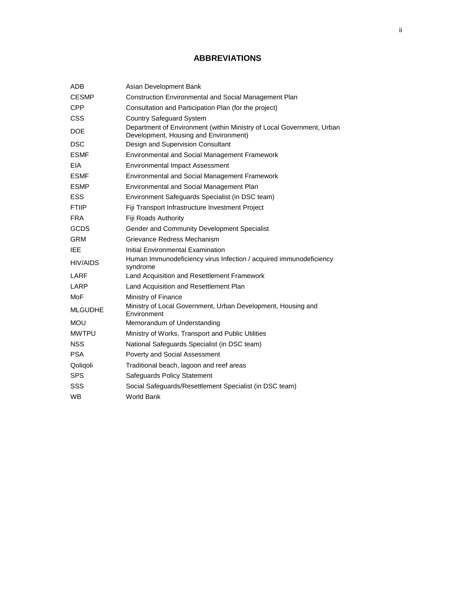# **ABBREVIATIONS**

| ADB            | Asian Development Bank                                                                                         |
|----------------|----------------------------------------------------------------------------------------------------------------|
| <b>CESMP</b>   | Construction Environmental and Social Management Plan                                                          |
| <b>CPP</b>     | Consultation and Participation Plan (for the project)                                                          |
| <b>CSS</b>     | <b>Country Safeguard System</b>                                                                                |
| <b>DOE</b>     | Department of Environment (within Ministry of Local Government, Urban<br>Development, Housing and Environment) |
| <b>DSC</b>     | Design and Supervision Consultant                                                                              |
| <b>ESMF</b>    | Environmental and Social Management Framework                                                                  |
| EIA            | <b>Environmental Impact Assessment</b>                                                                         |
| <b>ESMF</b>    | <b>Environmental and Social Management Framework</b>                                                           |
| <b>ESMP</b>    | Environmental and Social Management Plan                                                                       |
| <b>ESS</b>     | Environment Safeguards Specialist (in DSC team)                                                                |
| <b>FTIIP</b>   | Fiji Transport Infrastructure Investment Project                                                               |
| <b>FRA</b>     | Fiji Roads Authority                                                                                           |
| GCDS           | Gender and Community Development Specialist                                                                    |
| GRM            | Grievance Redress Mechanism                                                                                    |
| IEE            | Initial Environmental Examination                                                                              |
| HIV/AIDS       | Human Immunodeficiency virus Infection / acquired immunodeficiency<br>syndrome                                 |
| LARF           | Land Acquisition and Resettlement Framework                                                                    |
| LARP           | Land Acquisition and Resettlement Plan                                                                         |
| MoF            | Ministry of Finance                                                                                            |
| <b>MLGUDHE</b> | Ministry of Local Government, Urban Development, Housing and<br>Environment                                    |
| <b>MOU</b>     | Memorandum of Understanding                                                                                    |
| <b>MWTPU</b>   | Ministry of Works, Transport and Public Utilities                                                              |
| <b>NSS</b>     | National Safeguards Specialist (in DSC team)                                                                   |
| <b>PSA</b>     | Poverty and Social Assessment                                                                                  |
| Qoliqoli       | Traditional beach, lagoon and reef areas                                                                       |
| <b>SPS</b>     | Safeguards Policy Statement                                                                                    |
| SSS            | Social Safeguards/Resettlement Specialist (in DSC team)                                                        |
| <b>WB</b>      | <b>World Bank</b>                                                                                              |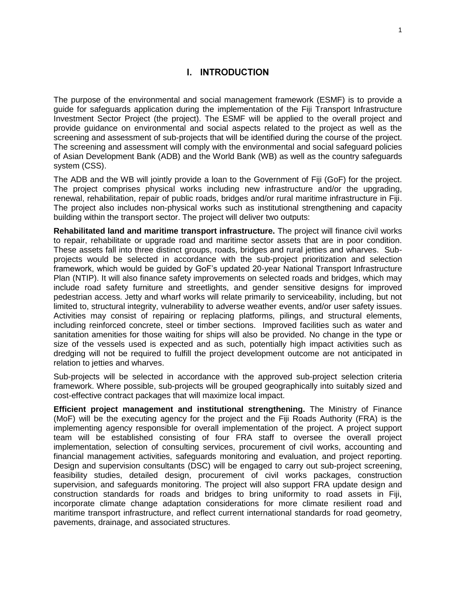#### **I. INTRODUCTION**

<span id="page-4-0"></span>The purpose of the environmental and social management framework (ESMF) is to provide a guide for safeguards application during the implementation of the Fiji Transport Infrastructure Investment Sector Project (the project). The ESMF will be applied to the overall project and provide guidance on environmental and social aspects related to the project as well as the screening and assessment of sub-projects that will be identified during the course of the project. The screening and assessment will comply with the environmental and social safeguard policies of Asian Development Bank (ADB) and the World Bank (WB) as well as the country safeguards system (CSS).

The ADB and the WB will jointly provide a loan to the Government of Fiji (GoF) for the project. The project comprises physical works including new infrastructure and/or the upgrading, renewal, rehabilitation, repair of public roads, bridges and/or rural maritime infrastructure in Fiji. The project also includes non-physical works such as institutional strengthening and capacity building within the transport sector. The project will deliver two outputs:

**Rehabilitated land and maritime transport infrastructure.** The project will finance civil works to repair, rehabilitate or upgrade road and maritime sector assets that are in poor condition. These assets fall into three distinct groups, roads, bridges and rural jetties and wharves. Subprojects would be selected in accordance with the sub-project prioritization and selection framework, which would be guided by GoF's updated 20-year National Transport Infrastructure Plan (NTIP). It will also finance safety improvements on selected roads and bridges, which may include road safety furniture and streetlights, and gender sensitive designs for improved pedestrian access. Jetty and wharf works will relate primarily to serviceability, including, but not limited to, structural integrity, vulnerability to adverse weather events, and/or user safety issues. Activities may consist of repairing or replacing platforms, pilings, and structural elements, including reinforced concrete, steel or timber sections. Improved facilities such as water and sanitation amenities for those waiting for ships will also be provided. No change in the type or size of the vessels used is expected and as such, potentially high impact activities such as dredging will not be required to fulfill the project development outcome are not anticipated in relation to jetties and wharves.

Sub-projects will be selected in accordance with the approved sub-project selection criteria framework. Where possible, sub-projects will be grouped geographically into suitably sized and cost-effective contract packages that will maximize local impact.

**Efficient project management and institutional strengthening.** The Ministry of Finance (MoF) will be the executing agency for the project and the Fiji Roads Authority (FRA) is the implementing agency responsible for overall implementation of the project. A project support team will be established consisting of four FRA staff to oversee the overall project implementation, selection of consulting services, procurement of civil works, accounting and financial management activities, safeguards monitoring and evaluation, and project reporting. Design and supervision consultants (DSC) will be engaged to carry out sub-project screening, feasibility studies, detailed design, procurement of civil works packages, construction supervision, and safeguards monitoring. The project will also support FRA update design and construction standards for roads and bridges to bring uniformity to road assets in Fiji, incorporate climate change adaptation considerations for more climate resilient road and maritime transport infrastructure, and reflect current international standards for road geometry, pavements, drainage, and associated structures.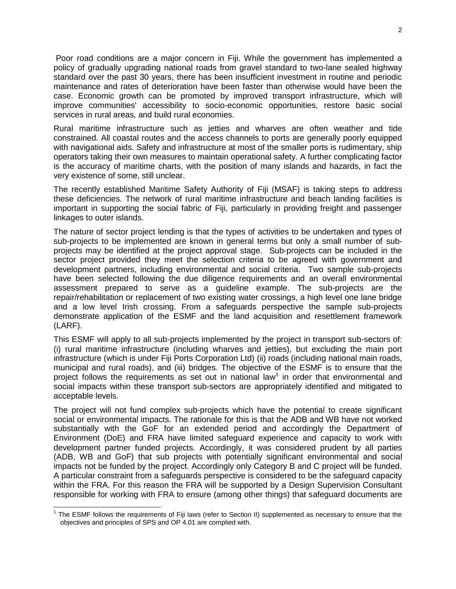Poor road conditions are a major concern in Fiji. While the government has implemented a policy of gradually upgrading national roads from gravel standard to two-lane sealed highway standard over the past 30 years, there has been insufficient investment in routine and periodic maintenance and rates of deterioration have been faster than otherwise would have been the case. Economic growth can be promoted by improved transport infrastructure, which will improve communities' accessibility to socio-economic opportunities, restore basic social services in rural areas, and build rural economies.

Rural maritime infrastructure such as jetties and wharves are often weather and tide constrained. All coastal routes and the access channels to ports are generally poorly equipped with navigational aids. Safety and infrastructure at most of the smaller ports is rudimentary, ship operators taking their own measures to maintain operational safety. A further complicating factor is the accuracy of maritime charts, with the position of many islands and hazards, in fact the very existence of some, still unclear.

The recently established Maritime Safety Authority of Fiji (MSAF) is taking steps to address these deficiencies. The network of rural maritime infrastructure and beach landing facilities is important in supporting the social fabric of Fiji, particularly in providing freight and passenger linkages to outer islands.

The nature of sector project lending is that the types of activities to be undertaken and types of sub-projects to be implemented are known in general terms but only a small number of subprojects may be identified at the project approval stage. Sub-projects can be included in the sector project provided they meet the selection criteria to be agreed with government and development partners, including environmental and social criteria. Two sample sub-projects have been selected following the due diligence requirements and an overall environmental assessment prepared to serve as a guideline example. The sub-projects are the repair/rehabilitation or replacement of two existing water crossings, a high level one lane bridge and a low level Irish crossing. From a safeguards perspective the sample sub-projects demonstrate application of the ESMF and the land acquisition and resettlement framework (LARF).

This ESMF will apply to all sub-projects implemented by the project in transport sub-sectors of: (i) rural maritime infrastructure (including wharves and jetties), but excluding the main port infrastructure (which is under Fiji Ports Corporation Ltd) (ii) roads (including national main roads, municipal and rural roads), and (iii) bridges. The objective of the ESMF is to ensure that the project follows the requirements as set out in national law<sup>1</sup> in order that environmental and social impacts within these transport sub-sectors are appropriately identified and mitigated to acceptable levels.

The project will not fund complex sub-projects which have the potential to create significant social or environmental impacts. The rationale for this is that the ADB and WB have not worked substantially with the GoF for an extended period and accordingly the Department of Environment (DoE) and FRA have limited safeguard experience and capacity to work with development partner funded projects. Accordingly, it was considered prudent by all parties (ADB, WB and GoF) that sub projects with potentially significant environmental and social impacts not be funded by the project. Accordingly only Category B and C project will be funded. A particular constraint from a safeguards perspective is considered to be the safeguard capacity within the FRA. For this reason the FRA will be supported by a Design Supervision Consultant responsible for working with FRA to ensure (among other things) that safeguard documents are

 <sup>1</sup> The ESMF follows the requirements of Fiji laws (refer to Section II) supplemented as necessary to ensure that the objectives and principles of SPS and OP 4.01 are complied with.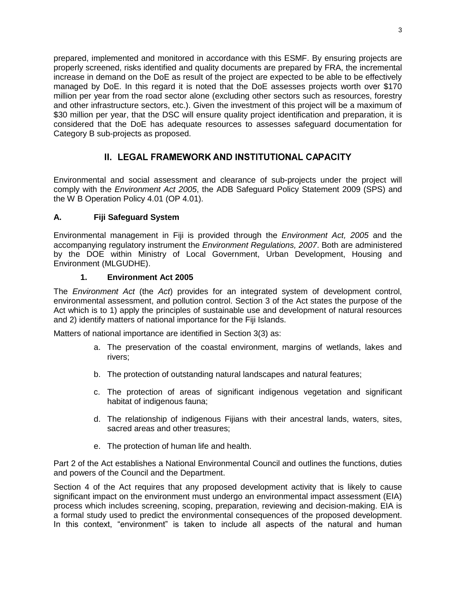prepared, implemented and monitored in accordance with this ESMF. By ensuring projects are properly screened, risks identified and quality documents are prepared by FRA, the incremental increase in demand on the DoE as result of the project are expected to be able to be effectively managed by DoE. In this regard it is noted that the DoE assesses projects worth over \$170 million per year from the road sector alone (excluding other sectors such as resources, forestry and other infrastructure sectors, etc.). Given the investment of this project will be a maximum of \$30 million per year, that the DSC will ensure quality project identification and preparation, it is considered that the DoE has adequate resources to assesses safeguard documentation for Category B sub-projects as proposed.

# **II. LEGAL FRAMEWORK AND INSTITUTIONAL CAPACITY**

<span id="page-6-0"></span>Environmental and social assessment and clearance of sub-projects under the project will comply with the *Environment Act 2005*, the ADB Safeguard Policy Statement 2009 (SPS) and the W B Operation Policy 4.01 (OP 4.01).

#### <span id="page-6-1"></span>**A. Fiji Safeguard System**

Environmental management in Fiji is provided through the *Environment Act, 2005* and the accompanying regulatory instrument the *Environment Regulations, 2007*. Both are administered by the DOE within Ministry of Local Government, Urban Development, Housing and Environment (MLGUDHE).

#### **1. Environment Act 2005**

<span id="page-6-2"></span>The *Environment Act* (the *Act*) provides for an integrated system of development control, environmental assessment, and pollution control. Section 3 of the Act states the purpose of the Act which is to 1) apply the principles of sustainable use and development of natural resources and 2) identify matters of national importance for the Fiji Islands.

Matters of national importance are identified in Section 3(3) as:

- a. The preservation of the coastal environment, margins of wetlands, lakes and rivers;
- b. The protection of outstanding natural landscapes and natural features;
- c. The protection of areas of significant indigenous vegetation and significant habitat of indigenous fauna;
- d. The relationship of indigenous Fijians with their ancestral lands, waters, sites, sacred areas and other treasures;
- e. The protection of human life and health.

Part 2 of the Act establishes a National Environmental Council and outlines the functions, duties and powers of the Council and the Department.

Section 4 of the Act requires that any proposed development activity that is likely to cause significant impact on the environment must undergo an environmental impact assessment (EIA) process which includes screening, scoping, preparation, reviewing and decision-making. EIA is a formal study used to predict the environmental consequences of the proposed development. In this context, "environment" is taken to include all aspects of the natural and human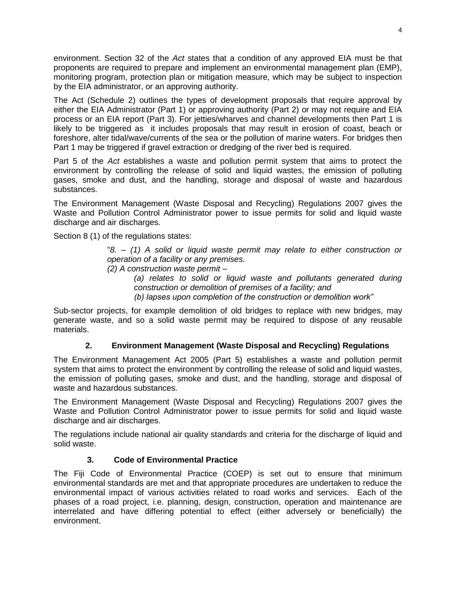environment. Section 32 of the *Act* states that a condition of any approved EIA must be that proponents are required to prepare and implement an environmental management plan (EMP), monitoring program, protection plan or mitigation measure, which may be subject to inspection by the EIA administrator, or an approving authority.

The Act (Schedule 2) outlines the types of development proposals that require approval by either the EIA Administrator (Part 1) or approving authority (Part 2) or may not require and EIA process or an EIA report (Part 3). For jetties/wharves and channel developments then Part 1 is likely to be triggered as it includes proposals that may result in erosion of coast, beach or foreshore, alter tidal/wave/currents of the sea or the pollution of marine waters. For bridges then Part 1 may be triggered if gravel extraction or dredging of the river bed is required.

Part 5 of the *Act* establishes a waste and pollution permit system that aims to protect the environment by controlling the release of solid and liquid wastes, the emission of polluting gases, smoke and dust, and the handling, storage and disposal of waste and hazardous substances.

The Environment Management (Waste Disposal and Recycling) Regulations 2007 gives the Waste and Pollution Control Administrator power to issue permits for solid and liquid waste discharge and air discharges.

Section 8 (1) of the regulations states:

"*8. – (1) A solid or liquid waste permit may relate to either construction or operation of a facility or any premises.*

*(2) A construction waste permit –*

*(a) relates to solid or liquid waste and pollutants generated during construction or demolition of premises of a facility; and*

*(b) lapses upon completion of the construction or demolition work"*

Sub-sector projects, for example demolition of old bridges to replace with new bridges, may generate waste, and so a solid waste permit may be required to dispose of any reusable materials.

#### **2. Environment Management (Waste Disposal and Recycling) Regulations**

<span id="page-7-0"></span>The Environment Management Act 2005 (Part 5) establishes a waste and pollution permit system that aims to protect the environment by controlling the release of solid and liquid wastes, the emission of polluting gases, smoke and dust, and the handling, storage and disposal of waste and hazardous substances.

The Environment Management (Waste Disposal and Recycling) Regulations 2007 gives the Waste and Pollution Control Administrator power to issue permits for solid and liquid waste discharge and air discharges.

The regulations include national air quality standards and criteria for the discharge of liquid and solid waste.

#### **3. Code of Environmental Practice**

<span id="page-7-1"></span>The Fiji Code of Environmental Practice (COEP) is set out to ensure that minimum environmental standards are met and that appropriate procedures are undertaken to reduce the environmental impact of various activities related to road works and services. Each of the phases of a road project, i.e. planning, design, construction, operation and maintenance are interrelated and have differing potential to effect (either adversely or beneficially) the environment.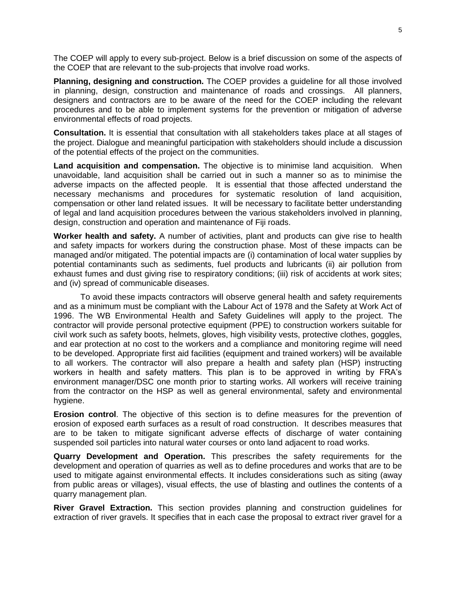The COEP will apply to every sub-project. Below is a brief discussion on some of the aspects of the COEP that are relevant to the sub-projects that involve road works.

**Planning, designing and construction.** The COEP provides a guideline for all those involved in planning, design, construction and maintenance of roads and crossings. All planners, designers and contractors are to be aware of the need for the COEP including the relevant procedures and to be able to implement systems for the prevention or mitigation of adverse environmental effects of road projects.

**Consultation.** It is essential that consultation with all stakeholders takes place at all stages of the project. Dialogue and meaningful participation with stakeholders should include a discussion of the potential effects of the project on the communities.

**Land acquisition and compensation.** The objective is to minimise land acquisition. When unavoidable, land acquisition shall be carried out in such a manner so as to minimise the adverse impacts on the affected people. It is essential that those affected understand the necessary mechanisms and procedures for systematic resolution of land acquisition, compensation or other land related issues. It will be necessary to facilitate better understanding of legal and land acquisition procedures between the various stakeholders involved in planning, design, construction and operation and maintenance of Fiji roads.

**Worker health and safety.** A number of activities, plant and products can give rise to health and safety impacts for workers during the construction phase. Most of these impacts can be managed and/or mitigated. The potential impacts are (i) contamination of local water supplies by potential contaminants such as sediments, fuel products and lubricants (ii) air pollution from exhaust fumes and dust giving rise to respiratory conditions; (iii) risk of accidents at work sites; and (iv) spread of communicable diseases.

To avoid these impacts contractors will observe general health and safety requirements and as a minimum must be compliant with the Labour Act of 1978 and the Safety at Work Act of 1996. The WB Environmental Health and Safety Guidelines will apply to the project. The contractor will provide personal protective equipment (PPE) to construction workers suitable for civil work such as safety boots, helmets, gloves, high visibility vests, protective clothes, goggles, and ear protection at no cost to the workers and a compliance and monitoring regime will need to be developed. Appropriate first aid facilities (equipment and trained workers) will be available to all workers. The contractor will also prepare a health and safety plan (HSP) instructing workers in health and safety matters. This plan is to be approved in writing by FRA's environment manager/DSC one month prior to starting works. All workers will receive training from the contractor on the HSP as well as general environmental, safety and environmental hygiene.

**Erosion control**. The objective of this section is to define measures for the prevention of erosion of exposed earth surfaces as a result of road construction. It describes measures that are to be taken to mitigate significant adverse effects of discharge of water containing suspended soil particles into natural water courses or onto land adjacent to road works.

**Quarry Development and Operation.** This prescribes the safety requirements for the development and operation of quarries as well as to define procedures and works that are to be used to mitigate against environmental effects. It includes considerations such as siting (away from public areas or villages), visual effects, the use of blasting and outlines the contents of a quarry management plan.

**River Gravel Extraction.** This section provides planning and construction guidelines for extraction of river gravels. It specifies that in each case the proposal to extract river gravel for a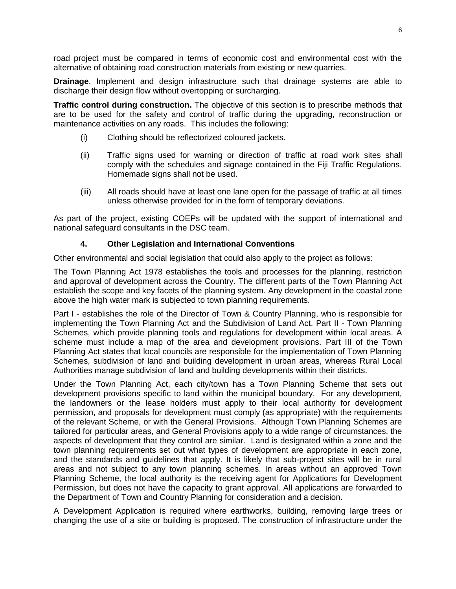road project must be compared in terms of economic cost and environmental cost with the alternative of obtaining road construction materials from existing or new quarries.

**Drainage**. Implement and design infrastructure such that drainage systems are able to discharge their design flow without overtopping or surcharging.

**Traffic control during construction.** The objective of this section is to prescribe methods that are to be used for the safety and control of traffic during the upgrading, reconstruction or maintenance activities on any roads. This includes the following:

- (i) Clothing should be reflectorized coloured jackets.
- (ii) Traffic signs used for warning or direction of traffic at road work sites shall comply with the schedules and signage contained in the Fiji Traffic Regulations. Homemade signs shall not be used.
- (iii) All roads should have at least one lane open for the passage of traffic at all times unless otherwise provided for in the form of temporary deviations.

As part of the project, existing COEPs will be updated with the support of international and national safeguard consultants in the DSC team.

#### **4. Other Legislation and International Conventions**

<span id="page-9-0"></span>Other environmental and social legislation that could also apply to the project as follows:

The Town Planning Act 1978 establishes the tools and processes for the planning, restriction and approval of development across the Country. The different parts of the Town Planning Act establish the scope and key facets of the planning system. Any development in the coastal zone above the high water mark is subjected to town planning requirements.

Part I - establishes the role of the Director of Town & Country Planning, who is responsible for implementing the Town Planning Act and the Subdivision of Land Act. Part II - Town Planning Schemes, which provide planning tools and regulations for development within local areas. A scheme must include a map of the area and development provisions. Part III of the Town Planning Act states that local councils are responsible for the implementation of Town Planning Schemes, subdivision of land and building development in urban areas, whereas Rural Local Authorities manage subdivision of land and building developments within their districts.

Under the Town Planning Act, each city/town has a Town Planning Scheme that sets out development provisions specific to land within the municipal boundary. For any development, the landowners or the lease holders must apply to their local authority for development permission, and proposals for development must comply (as appropriate) with the requirements of the relevant Scheme, or with the General Provisions. Although Town Planning Schemes are tailored for particular areas, and General Provisions apply to a wide range of circumstances, the aspects of development that they control are similar. Land is designated within a zone and the town planning requirements set out what types of development are appropriate in each zone, and the standards and guidelines that apply. It is likely that sub-project sites will be in rural areas and not subject to any town planning schemes. In areas without an approved Town Planning Scheme, the local authority is the receiving agent for Applications for Development Permission, but does not have the capacity to grant approval. All applications are forwarded to the Department of Town and Country Planning for consideration and a decision.

A Development Application is required where earthworks, building, removing large trees or changing the use of a site or building is proposed. The construction of infrastructure under the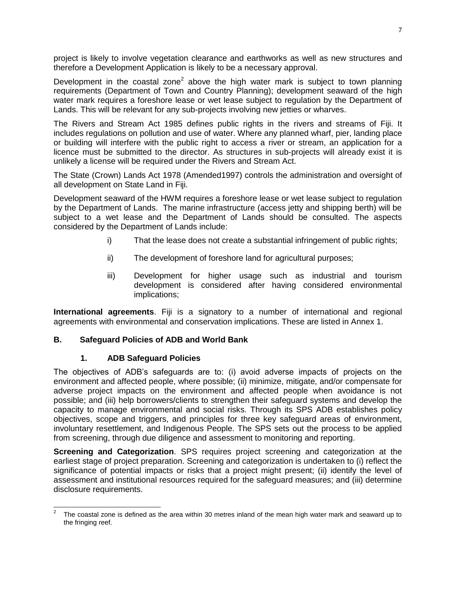project is likely to involve vegetation clearance and earthworks as well as new structures and therefore a Development Application is likely to be a necessary approval.

Development in the coastal zone<sup>2</sup> above the high water mark is subject to town planning requirements (Department of Town and Country Planning); development seaward of the high water mark requires a foreshore lease or wet lease subject to regulation by the Department of Lands. This will be relevant for any sub-projects involving new jetties or wharves.

The Rivers and Stream Act 1985 defines public rights in the rivers and streams of Fiji. It includes regulations on pollution and use of water. Where any planned wharf, pier, landing place or building will interfere with the public right to access a river or stream, an application for a licence must be submitted to the director. As structures in sub-projects will already exist it is unlikely a license will be required under the Rivers and Stream Act.

The State (Crown) Lands Act 1978 (Amended1997) controls the administration and oversight of all development on State Land in Fiji.

Development seaward of the HWM requires a foreshore lease or wet lease subject to regulation by the Department of Lands. The marine infrastructure (access jetty and shipping berth) will be subject to a wet lease and the Department of Lands should be consulted. The aspects considered by the Department of Lands include:

- i) That the lease does not create a substantial infringement of public rights;
- ii) The development of foreshore land for agricultural purposes;
- iii) Development for higher usage such as industrial and tourism development is considered after having considered environmental implications;

**International agreements**. Fiji is a signatory to a number of international and regional agreements with environmental and conservation implications. These are listed in Annex 1.

#### <span id="page-10-0"></span>**B. Safeguard Policies of ADB and World Bank**

#### **1. ADB Safeguard Policies**

<span id="page-10-1"></span>The objectives of ADB's safeguards are to: (i) avoid adverse impacts of projects on the environment and affected people, where possible; (ii) minimize, mitigate, and/or compensate for adverse project impacts on the environment and affected people when avoidance is not possible; and (iii) help borrowers/clients to strengthen their safeguard systems and develop the capacity to manage environmental and social risks. Through its SPS ADB establishes policy objectives, scope and triggers, and principles for three key safeguard areas of environment, involuntary resettlement, and Indigenous People. The SPS sets out the process to be applied from screening, through due diligence and assessment to monitoring and reporting.

**Screening and Categorization**. SPS requires project screening and categorization at the earliest stage of project preparation. Screening and categorization is undertaken to (i) reflect the significance of potential impacts or risks that a project might present; (ii) identify the level of assessment and institutional resources required for the safeguard measures; and (iii) determine disclosure requirements.

 $\frac{1}{2}$ The coastal zone is defined as the area within 30 metres inland of the mean high water mark and seaward up to the fringing reef.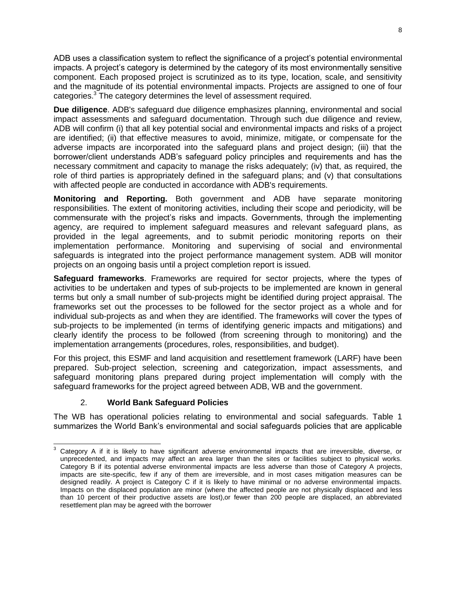ADB uses a classification system to reflect the significance of a project's potential environmental impacts. A project's category is determined by the category of its most environmentally sensitive component. Each proposed project is scrutinized as to its type, location, scale, and sensitivity and the magnitude of its potential environmental impacts. Projects are assigned to one of four categories.<sup>3</sup> The category determines the level of assessment required.

**Due diligence**. ADB's safeguard due diligence emphasizes planning, environmental and social impact assessments and safeguard documentation. Through such due diligence and review, ADB will confirm (i) that all key potential social and environmental impacts and risks of a project are identified; (ii) that effective measures to avoid, minimize, mitigate, or compensate for the adverse impacts are incorporated into the safeguard plans and project design; (iii) that the borrower/client understands ADB's safeguard policy principles and requirements and has the necessary commitment and capacity to manage the risks adequately; (iv) that, as required, the role of third parties is appropriately defined in the safeguard plans; and (v) that consultations with affected people are conducted in accordance with ADB's requirements.

**Monitoring and Reporting.** Both government and ADB have separate monitoring responsibilities. The extent of monitoring activities, including their scope and periodicity, will be commensurate with the project's risks and impacts. Governments, through the implementing agency, are required to implement safeguard measures and relevant safeguard plans, as provided in the legal agreements, and to submit periodic monitoring reports on their implementation performance. Monitoring and supervising of social and environmental safeguards is integrated into the project performance management system. ADB will monitor projects on an ongoing basis until a project completion report is issued.

**Safeguard frameworks**. Frameworks are required for sector projects, where the types of activities to be undertaken and types of sub-projects to be implemented are known in general terms but only a small number of sub-projects might be identified during project appraisal. The frameworks set out the processes to be followed for the sector project as a whole and for individual sub-projects as and when they are identified. The frameworks will cover the types of sub-projects to be implemented (in terms of identifying generic impacts and mitigations) and clearly identify the process to be followed (from screening through to monitoring) and the implementation arrangements (procedures, roles, responsibilities, and budget).

For this project, this ESMF and land acquisition and resettlement framework (LARF) have been prepared. Sub-project selection, screening and categorization, impact assessments, and safeguard monitoring plans prepared during project implementation will comply with the safeguard frameworks for the project agreed between ADB, WB and the government.

# 2. **World Bank Safeguard Policies**

<span id="page-11-0"></span>The WB has operational policies relating to environmental and social safeguards. Table 1 summarizes the World Bank's environmental and social safeguards policies that are applicable

 $\mathbf{3}$ Category A if it is likely to have significant adverse environmental impacts that are irreversible, diverse, or unprecedented, and impacts may affect an area larger than the sites or facilities subject to physical works. Category B if its potential adverse environmental impacts are less adverse than those of Category A projects, impacts are site-specific, few if any of them are irreversible, and in most cases mitigation measures can be designed readily. A project is Category C if it is likely to have minimal or no adverse environmental impacts. Impacts on the displaced population are minor (where the affected people are not physically displaced and less than 10 percent of their productive assets are lost),or fewer than 200 people are displaced, an abbreviated resettlement plan may be agreed with the borrower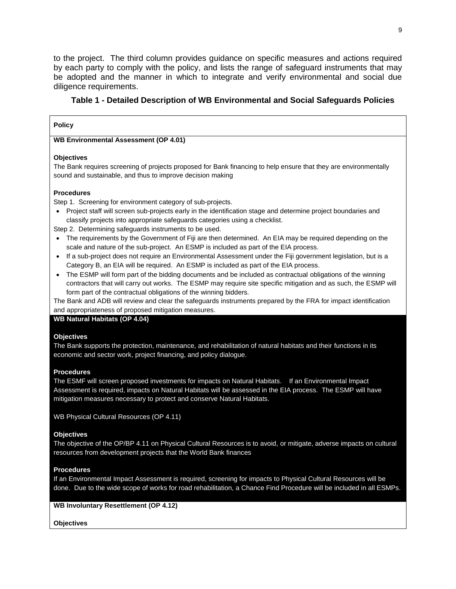to the project. The third column provides guidance on specific measures and actions required by each party to comply with the policy, and lists the range of safeguard instruments that may be adopted and the manner in which to integrate and verify environmental and social due diligence requirements.

#### **Table 1 - Detailed Description of WB Environmental and Social Safeguards Policies**

| <b>Policy</b>                                                                                                                                                                                                |
|--------------------------------------------------------------------------------------------------------------------------------------------------------------------------------------------------------------|
| <b>WB Environmental Assessment (OP 4.01)</b>                                                                                                                                                                 |
| <b>Objectives</b><br>The Bank requires screening of projects proposed for Bank financing to help ensure that they are environmentally<br>sound and sustainable, and thus to improve decision making          |
| <b>Procedures</b>                                                                                                                                                                                            |
| Step 1. Screening for environment category of sub-projects.                                                                                                                                                  |
| Project staff will screen sub-projects early in the identification stage and determine project boundaries and<br>$\bullet$<br>classify projects into appropriate safeguards categories using a checklist.    |
| Step 2. Determining safeguards instruments to be used.                                                                                                                                                       |
| The requirements by the Government of Fiji are then determined. An EIA may be required depending on the<br>$\bullet$<br>scale and nature of the sub-project. An ESMP is included as part of the EIA process. |
| If a sub-project does not require an Environmental Assessment under the Fiji government legislation, but is a<br>$\bullet$                                                                                   |
| Category B, an EIA will be required. An ESMP is included as part of the EIA process.                                                                                                                         |
| The ESMP will form part of the bidding documents and be included as contractual obligations of the winning<br>$\bullet$                                                                                      |

 The ESMP will form part of the bidding documents and be included as contractual obligations of the winning contractors that will carry out works. The ESMP may require site specific mitigation and as such, the ESMP will form part of the contractual obligations of the winning bidders.

The Bank and ADB will review and clear the safeguards instruments prepared by the FRA for impact identification and appropriateness of proposed mitigation measures.

#### **WB Natural Habitats (OP 4.04)**

#### **Objectives**

The Bank supports the protection, maintenance, and rehabilitation of natural habitats and their functions in its economic and sector work, project financing, and policy dialogue.

#### **Procedures**

The ESMF will screen proposed investments for impacts on Natural Habitats. If an Environmental Impact Assessment is required, impacts on Natural Habitats will be assessed in the EIA process. The ESMP will have mitigation measures necessary to protect and conserve Natural Habitats.

WB Physical Cultural Resources (OP 4.11)

#### **Objectives**

The objective of the OP/BP 4.11 on Physical Cultural Resources is to avoid, or mitigate, adverse impacts on cultural resources from development projects that the World Bank finances

#### **Procedures**

If an Environmental Impact Assessment is required, screening for impacts to Physical Cultural Resources will be done. Due to the wide scope of works for road rehabilitation, a Chance Find Procedure will be included in all ESMPs.

**WB Involuntary Resettlement (OP 4.12)**

#### **Objectives**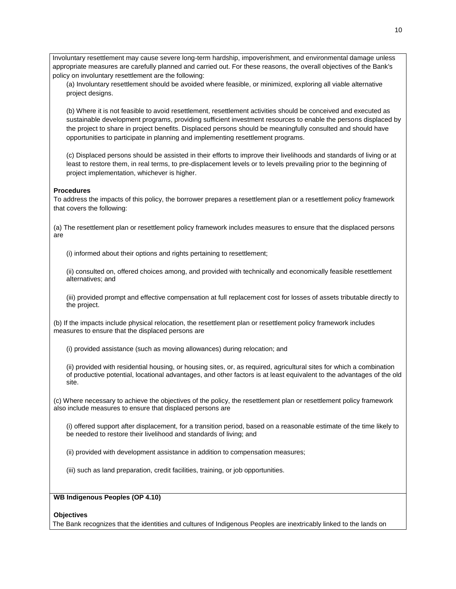Involuntary resettlement may cause severe long-term hardship, impoverishment, and environmental damage unless appropriate measures are carefully planned and carried out. For these reasons, the overall objectives of the Bank's policy on involuntary resettlement are the following:

(a) Involuntary resettlement should be avoided where feasible, or minimized, exploring all viable alternative project designs.

(b) Where it is not feasible to avoid resettlement, resettlement activities should be conceived and executed as sustainable development programs, providing sufficient investment resources to enable the persons displaced by the project to share in project benefits. Displaced persons should be meaningfully consulted and should have opportunities to participate in planning and implementing resettlement programs.

(c) Displaced persons should be assisted in their efforts to improve their livelihoods and standards of living or at least to restore them, in real terms, to pre-displacement levels or to levels prevailing prior to the beginning of project implementation, whichever is higher.

#### **Procedures**

To address the impacts of this policy, the borrower prepares a resettlement plan or a resettlement policy framework that covers the following:

(a) The resettlement plan or resettlement policy framework includes measures to ensure that the displaced persons are

(i) informed about their options and rights pertaining to resettlement;

(ii) consulted on, offered choices among, and provided with technically and economically feasible resettlement alternatives; and

(iii) provided prompt and effective compensation at full replacement cost for losses of assets tributable directly to the project.

(b) If the impacts include physical relocation, the resettlement plan or resettlement policy framework includes measures to ensure that the displaced persons are

(i) provided assistance (such as moving allowances) during relocation; and

(ii) provided with residential housing, or housing sites, or, as required, agricultural sites for which a combination of productive potential, locational advantages, and other factors is at least equivalent to the advantages of the old site.

(c) Where necessary to achieve the objectives of the policy, the resettlement plan or resettlement policy framework also include measures to ensure that displaced persons are

(i) offered support after displacement, for a transition period, based on a reasonable estimate of the time likely to be needed to restore their livelihood and standards of living; and

(ii) provided with development assistance in addition to compensation measures;

(iii) such as land preparation, credit facilities, training, or job opportunities.

#### **WB Indigenous Peoples (OP 4.10)**

#### **Objectives**

The Bank recognizes that the identities and cultures of Indigenous Peoples are inextricably linked to the lands on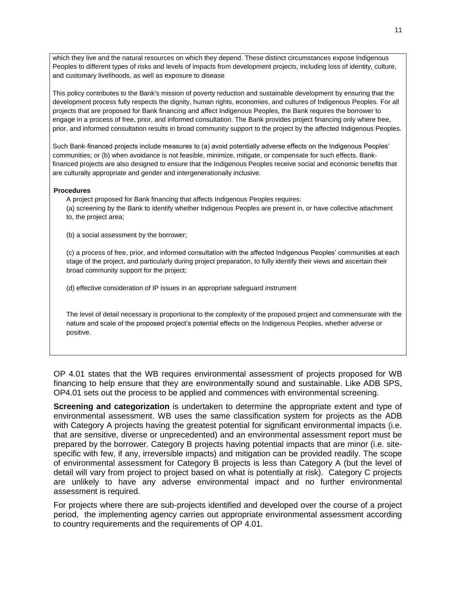which they live and the natural resources on which they depend. These distinct circumstances expose Indigenous Peoples to different types of risks and levels of impacts from development projects, including loss of identity, culture, and customary livelihoods, as well as exposure to disease

This policy contributes to the Bank's mission of poverty reduction and sustainable development by ensuring that the development process fully respects the dignity, human rights, economies, and cultures of Indigenous Peoples. For all projects that are proposed for Bank financing and affect Indigenous Peoples, the Bank requires the borrower to engage in a process of free, prior, and informed consultation. The Bank provides project financing only where free, prior, and informed consultation results in broad community support to the project by the affected Indigenous Peoples.

Such Bank-financed projects include measures to (a) avoid potentially adverse effects on the Indigenous Peoples' communities; or (b) when avoidance is not feasible, minimize, mitigate, or compensate for such effects. Bankfinanced projects are also designed to ensure that the Indigenous Peoples receive social and economic benefits that are culturally appropriate and gender and intergenerationally inclusive.

#### **Procedures**

A project proposed for Bank financing that affects Indigenous Peoples requires: (a) screening by the Bank to identify whether Indigenous Peoples are present in, or have collective attachment to, the project area;

(b) a social assessment by the borrower;

(c) a process of free, prior, and informed consultation with the affected Indigenous Peoples' communities at each stage of the project, and particularly during project preparation, to fully identify their views and ascertain their broad community support for the project;

(d) effective consideration of IP issues in an appropriate safeguard instrument

The level of detail necessary is proportional to the complexity of the proposed project and commensurate with the nature and scale of the proposed project's potential effects on the Indigenous Peoples, whether adverse or positive.

OP 4.01 states that the WB requires environmental assessment of projects proposed for WB financing to help ensure that they are environmentally sound and sustainable. Like ADB SPS, OP4.01 sets out the process to be applied and commences with environmental screening.

**Screening and categorization** is undertaken to determine the appropriate extent and type of environmental assessment. WB uses the same classification system for projects as the ADB with Category A projects having the greatest potential for significant environmental impacts (i.e. that are sensitive, diverse or unprecedented) and an environmental assessment report must be prepared by the borrower. Category B projects having potential impacts that are minor (i.e. sitespecific with few, if any, irreversible impacts) and mitigation can be provided readily. The scope of environmental assessment for Category B projects is less than Category A (but the level of detail will vary from project to project based on what is potentially at risk). Category C projects are unlikely to have any adverse environmental impact and no further environmental assessment is required.

For projects where there are sub-projects identified and developed over the course of a project period, the implementing agency carries out appropriate environmental assessment according to country requirements and the requirements of OP 4.01.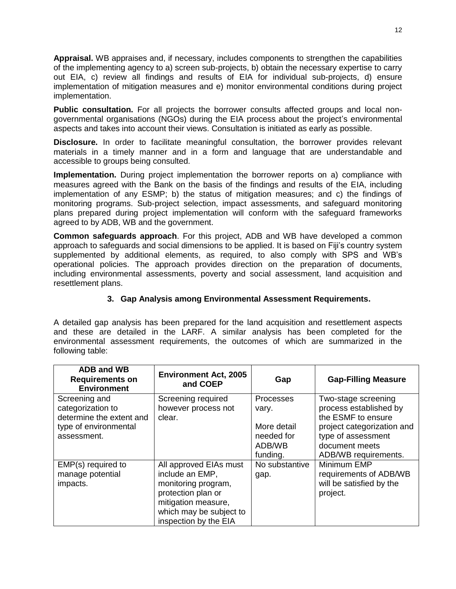**Appraisal.** WB appraises and, if necessary, includes components to strengthen the capabilities of the implementing agency to a) screen sub-projects, b) obtain the necessary expertise to carry out EIA, c) review all findings and results of EIA for individual sub-projects, d) ensure implementation of mitigation measures and e) monitor environmental conditions during project implementation.

**Public consultation.** For all projects the borrower consults affected groups and local nongovernmental organisations (NGOs) during the EIA process about the project's environmental aspects and takes into account their views. Consultation is initiated as early as possible.

**Disclosure.** In order to facilitate meaningful consultation, the borrower provides relevant materials in a timely manner and in a form and language that are understandable and accessible to groups being consulted.

**Implementation.** During project implementation the borrower reports on a) compliance with measures agreed with the Bank on the basis of the findings and results of the EIA, including implementation of any ESMP; b) the status of mitigation measures; and c) the findings of monitoring programs. Sub-project selection, impact assessments, and safeguard monitoring plans prepared during project implementation will conform with the safeguard frameworks agreed to by ADB, WB and the government.

**Common safeguards approach**. For this project, ADB and WB have developed a common approach to safeguards and social dimensions to be applied. It is based on Fiji's country system supplemented by additional elements, as required, to also comply with SPS and WB's operational policies. The approach provides direction on the preparation of documents, including environmental assessments, poverty and social assessment, land acquisition and resettlement plans.

### **3. Gap Analysis among Environmental Assessment Requirements.**

A detailed gap analysis has been prepared for the land acquisition and resettlement aspects and these are detailed in the LARF. A similar analysis has been completed for the environmental assessment requirements, the outcomes of which are summarized in the following table:

| <b>ADB and WB</b><br><b>Requirements on</b><br><b>Environment</b> | <b>Environment Act, 2005</b><br>and COEP | Gap            | <b>Gap-Filling Measure</b> |
|-------------------------------------------------------------------|------------------------------------------|----------------|----------------------------|
| Screening and                                                     | Screening required                       | Processes      | Two-stage screening        |
| categorization to                                                 | however process not                      | vary.          | process established by     |
| determine the extent and                                          | clear.                                   |                | the ESMF to ensure         |
| type of environmental                                             |                                          | More detail    | project categorization and |
| assessment.                                                       |                                          | needed for     | type of assessment         |
|                                                                   |                                          | ADB/WB         | document meets             |
|                                                                   |                                          | funding.       | ADB/WB requirements.       |
| EMP(s) required to                                                | All approved EIAs must                   | No substantive | Minimum EMP                |
| manage potential                                                  | include an EMP,                          | gap.           | requirements of ADB/WB     |
| impacts.                                                          | monitoring program,                      |                | will be satisfied by the   |
|                                                                   | protection plan or                       |                | project.                   |
|                                                                   | mitigation measure,                      |                |                            |
|                                                                   | which may be subject to                  |                |                            |
|                                                                   | inspection by the EIA                    |                |                            |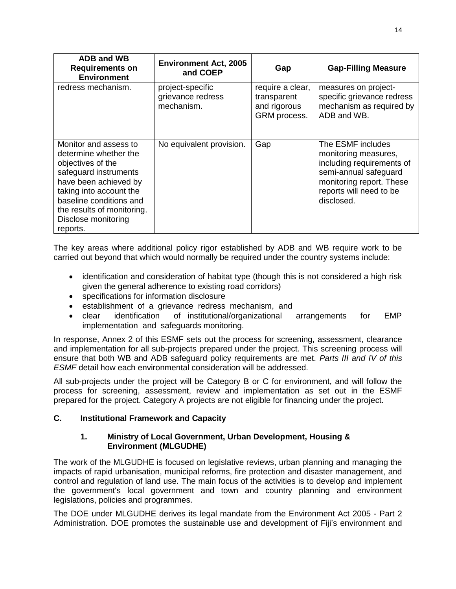| <b>ADB and WB</b><br><b>Requirements on</b><br><b>Environment</b>                                                                                                                                                                            | <b>Environment Act, 2005</b><br>and COEP            | Gap                                                             | <b>Gap-Filling Measure</b>                                                                                                                                           |
|----------------------------------------------------------------------------------------------------------------------------------------------------------------------------------------------------------------------------------------------|-----------------------------------------------------|-----------------------------------------------------------------|----------------------------------------------------------------------------------------------------------------------------------------------------------------------|
| redress mechanism.                                                                                                                                                                                                                           | project-specific<br>grievance redress<br>mechanism. | require a clear,<br>transparent<br>and rigorous<br>GRM process. | measures on project-<br>specific grievance redress<br>mechanism as required by<br>ADB and WB.                                                                        |
| Monitor and assess to<br>determine whether the<br>objectives of the<br>safeguard instruments<br>have been achieved by<br>taking into account the<br>baseline conditions and<br>the results of monitoring.<br>Disclose monitoring<br>reports. | No equivalent provision.                            | Gap                                                             | The ESMF includes<br>monitoring measures,<br>including requirements of<br>semi-annual safeguard<br>monitoring report. These<br>reports will need to be<br>disclosed. |

The key areas where additional policy rigor established by ADB and WB require work to be carried out beyond that which would normally be required under the country systems include:

- identification and consideration of habitat type (though this is not considered a high risk given the general adherence to existing road corridors)
- specifications for information disclosure
- establishment of a grievance redress mechanism, and
- clear identification of institutional/organizational arrangements for EMP implementation and safeguards monitoring.

In response, Annex 2 of this ESMF sets out the process for screening, assessment, clearance and implementation for all sub-projects prepared under the project. This screening process will ensure that both WB and ADB safeguard policy requirements are met. *Parts III and IV of this ESMF* detail how each environmental consideration will be addressed.

All sub-projects under the project will be Category B or C for environment, and will follow the process for screening, assessment, review and implementation as set out in the ESMF prepared for the project. Category A projects are not eligible for financing under the project.

#### <span id="page-17-1"></span><span id="page-17-0"></span>**C. Institutional Framework and Capacity**

#### **1. Ministry of Local Government, Urban Development, Housing & Environment (MLGUDHE)**

The work of the MLGUDHE is focused on legislative reviews, urban planning and managing the impacts of rapid urbanisation, municipal reforms, fire protection and disaster management, and control and regulation of land use. The main focus of the activities is to develop and implement the government's local government and town and country planning and environment legislations, policies and programmes.

The DOE under MLGUDHE derives its legal mandate from the Environment Act 2005 - Part 2 Administration. DOE promotes the sustainable use and development of Fiji's environment and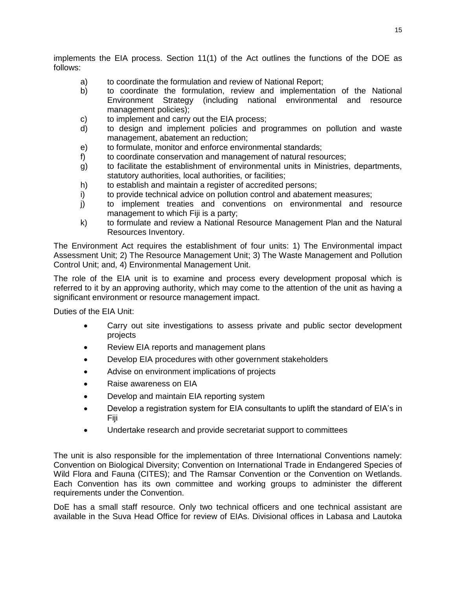implements the EIA process. Section 11(1) of the Act outlines the functions of the DOE as follows:

- a) to coordinate the formulation and review of National Report;
- b) to coordinate the formulation, review and implementation of the National Environment Strategy (including national environmental and resource management policies);
- c) to implement and carry out the EIA process;
- d) to design and implement policies and programmes on pollution and waste management, abatement an reduction;
- e) to formulate, monitor and enforce environmental standards;
- f) to coordinate conservation and management of natural resources;
- g) to facilitate the establishment of environmental units in Ministries, departments, statutory authorities, local authorities, or facilities;
- h) to establish and maintain a register of accredited persons;
- i) to provide technical advice on pollution control and abatement measures;
- j) to implement treaties and conventions on environmental and resource management to which Fiji is a party;
- k) to formulate and review a National Resource Management Plan and the Natural Resources Inventory.

The Environment Act requires the establishment of four units: 1) The Environmental impact Assessment Unit; 2) The Resource Management Unit; 3) The Waste Management and Pollution Control Unit; and, 4) Environmental Management Unit.

The role of the EIA unit is to examine and process every development proposal which is referred to it by an approving authority, which may come to the attention of the unit as having a significant environment or resource management impact.

Duties of the EIA Unit:

- Carry out site investigations to assess private and public sector development projects
- Review EIA reports and management plans
- Develop EIA procedures with other government stakeholders
- Advise on environment implications of projects
- Raise awareness on EIA
- Develop and maintain EIA reporting system
- Develop a registration system for EIA consultants to uplift the standard of EIA's in Fiji
- Undertake research and provide secretariat support to committees

The unit is also responsible for the implementation of three International Conventions namely: Convention on Biological Diversity; Convention on International Trade in Endangered Species of Wild Flora and Fauna (CITES); and The Ramsar Convention or the Convention on Wetlands. Each Convention has its own committee and working groups to administer the different requirements under the Convention.

DoE has a small staff resource. Only two technical officers and one technical assistant are available in the Suva Head Office for review of EIAs. Divisional offices in Labasa and Lautoka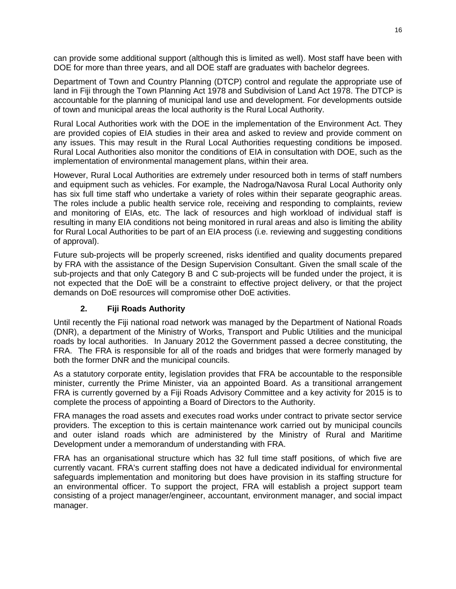can provide some additional support (although this is limited as well). Most staff have been with DOE for more than three years, and all DOE staff are graduates with bachelor degrees.

Department of Town and Country Planning (DTCP) control and regulate the appropriate use of land in Fiji through the Town Planning Act 1978 and Subdivision of Land Act 1978. The DTCP is accountable for the planning of municipal land use and development. For developments outside of town and municipal areas the local authority is the Rural Local Authority.

Rural Local Authorities work with the DOE in the implementation of the Environment Act. They are provided copies of EIA studies in their area and asked to review and provide comment on any issues. This may result in the Rural Local Authorities requesting conditions be imposed. Rural Local Authorities also monitor the conditions of EIA in consultation with DOE, such as the implementation of environmental management plans, within their area.

However, Rural Local Authorities are extremely under resourced both in terms of staff numbers and equipment such as vehicles. For example, the Nadroga/Navosa Rural Local Authority only has six full time staff who undertake a variety of roles within their separate geographic areas. The roles include a public health service role, receiving and responding to complaints, review and monitoring of EIAs, etc. The lack of resources and high workload of individual staff is resulting in many EIA conditions not being monitored in rural areas and also is limiting the ability for Rural Local Authorities to be part of an EIA process (i.e. reviewing and suggesting conditions of approval).

Future sub-projects will be properly screened, risks identified and quality documents prepared by FRA with the assistance of the Design Supervision Consultant. Given the small scale of the sub-projects and that only Category B and C sub-projects will be funded under the project, it is not expected that the DoE will be a constraint to effective project delivery, or that the project demands on DoE resources will compromise other DoE activities.

# **2. Fiji Roads Authority**

<span id="page-19-0"></span>Until recently the Fiji national road network was managed by the Department of National Roads (DNR), a department of the Ministry of Works, Transport and Public Utilities and the municipal roads by local authorities. In January 2012 the Government passed a decree constituting, the FRA. The FRA is responsible for all of the roads and bridges that were formerly managed by both the former DNR and the municipal councils.

As a statutory corporate entity, legislation provides that FRA be accountable to the responsible minister, currently the Prime Minister, via an appointed Board. As a transitional arrangement FRA is currently governed by a Fiji Roads Advisory Committee and a key activity for 2015 is to complete the process of appointing a Board of Directors to the Authority.

FRA manages the road assets and executes road works under contract to private sector service providers. The exception to this is certain maintenance work carried out by municipal councils and outer island roads which are administered by the Ministry of Rural and Maritime Development under a memorandum of understanding with FRA.

FRA has an organisational structure which has 32 full time staff positions, of which five are currently vacant. FRA's current staffing does not have a dedicated individual for environmental safeguards implementation and monitoring but does have provision in its staffing structure for an environmental officer. To support the project, FRA will establish a project support team consisting of a project manager/engineer, accountant, environment manager, and social impact manager.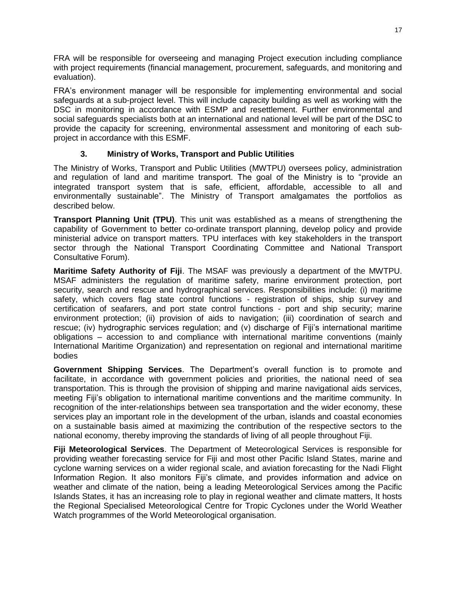FRA will be responsible for overseeing and managing Project execution including compliance with project requirements (financial management, procurement, safeguards, and monitoring and evaluation).

FRA's environment manager will be responsible for implementing environmental and social safeguards at a sub-project level. This will include capacity building as well as working with the DSC in monitoring in accordance with ESMP and resettlement. Further environmental and social safeguards specialists both at an international and national level will be part of the DSC to provide the capacity for screening, environmental assessment and monitoring of each subproject in accordance with this ESMF.

#### **3. Ministry of Works, Transport and Public Utilities**

<span id="page-20-0"></span>The Ministry of Works, Transport and Public Utilities (MWTPU) oversees policy, administration and regulation of land and maritime transport. The goal of the Ministry is to "provide an integrated transport system that is safe, efficient, affordable, accessible to all and environmentally sustainable". The Ministry of Transport amalgamates the portfolios as described below.

**Transport Planning Unit (TPU)**. This unit was established as a means of strengthening the capability of Government to better co-ordinate transport planning, develop policy and provide ministerial advice on transport matters. TPU interfaces with key stakeholders in the transport sector through the National Transport Coordinating Committee and National Transport Consultative Forum).

**Maritime Safety Authority of Fiji**. The MSAF was previously a department of the MWTPU. MSAF administers the regulation of maritime safety, marine environment protection, port security, search and rescue and hydrographical services. Responsibilities include: (i) maritime safety, which covers flag state control functions - registration of ships, ship survey and certification of seafarers, and port state control functions - port and ship security; marine environment protection; (ii) provision of aids to navigation; (iii) coordination of search and rescue; (iv) hydrographic services regulation; and (v) discharge of Fiji's international maritime obligations – accession to and compliance with international maritime conventions (mainly International Maritime Organization) and representation on regional and international maritime bodies

**Government Shipping Services**. The Department's overall function is to promote and facilitate, in accordance with government policies and priorities, the national need of sea transportation. This is through the provision of shipping and marine navigational aids services, meeting Fiji's obligation to international maritime conventions and the maritime community. In recognition of the inter-relationships between sea transportation and the wider economy, these services play an important role in the development of the urban, islands and coastal economies on a sustainable basis aimed at maximizing the contribution of the respective sectors to the national economy, thereby improving the standards of living of all people throughout Fiji.

**Fiji Meteorological Services**. The Department of Meteorological Services is responsible for providing weather forecasting service for Fiji and most other Pacific Island States, marine and cyclone warning services on a wider regional scale, and aviation forecasting for the Nadi Flight Information Region. It also monitors Fiji's climate, and provides information and advice on weather and climate of the nation, being a leading Meteorological Services among the Pacific Islands States, it has an increasing role to play in regional weather and climate matters, It hosts the Regional Specialised Meteorological Centre for Tropic Cyclones under the World Weather Watch programmes of the World Meteorological organisation.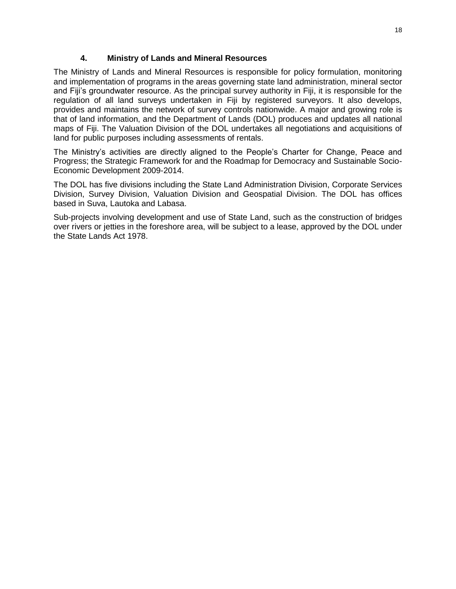#### **4. Ministry of Lands and Mineral Resources**

<span id="page-21-0"></span>The Ministry of Lands and Mineral Resources is responsible for policy formulation, monitoring and implementation of programs in the areas governing state land administration, mineral sector and Fiji's groundwater resource. As the principal survey authority in Fiji, it is responsible for the regulation of all land surveys undertaken in Fiji by registered surveyors. It also develops, provides and maintains the network of survey controls nationwide. A major and growing role is that of land information, and the Department of Lands (DOL) produces and updates all national maps of Fiji. The Valuation Division of the DOL undertakes all negotiations and acquisitions of land for public purposes including assessments of rentals.

The Ministry's activities are directly aligned to the People's Charter for Change, Peace and Progress; the Strategic Framework for and the Roadmap for Democracy and Sustainable Socio-Economic Development 2009-2014.

The DOL has five divisions including the State Land Administration Division, Corporate Services Division, Survey Division, Valuation Division and Geospatial Division. The DOL has offices based in Suva, Lautoka and Labasa.

Sub-projects involving development and use of State Land, such as the construction of bridges over rivers or jetties in the foreshore area, will be subject to a lease, approved by the DOL under the State Lands Act 1978.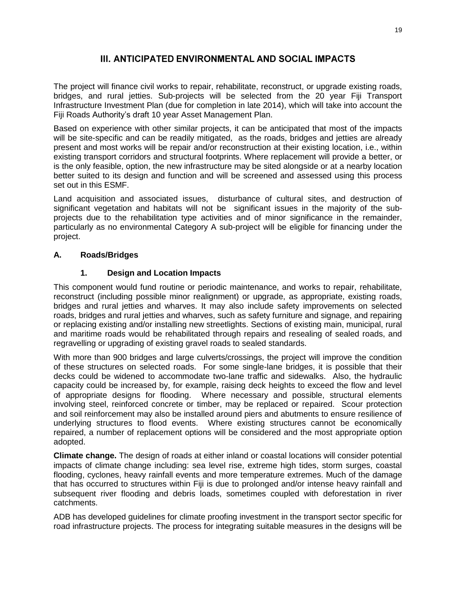# III. ANTICIPATED ENVIRONMENTAL AND SOCIAL IMPACTS

<span id="page-22-0"></span>The project will finance civil works to repair, rehabilitate, reconstruct, or upgrade existing roads, bridges, and rural jetties. Sub-projects will be selected from the 20 year Fiji Transport Infrastructure Investment Plan (due for completion in late 2014), which will take into account the Fiji Roads Authority's draft 10 year Asset Management Plan.

Based on experience with other similar projects, it can be anticipated that most of the impacts will be site-specific and can be readily mitigated, as the roads, bridges and jetties are already present and most works will be repair and/or reconstruction at their existing location, i.e., within existing transport corridors and structural footprints. Where replacement will provide a better, or is the only feasible, option, the new infrastructure may be sited alongside or at a nearby location better suited to its design and function and will be screened and assessed using this process set out in this ESMF.

Land acquisition and associated issues, disturbance of cultural sites, and destruction of significant vegetation and habitats will not be significant issues in the majority of the subprojects due to the rehabilitation type activities and of minor significance in the remainder, particularly as no environmental Category A sub-project will be eligible for financing under the project.

# <span id="page-22-1"></span>**A. Roads/Bridges**

#### **1. Design and Location Impacts**

<span id="page-22-2"></span>This component would fund routine or periodic maintenance, and works to repair, rehabilitate, reconstruct (including possible minor realignment) or upgrade, as appropriate, existing roads, bridges and rural jetties and wharves. It may also include safety improvements on selected roads, bridges and rural jetties and wharves, such as safety furniture and signage, and repairing or replacing existing and/or installing new streetlights. Sections of existing main, municipal, rural and maritime roads would be rehabilitated through repairs and resealing of sealed roads, and regravelling or upgrading of existing gravel roads to sealed standards.

With more than 900 bridges and large culverts/crossings, the project will improve the condition of these structures on selected roads. For some single-lane bridges, it is possible that their decks could be widened to accommodate two-lane traffic and sidewalks. Also, the hydraulic capacity could be increased by, for example, raising deck heights to exceed the flow and level of appropriate designs for flooding. Where necessary and possible, structural elements involving steel, reinforced concrete or timber, may be replaced or repaired. Scour protection and soil reinforcement may also be installed around piers and abutments to ensure resilience of underlying structures to flood events. Where existing structures cannot be economically repaired, a number of replacement options will be considered and the most appropriate option adopted.

**Climate change.** The design of roads at either inland or coastal locations will consider potential impacts of climate change including: sea level rise, extreme high tides, storm surges, coastal flooding, cyclones, heavy rainfall events and more temperature extremes. Much of the damage that has occurred to structures within Fiji is due to prolonged and/or intense heavy rainfall and subsequent river flooding and debris loads, sometimes coupled with deforestation in river catchments.

ADB has developed guidelines for climate proofing investment in the transport sector specific for road infrastructure projects. The process for integrating suitable measures in the designs will be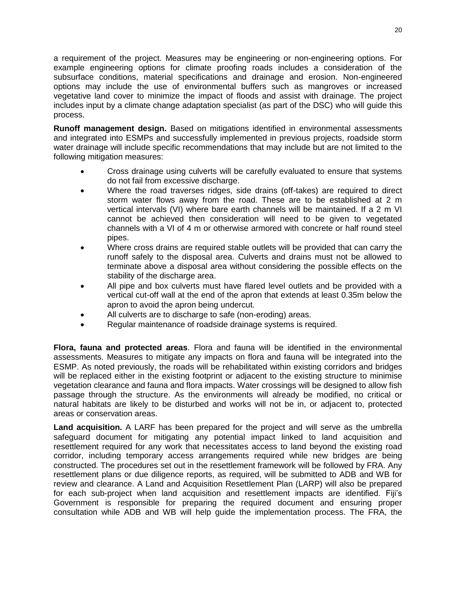a requirement of the project. Measures may be engineering or non-engineering options. For example engineering options for climate proofing roads includes a consideration of the subsurface conditions, material specifications and drainage and erosion. Non-engineered options may include the use of environmental buffers such as mangroves or increased vegetative land cover to minimize the impact of floods and assist with drainage. The project includes input by a climate change adaptation specialist (as part of the DSC) who will guide this process.

**Runoff management design.** Based on mitigations identified in environmental assessments and integrated into ESMPs and successfully implemented in previous projects, roadside storm water drainage will include specific recommendations that may include but are not limited to the following mitigation measures:

- Cross drainage using culverts will be carefully evaluated to ensure that systems do not fail from excessive discharge.
- Where the road traverses ridges, side drains (off-takes) are required to direct storm water flows away from the road. These are to be established at 2 m vertical intervals (VI) where bare earth channels will be maintained. If a 2 m VI cannot be achieved then consideration will need to be given to vegetated channels with a VI of 4 m or otherwise armored with concrete or half round steel pipes.
- Where cross drains are required stable outlets will be provided that can carry the runoff safely to the disposal area. Culverts and drains must not be allowed to terminate above a disposal area without considering the possible effects on the stability of the discharge area.
- All pipe and box culverts must have flared level outlets and be provided with a vertical cut-off wall at the end of the apron that extends at least 0.35m below the apron to avoid the apron being undercut.
- All culverts are to discharge to safe (non-eroding) areas.
- Regular maintenance of roadside drainage systems is required.

**Flora, fauna and protected areas**. Flora and fauna will be identified in the environmental assessments. Measures to mitigate any impacts on flora and fauna will be integrated into the ESMP. As noted previously, the roads will be rehabilitated within existing corridors and bridges will be replaced either in the existing footprint or adjacent to the existing structure to minimise vegetation clearance and fauna and flora impacts. Water crossings will be designed to allow fish passage through the structure. As the environments will already be modified, no critical or natural habitats are likely to be disturbed and works will not be in, or adjacent to, protected areas or conservation areas.

**Land acquisition.** A LARF has been prepared for the project and will serve as the umbrella safeguard document for mitigating any potential impact linked to land acquisition and resettlement required for any work that necessitates access to land beyond the existing road corridor, including temporary access arrangements required while new bridges are being constructed. The procedures set out in the resettlement framework will be followed by FRA. Any resettlement plans or due diligence reports, as required, will be submitted to ADB and WB for review and clearance. A Land and Acquisition Resettlement Plan (LARP) will also be prepared for each sub-project when land acquisition and resettlement impacts are identified. Fiji's Government is responsible for preparing the required document and ensuring proper consultation while ADB and WB will help guide the implementation process. The FRA, the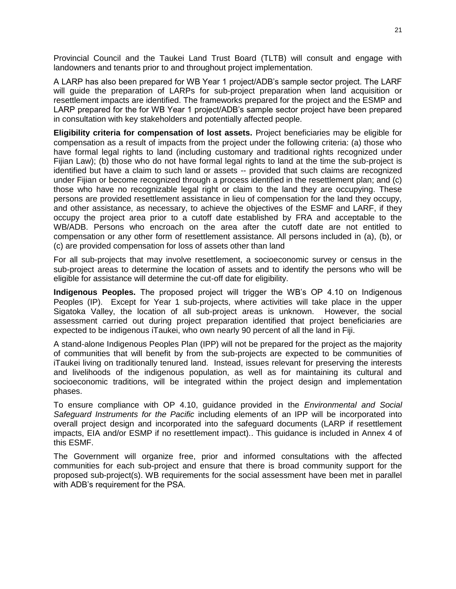Provincial Council and the Taukei Land Trust Board (TLTB) will consult and engage with landowners and tenants prior to and throughout project implementation.

A LARP has also been prepared for WB Year 1 project/ADB's sample sector project. The LARF will guide the preparation of LARPs for sub-project preparation when land acquisition or resettlement impacts are identified. The frameworks prepared for the project and the ESMP and LARP prepared for the for WB Year 1 project/ADB's sample sector project have been prepared in consultation with key stakeholders and potentially affected people.

**Eligibility criteria for compensation of lost assets.** Project beneficiaries may be eligible for compensation as a result of impacts from the project under the following criteria: (a) those who have formal legal rights to land (including customary and traditional rights recognized under Fijian Law); (b) those who do not have formal legal rights to land at the time the sub-project is identified but have a claim to such land or assets -- provided that such claims are recognized under Fijian or become recognized through a process identified in the resettlement plan; and (c) those who have no recognizable legal right or claim to the land they are occupying. These persons are provided resettlement assistance in lieu of compensation for the land they occupy, and other assistance, as necessary, to achieve the objectives of the ESMF and LARF, if they occupy the project area prior to a cutoff date established by FRA and acceptable to the WB/ADB. Persons who encroach on the area after the cutoff date are not entitled to compensation or any other form of resettlement assistance. All persons included in (a), (b), or (c) are provided compensation for loss of assets other than land

For all sub-projects that may involve resettlement, a socioeconomic survey or census in the sub-project areas to determine the location of assets and to identify the persons who will be eligible for assistance will determine the cut-off date for eligibility.

**Indigenous Peoples.** The proposed project will trigger the WB's OP 4.10 on Indigenous Peoples (IP). Except for Year 1 sub-projects, where activities will take place in the upper Sigatoka Valley, the location of all sub-project areas is unknown. However, the social assessment carried out during project preparation identified that project beneficiaries are expected to be indigenous iTaukei, who own nearly 90 percent of all the land in Fiji.

A stand-alone Indigenous Peoples Plan (IPP) will not be prepared for the project as the majority of communities that will benefit by from the sub-projects are expected to be communities of iTaukei living on traditionally tenured land. Instead, issues relevant for preserving the interests and livelihoods of the indigenous population, as well as for maintaining its cultural and socioeconomic traditions, will be integrated within the project design and implementation phases.

To ensure compliance with OP 4.10, guidance provided in the *Environmental and Social Safeguard Instruments for the Pacific* including elements of an IPP will be incorporated into overall project design and incorporated into the safeguard documents (LARP if resettlement impacts, EIA and/or ESMP if no resettlement impact).. This guidance is included in Annex 4 of this ESMF.

The Government will organize free, prior and informed consultations with the affected communities for each sub-project and ensure that there is broad community support for the proposed sub-project(s). WB requirements for the social assessment have been met in parallel with ADB's requirement for the PSA.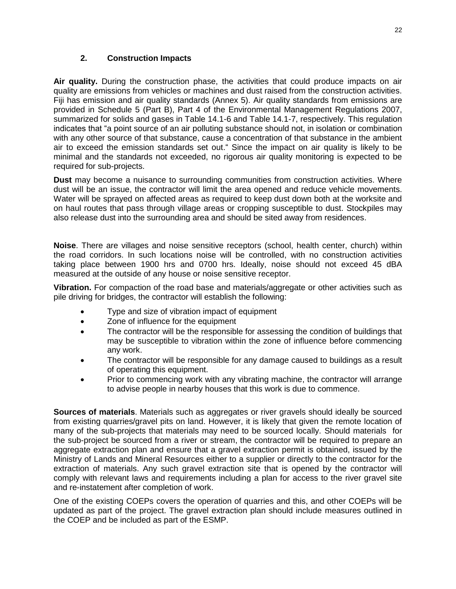# **2. Construction Impacts**

<span id="page-25-0"></span>**Air quality.** During the construction phase, the activities that could produce impacts on air quality are emissions from vehicles or machines and dust raised from the construction activities. Fiji has emission and air quality standards (Annex 5). Air quality standards from emissions are provided in Schedule 5 (Part B), Part 4 of the Environmental Management Regulations 2007, summarized for solids and gases in Table 14.1-6 and Table 14.1-7, respectively. This regulation indicates that "a point source of an air polluting substance should not, in isolation or combination with any other source of that substance, cause a concentration of that substance in the ambient air to exceed the emission standards set out." Since the impact on air quality is likely to be minimal and the standards not exceeded, no rigorous air quality monitoring is expected to be required for sub-projects.

**Dust** may become a nuisance to surrounding communities from construction activities. Where dust will be an issue, the contractor will limit the area opened and reduce vehicle movements. Water will be sprayed on affected areas as required to keep dust down both at the worksite and on haul routes that pass through village areas or cropping susceptible to dust. Stockpiles may also release dust into the surrounding area and should be sited away from residences.

**Noise**. There are villages and noise sensitive receptors (school, health center, church) within the road corridors. In such locations noise will be controlled, with no construction activities taking place between 1900 hrs and 0700 hrs. Ideally, noise should not exceed 45 dBA measured at the outside of any house or noise sensitive receptor.

**Vibration.** For compaction of the road base and materials/aggregate or other activities such as pile driving for bridges, the contractor will establish the following:

- Type and size of vibration impact of equipment
- Zone of influence for the equipment
- The contractor will be the responsible for assessing the condition of buildings that may be susceptible to vibration within the zone of influence before commencing any work.
- The contractor will be responsible for any damage caused to buildings as a result of operating this equipment.
- Prior to commencing work with any vibrating machine, the contractor will arrange to advise people in nearby houses that this work is due to commence.

**Sources of materials**. Materials such as aggregates or river gravels should ideally be sourced from existing quarries/gravel pits on land. However, it is likely that given the remote location of many of the sub-projects that materials may need to be sourced locally. Should materials for the sub-project be sourced from a river or stream, the contractor will be required to prepare an aggregate extraction plan and ensure that a gravel extraction permit is obtained, issued by the Ministry of Lands and Mineral Resources either to a supplier or directly to the contractor for the extraction of materials. Any such gravel extraction site that is opened by the contractor will comply with relevant laws and requirements including a plan for access to the river gravel site and re-instatement after completion of work.

One of the existing COEPs covers the operation of quarries and this, and other COEPs will be updated as part of the project. The gravel extraction plan should include measures outlined in the COEP and be included as part of the ESMP.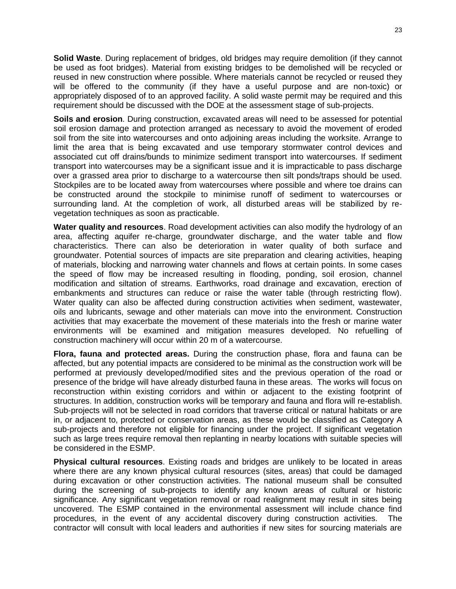**Solid Waste**. During replacement of bridges, old bridges may require demolition (if they cannot be used as foot bridges). Material from existing bridges to be demolished will be recycled or reused in new construction where possible. Where materials cannot be recycled or reused they will be offered to the community (if they have a useful purpose and are non-toxic) or appropriately disposed of to an approved facility. A solid waste permit may be required and this requirement should be discussed with the DOE at the assessment stage of sub-projects.

**Soils and erosion**. During construction, excavated areas will need to be assessed for potential soil erosion damage and protection arranged as necessary to avoid the movement of eroded soil from the site into watercourses and onto adjoining areas including the worksite. Arrange to limit the area that is being excavated and use temporary stormwater control devices and associated cut off drains/bunds to minimize sediment transport into watercourses. If sediment transport into watercourses may be a significant issue and it is impracticable to pass discharge over a grassed area prior to discharge to a watercourse then silt ponds/traps should be used. Stockpiles are to be located away from watercourses where possible and where toe drains can be constructed around the stockpile to minimise runoff of sediment to watercourses or surrounding land. At the completion of work, all disturbed areas will be stabilized by revegetation techniques as soon as practicable.

**Water quality and resources**. Road development activities can also modify the hydrology of an area, affecting aquifer re-charge, groundwater discharge, and the water table and flow characteristics. There can also be deterioration in water quality of both surface and groundwater. Potential sources of impacts are site preparation and clearing activities, heaping of materials, blocking and narrowing water channels and flows at certain points. In some cases the speed of flow may be increased resulting in flooding, ponding, soil erosion, channel modification and siltation of streams. Earthworks, road drainage and excavation, erection of embankments and structures can reduce or raise the water table (through restricting flow). Water quality can also be affected during construction activities when sediment, wastewater, oils and lubricants, sewage and other materials can move into the environment. Construction activities that may exacerbate the movement of these materials into the fresh or marine water environments will be examined and mitigation measures developed. No refuelling of construction machinery will occur within 20 m of a watercourse.

**Flora, fauna and protected areas.** During the construction phase, flora and fauna can be affected, but any potential impacts are considered to be minimal as the construction work will be performed at previously developed/modified sites and the previous operation of the road or presence of the bridge will have already disturbed fauna in these areas. The works will focus on reconstruction within existing corridors and within or adjacent to the existing footprint of structures. In addition, construction works will be temporary and fauna and flora will re-establish. Sub-projects will not be selected in road corridors that traverse critical or natural habitats or are in, or adjacent to, protected or conservation areas, as these would be classified as Category A sub-projects and therefore not eligible for financing under the project. If significant vegetation such as large trees require removal then replanting in nearby locations with suitable species will be considered in the ESMP.

**Physical cultural resources**. Existing roads and bridges are unlikely to be located in areas where there are any known physical cultural resources (sites, areas) that could be damaged during excavation or other construction activities. The national museum shall be consulted during the screening of sub-projects to identify any known areas of cultural or historic significance. Any significant vegetation removal or road realignment may result in sites being uncovered. The ESMP contained in the environmental assessment will include chance find procedures, in the event of any accidental discovery during construction activities. The contractor will consult with local leaders and authorities if new sites for sourcing materials are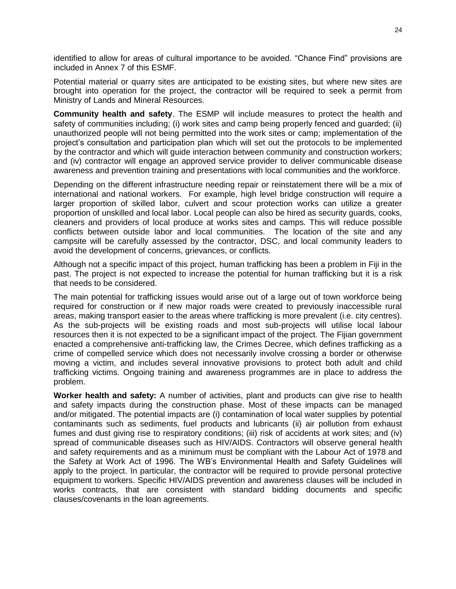identified to allow for areas of cultural importance to be avoided. "Chance Find" provisions are included in Annex 7 of this ESMF.

Potential material or quarry sites are anticipated to be existing sites, but where new sites are brought into operation for the project, the contractor will be required to seek a permit from Ministry of Lands and Mineral Resources.

**Community health and safety**. The ESMP will include measures to protect the health and safety of communities including; (i) work sites and camp being properly fenced and guarded; (ii) unauthorized people will not being permitted into the work sites or camp; implementation of the project's consultation and participation plan which will set out the protocols to be implemented by the contractor and which will guide interaction between community and construction workers; and (iv) contractor will engage an approved service provider to deliver communicable disease awareness and prevention training and presentations with local communities and the workforce.

Depending on the different infrastructure needing repair or reinstatement there will be a mix of international and national workers. For example, high level bridge construction will require a larger proportion of skilled labor, culvert and scour protection works can utilize a greater proportion of unskilled and local labor. Local people can also be hired as security guards, cooks, cleaners and providers of local produce at works sites and camps. This will reduce possible conflicts between outside labor and local communities. The location of the site and any campsite will be carefully assessed by the contractor, DSC, and local community leaders to avoid the development of concerns, grievances, or conflicts.

Although not a specific impact of this project, human trafficking has been a problem in Fiji in the past. The project is not expected to increase the potential for human trafficking but it is a risk that needs to be considered.

The main potential for trafficking issues would arise out of a large out of town workforce being required for construction or if new major roads were created to previously inaccessible rural areas, making transport easier to the areas where trafficking is more prevalent (i.e. city centres). As the sub-projects will be existing roads and most sub-projects will utilise local labour resources then it is not expected to be a significant impact of the project. The Fijian government enacted a comprehensive anti-trafficking law, the Crimes Decree, which defines trafficking as a crime of compelled service which does not necessarily involve crossing a border or otherwise moving a victim, and includes several innovative provisions to protect both adult and child trafficking victims. Ongoing training and awareness programmes are in place to address the problem.

**Worker health and safety:** A number of activities, plant and products can give rise to health and safety impacts during the construction phase. Most of these impacts can be managed and/or mitigated. The potential impacts are (i) contamination of local water supplies by potential contaminants such as sediments, fuel products and lubricants (ii) air pollution from exhaust fumes and dust giving rise to respiratory conditions; (iii) risk of accidents at work sites; and (iv) spread of communicable diseases such as HIV/AIDS. Contractors will observe general health and safety requirements and as a minimum must be compliant with the Labour Act of 1978 and the Safety at Work Act of 1996. The WB's Environmental Health and Safety Guidelines will apply to the project. In particular, the contractor will be required to provide personal protective equipment to workers. Specific HIV/AIDS prevention and awareness clauses will be included in works contracts, that are consistent with standard bidding documents and specific clauses/covenants in the loan agreements.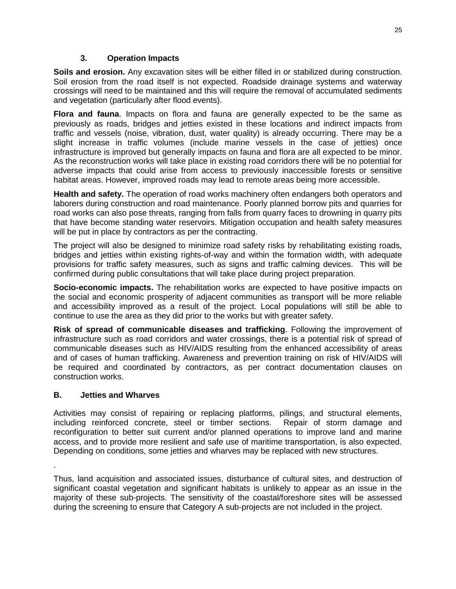#### **3. Operation Impacts**

<span id="page-28-0"></span>**Soils and erosion.** Any excavation sites will be either filled in or stabilized during construction. Soil erosion from the road itself is not expected. Roadside drainage systems and waterway crossings will need to be maintained and this will require the removal of accumulated sediments and vegetation (particularly after flood events).

**Flora and fauna**. Impacts on flora and fauna are generally expected to be the same as previously as roads, bridges and jetties existed in these locations and indirect impacts from traffic and vessels (noise, vibration, dust, water quality) is already occurring. There may be a slight increase in traffic volumes (include marine vessels in the case of jetties) once infrastructure is improved but generally impacts on fauna and flora are all expected to be minor. As the reconstruction works will take place in existing road corridors there will be no potential for adverse impacts that could arise from access to previously inaccessible forests or sensitive habitat areas. However, improved roads may lead to remote areas being more accessible.

**Health and safety.** The operation of road works machinery often endangers both operators and laborers during construction and road maintenance. Poorly planned borrow pits and quarries for road works can also pose threats, ranging from falls from quarry faces to drowning in quarry pits that have become standing water reservoirs. Mitigation occupation and health safety measures will be put in place by contractors as per the contracting.

The project will also be designed to minimize road safety risks by rehabilitating existing roads, bridges and jetties within existing rights-of-way and within the formation width, with adequate provisions for traffic safety measures, such as signs and traffic calming devices. This will be confirmed during public consultations that will take place during project preparation.

**Socio-economic impacts.** The rehabilitation works are expected to have positive impacts on the social and economic prosperity of adjacent communities as transport will be more reliable and accessibility improved as a result of the project. Local populations will still be able to continue to use the area as they did prior to the works but with greater safety.

**Risk of spread of communicable diseases and trafficking**. Following the improvement of infrastructure such as road corridors and water crossings, there is a potential risk of spread of communicable diseases such as HIV/AIDS resulting from the enhanced accessibility of areas and of cases of human trafficking. Awareness and prevention training on risk of HIV/AIDS will be required and coordinated by contractors, as per contract documentation clauses on construction works.

# <span id="page-28-1"></span>**B. Jetties and Wharves**

.

Activities may consist of repairing or replacing platforms, pilings, and structural elements, including reinforced concrete, steel or timber sections. Repair of storm damage and reconfiguration to better suit current and/or planned operations to improve land and marine access, and to provide more resilient and safe use of maritime transportation, is also expected. Depending on conditions, some jetties and wharves may be replaced with new structures.

Thus, land acquisition and associated issues, disturbance of cultural sites, and destruction of significant coastal vegetation and significant habitats is unlikely to appear as an issue in the majority of these sub-projects. The sensitivity of the coastal/foreshore sites will be assessed during the screening to ensure that Category A sub-projects are not included in the project.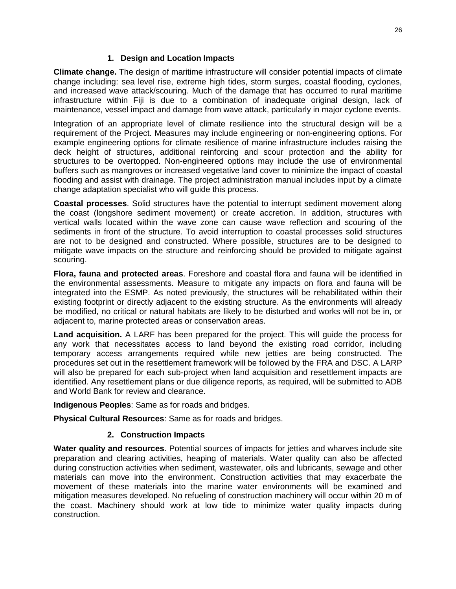#### **1. Design and Location Impacts**

<span id="page-29-0"></span>**Climate change.** The design of maritime infrastructure will consider potential impacts of climate change including: sea level rise, extreme high tides, storm surges, coastal flooding, cyclones, and increased wave attack/scouring. Much of the damage that has occurred to rural maritime infrastructure within Fiji is due to a combination of inadequate original design, lack of maintenance, vessel impact and damage from wave attack, particularly in major cyclone events.

Integration of an appropriate level of climate resilience into the structural design will be a requirement of the Project. Measures may include engineering or non-engineering options. For example engineering options for climate resilience of marine infrastructure includes raising the deck height of structures, additional reinforcing and scour protection and the ability for structures to be overtopped. Non-engineered options may include the use of environmental buffers such as mangroves or increased vegetative land cover to minimize the impact of coastal flooding and assist with drainage. The project administration manual includes input by a climate change adaptation specialist who will guide this process.

**Coastal processes**. Solid structures have the potential to interrupt sediment movement along the coast (longshore sediment movement) or create accretion. In addition, structures with vertical walls located within the wave zone can cause wave reflection and scouring of the sediments in front of the structure. To avoid interruption to coastal processes solid structures are not to be designed and constructed. Where possible, structures are to be designed to mitigate wave impacts on the structure and reinforcing should be provided to mitigate against scouring.

**Flora, fauna and protected areas**. Foreshore and coastal flora and fauna will be identified in the environmental assessments. Measure to mitigate any impacts on flora and fauna will be integrated into the ESMP. As noted previously, the structures will be rehabilitated within their existing footprint or directly adjacent to the existing structure. As the environments will already be modified, no critical or natural habitats are likely to be disturbed and works will not be in, or adjacent to, marine protected areas or conservation areas.

**Land acquisition.** A LARF has been prepared for the project. This will guide the process for any work that necessitates access to land beyond the existing road corridor, including temporary access arrangements required while new jetties are being constructed. The procedures set out in the resettlement framework will be followed by the FRA and DSC. A LARP will also be prepared for each sub-project when land acquisition and resettlement impacts are identified. Any resettlement plans or due diligence reports, as required, will be submitted to ADB and World Bank for review and clearance.

**Indigenous Peoples**: Same as for roads and bridges.

<span id="page-29-1"></span>**Physical Cultural Resources**: Same as for roads and bridges.

#### **2. Construction Impacts**

**Water quality and resources**. Potential sources of impacts for jetties and wharves include site preparation and clearing activities, heaping of materials. Water quality can also be affected during construction activities when sediment, wastewater, oils and lubricants, sewage and other materials can move into the environment. Construction activities that may exacerbate the movement of these materials into the marine water environments will be examined and mitigation measures developed. No refueling of construction machinery will occur within 20 m of the coast. Machinery should work at low tide to minimize water quality impacts during construction.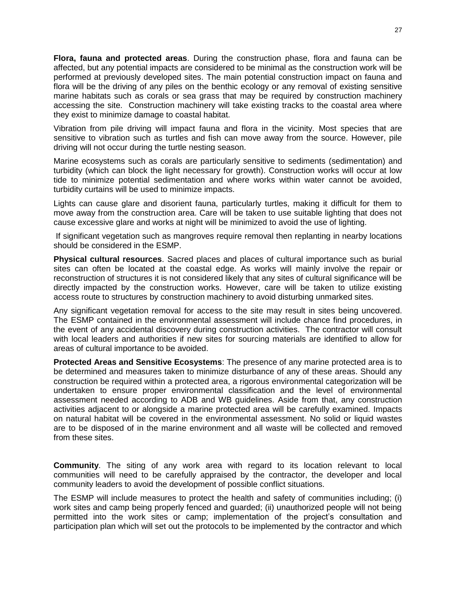**Flora, fauna and protected areas**. During the construction phase, flora and fauna can be affected, but any potential impacts are considered to be minimal as the construction work will be performed at previously developed sites. The main potential construction impact on fauna and flora will be the driving of any piles on the benthic ecology or any removal of existing sensitive marine habitats such as corals or sea grass that may be required by construction machinery accessing the site. Construction machinery will take existing tracks to the coastal area where they exist to minimize damage to coastal habitat.

Vibration from pile driving will impact fauna and flora in the vicinity. Most species that are sensitive to vibration such as turtles and fish can move away from the source. However, pile driving will not occur during the turtle nesting season.

Marine ecosystems such as corals are particularly sensitive to sediments (sedimentation) and turbidity (which can block the light necessary for growth). Construction works will occur at low tide to minimize potential sedimentation and where works within water cannot be avoided, turbidity curtains will be used to minimize impacts.

Lights can cause glare and disorient fauna, particularly turtles, making it difficult for them to move away from the construction area. Care will be taken to use suitable lighting that does not cause excessive glare and works at night will be minimized to avoid the use of lighting.

If significant vegetation such as mangroves require removal then replanting in nearby locations should be considered in the ESMP.

**Physical cultural resources**. Sacred places and places of cultural importance such as burial sites can often be located at the coastal edge. As works will mainly involve the repair or reconstruction of structures it is not considered likely that any sites of cultural significance will be directly impacted by the construction works. However, care will be taken to utilize existing access route to structures by construction machinery to avoid disturbing unmarked sites.

Any significant vegetation removal for access to the site may result in sites being uncovered. The ESMP contained in the environmental assessment will include chance find procedures, in the event of any accidental discovery during construction activities. The contractor will consult with local leaders and authorities if new sites for sourcing materials are identified to allow for areas of cultural importance to be avoided.

**Protected Areas and Sensitive Ecosystems**: The presence of any marine protected area is to be determined and measures taken to minimize disturbance of any of these areas. Should any construction be required within a protected area, a rigorous environmental categorization will be undertaken to ensure proper environmental classification and the level of environmental assessment needed according to ADB and WB guidelines. Aside from that, any construction activities adjacent to or alongside a marine protected area will be carefully examined. Impacts on natural habitat will be covered in the environmental assessment. No solid or liquid wastes are to be disposed of in the marine environment and all waste will be collected and removed from these sites.

**Community**. The siting of any work area with regard to its location relevant to local communities will need to be carefully appraised by the contractor, the developer and local community leaders to avoid the development of possible conflict situations.

The ESMP will include measures to protect the health and safety of communities including; (i) work sites and camp being properly fenced and guarded; (ii) unauthorized people will not being permitted into the work sites or camp; implementation of the project's consultation and participation plan which will set out the protocols to be implemented by the contractor and which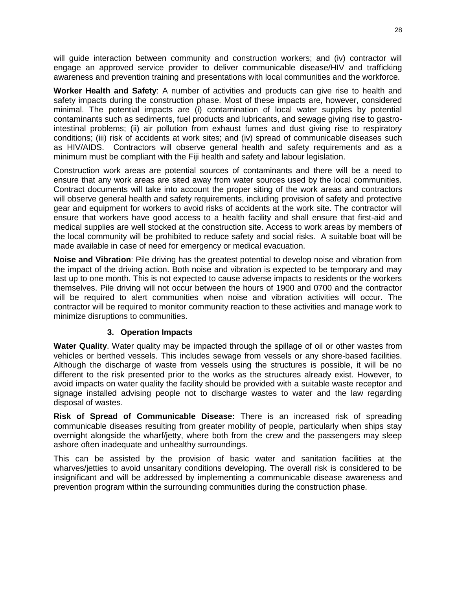will guide interaction between community and construction workers; and (iv) contractor will engage an approved service provider to deliver communicable disease/HIV and trafficking awareness and prevention training and presentations with local communities and the workforce.

**Worker Health and Safety**: A number of activities and products can give rise to health and safety impacts during the construction phase. Most of these impacts are, however, considered minimal. The potential impacts are (i) contamination of local water supplies by potential contaminants such as sediments, fuel products and lubricants, and sewage giving rise to gastrointestinal problems; (ii) air pollution from exhaust fumes and dust giving rise to respiratory conditions; (iii) risk of accidents at work sites; and (iv) spread of communicable diseases such as HIV/AIDS. Contractors will observe general health and safety requirements and as a minimum must be compliant with the Fiji health and safety and labour legislation.

Construction work areas are potential sources of contaminants and there will be a need to ensure that any work areas are sited away from water sources used by the local communities. Contract documents will take into account the proper siting of the work areas and contractors will observe general health and safety requirements, including provision of safety and protective gear and equipment for workers to avoid risks of accidents at the work site. The contractor will ensure that workers have good access to a health facility and shall ensure that first-aid and medical supplies are well stocked at the construction site. Access to work areas by members of the local community will be prohibited to reduce safety and social risks. A suitable boat will be made available in case of need for emergency or medical evacuation.

**Noise and Vibration**: Pile driving has the greatest potential to develop noise and vibration from the impact of the driving action. Both noise and vibration is expected to be temporary and may last up to one month. This is not expected to cause adverse impacts to residents or the workers themselves. Pile driving will not occur between the hours of 1900 and 0700 and the contractor will be required to alert communities when noise and vibration activities will occur. The contractor will be required to monitor community reaction to these activities and manage work to minimize disruptions to communities.

#### **3. Operation Impacts**

<span id="page-31-0"></span>**Water Quality**. Water quality may be impacted through the spillage of oil or other wastes from vehicles or berthed vessels. This includes sewage from vessels or any shore-based facilities. Although the discharge of waste from vessels using the structures is possible, it will be no different to the risk presented prior to the works as the structures already exist. However, to avoid impacts on water quality the facility should be provided with a suitable waste receptor and signage installed advising people not to discharge wastes to water and the law regarding disposal of wastes.

**Risk of Spread of Communicable Disease:** There is an increased risk of spreading communicable diseases resulting from greater mobility of people, particularly when ships stay overnight alongside the wharf/jetty, where both from the crew and the passengers may sleep ashore often inadequate and unhealthy surroundings.

This can be assisted by the provision of basic water and sanitation facilities at the wharves/jetties to avoid unsanitary conditions developing. The overall risk is considered to be insignificant and will be addressed by implementing a communicable disease awareness and prevention program within the surrounding communities during the construction phase.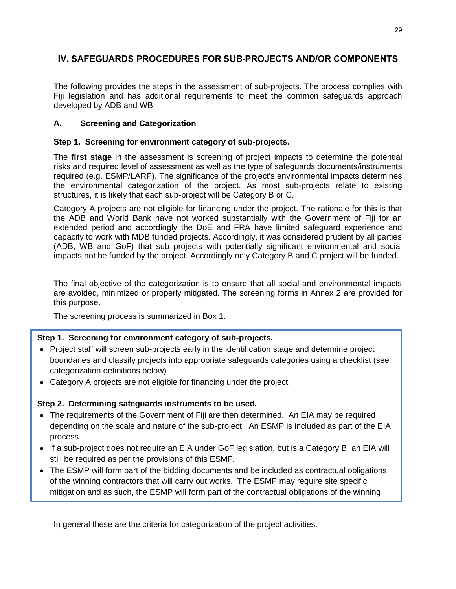# <span id="page-32-0"></span>IV. SAFEGUARDS PROCEDURES FOR SUB-PROJECTS AND/OR COMPONENTS

The following provides the steps in the assessment of sub-projects. The process complies with Fiji legislation and has additional requirements to meet the common safeguards approach developed by ADB and WB.

#### <span id="page-32-1"></span>**A. Screening and Categorization**

#### **Step 1. Screening for environment category of sub-projects.**

The **first stage** in the assessment is screening of project impacts to determine the potential risks and required level of assessment as well as the type of safeguards documents/instruments required (e.g. ESMP/LARP). The significance of the project's environmental impacts determines the environmental categorization of the project. As most sub-projects relate to existing structures, it is likely that each sub-project will be Category B or C.

Category A projects are not eligible for financing under the project. The rationale for this is that the ADB and World Bank have not worked substantially with the Government of Fiji for an extended period and accordingly the DoE and FRA have limited safeguard experience and capacity to work with MDB funded projects. Accordingly, it was considered prudent by all parties (ADB, WB and GoF) that sub projects with potentially significant environmental and social impacts not be funded by the project. Accordingly only Category B and C project will be funded.

The final objective of the categorization is to ensure that all social and environmental impacts are avoided, minimized or properly mitigated. The screening forms in Annex 2 are provided for this purpose.

The screening process is summarized in Box 1.

#### **Step 1. Screening for environment category of sub-projects.**

- Project staff will screen sub-projects early in the identification stage and determine project boundaries and classify projects into appropriate safeguards categories using a checklist (see categorization definitions below)
- Category A projects are not eligible for financing under the project.

# **Step 2. Determining safeguards instruments to be used.**

bidders.

- The requirements of the Government of Fiji are then determined. An EIA may be required depending on the scale and nature of the sub-project. An ESMP is included as part of the EIA process.
- If a sub-project does not require an EIA under GoF legislation, but is a Category B, an EIA will still be required as per the provisions of this ESMF.
- The ESMP will form part of the bidding documents and be included as contractual obligations of the winning contractors that will carry out works. The ESMP may require site specific mitigation and as such, the ESMP will form part of the contractual obligations of the winning

In general these are the criteria for categorization of the project activities. impact identification and appropriateness of proposed mitigation measures.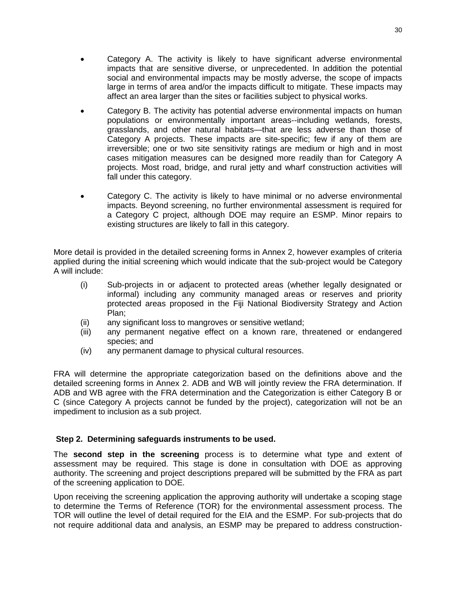- Category A. The activity is likely to have significant adverse environmental impacts that are sensitive diverse, or unprecedented. In addition the potential social and environmental impacts may be mostly adverse, the scope of impacts large in terms of area and/or the impacts difficult to mitigate. These impacts may affect an area larger than the sites or facilities subject to physical works.
- Category B. The activity has potential adverse environmental impacts on human populations or environmentally important areas--including wetlands, forests, grasslands, and other natural habitats—that are less adverse than those of Category A projects. These impacts are site-specific; few if any of them are irreversible; one or two site sensitivity ratings are medium or high and in most cases mitigation measures can be designed more readily than for Category A projects. Most road, bridge, and rural jetty and wharf construction activities will fall under this category.
- Category C. The activity is likely to have minimal or no adverse environmental impacts. Beyond screening, no further environmental assessment is required for a Category C project, although DOE may require an ESMP. Minor repairs to existing structures are likely to fall in this category.

More detail is provided in the detailed screening forms in Annex 2, however examples of criteria applied during the initial screening which would indicate that the sub-project would be Category A will include:

- (i) Sub-projects in or adjacent to protected areas (whether legally designated or informal) including any community managed areas or reserves and priority protected areas proposed in the Fiji National Biodiversity Strategy and Action Plan;
- (ii) any significant loss to mangroves or sensitive wetland;
- (iii) any permanent negative effect on a known rare, threatened or endangered species; and
- (iv) any permanent damage to physical cultural resources.

FRA will determine the appropriate categorization based on the definitions above and the detailed screening forms in Annex 2. ADB and WB will jointly review the FRA determination. If ADB and WB agree with the FRA determination and the Categorization is either Category B or C (since Category A projects cannot be funded by the project), categorization will not be an impediment to inclusion as a sub project.

#### **Step 2. Determining safeguards instruments to be used.**

The **second step in the screening** process is to determine what type and extent of assessment may be required. This stage is done in consultation with DOE as approving authority. The screening and project descriptions prepared will be submitted by the FRA as part of the screening application to DOE.

Upon receiving the screening application the approving authority will undertake a scoping stage to determine the Terms of Reference (TOR) for the environmental assessment process. The TOR will outline the level of detail required for the EIA and the ESMP. For sub-projects that do not require additional data and analysis, an ESMP may be prepared to address construction-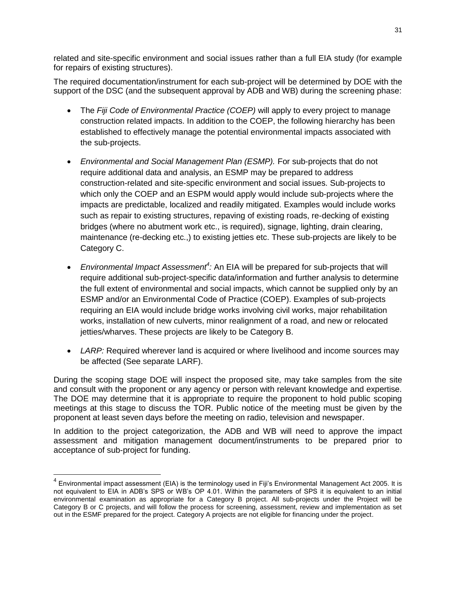related and site-specific environment and social issues rather than a full EIA study (for example for repairs of existing structures).

The required documentation/instrument for each sub-project will be determined by DOE with the support of the DSC (and the subsequent approval by ADB and WB) during the screening phase:

- The *Fiji Code of Environmental Practice (COEP)* will apply to every project to manage construction related impacts. In addition to the COEP, the following hierarchy has been established to effectively manage the potential environmental impacts associated with the sub-projects.
- *Environmental and Social Management Plan (ESMP).* For sub-projects that do not require additional data and analysis, an ESMP may be prepared to address construction-related and site-specific environment and social issues. Sub-projects to which only the COEP and an ESPM would apply would include sub-projects where the impacts are predictable, localized and readily mitigated. Examples would include works such as repair to existing structures, repaving of existing roads, re-decking of existing bridges (where no abutment work etc., is required), signage, lighting, drain clearing, maintenance (re-decking etc.,) to existing jetties etc. These sub-projects are likely to be Category C.
- *Environmental Impact Assessment<sup>4</sup>:* An EIA will be prepared for sub-projects that will require additional sub-project-specific data/information and further analysis to determine the full extent of environmental and social impacts, which cannot be supplied only by an ESMP and/or an Environmental Code of Practice (COEP). Examples of sub-projects requiring an EIA would include bridge works involving civil works, major rehabilitation works, installation of new culverts, minor realignment of a road, and new or relocated jetties/wharves. These projects are likely to be Category B.
- LARP: Required wherever land is acquired or where livelihood and income sources may be affected (See separate LARF).

During the scoping stage DOE will inspect the proposed site, may take samples from the site and consult with the proponent or any agency or person with relevant knowledge and expertise. The DOE may determine that it is appropriate to require the proponent to hold public scoping meetings at this stage to discuss the TOR. Public notice of the meeting must be given by the proponent at least seven days before the meeting on radio, television and newspaper.

In addition to the project categorization, the ADB and WB will need to approve the impact assessment and mitigation management document/instruments to be prepared prior to acceptance of sub-project for funding.

 $^4$  Environmental impact assessment (EIA) is the terminology used in Fiji's Environmental Management Act 2005. It is not equivalent to EIA in ADB's SPS or WB's OP 4.01. Within the parameters of SPS it is equivalent to an initial environmental examination as appropriate for a Category B project. All sub-projects under the Project will be Category B or C projects, and will follow the process for screening, assessment, review and implementation as set out in the ESMF prepared for the project. Category A projects are not eligible for financing under the project.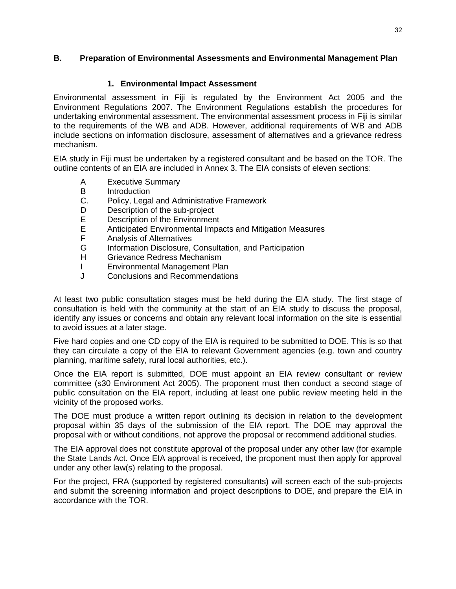### <span id="page-35-1"></span><span id="page-35-0"></span>**B. Preparation of Environmental Assessments and Environmental Management Plan**

#### **1. Environmental Impact Assessment**

Environmental assessment in Fiji is regulated by the Environment Act 2005 and the Environment Regulations 2007. The Environment Regulations establish the procedures for undertaking environmental assessment. The environmental assessment process in Fiji is similar to the requirements of the WB and ADB. However, additional requirements of WB and ADB include sections on information disclosure, assessment of alternatives and a grievance redress mechanism.

EIA study in Fiji must be undertaken by a registered consultant and be based on the TOR. The outline contents of an EIA are included in Annex 3. The EIA consists of eleven sections:

- A Executive Summary
- B Introduction
- C. Policy, Legal and Administrative Framework
- D Description of the sub-project
- E Description of the Environment
- E Anticipated Environmental Impacts and Mitigation Measures<br>F Analysis of Alternatives
- F Analysis of Alternatives<br>G Information Disclosure
- Information Disclosure, Consultation, and Participation
- H Grievance Redress Mechanism
- I Environmental Management Plan
- J Conclusions and Recommendations

At least two public consultation stages must be held during the EIA study. The first stage of consultation is held with the community at the start of an EIA study to discuss the proposal, identify any issues or concerns and obtain any relevant local information on the site is essential to avoid issues at a later stage.

Five hard copies and one CD copy of the EIA is required to be submitted to DOE. This is so that they can circulate a copy of the EIA to relevant Government agencies (e.g. town and country planning, maritime safety, rural local authorities, etc.).

Once the EIA report is submitted, DOE must appoint an EIA review consultant or review committee (s30 Environment Act 2005). The proponent must then conduct a second stage of public consultation on the EIA report, including at least one public review meeting held in the vicinity of the proposed works.

The DOE must produce a written report outlining its decision in relation to the development proposal within 35 days of the submission of the EIA report. The DOE may approval the proposal with or without conditions, not approve the proposal or recommend additional studies.

The EIA approval does not constitute approval of the proposal under any other law (for example the State Lands Act. Once EIA approval is received, the proponent must then apply for approval under any other law(s) relating to the proposal.

For the project, FRA (supported by registered consultants) will screen each of the sub-projects and submit the screening information and project descriptions to DOE, and prepare the EIA in accordance with the TOR.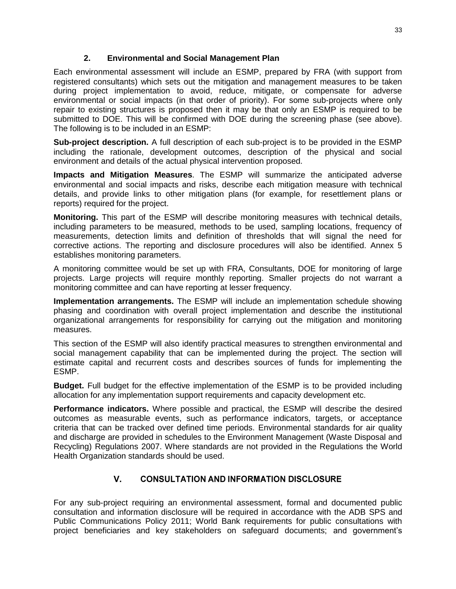## **2. Environmental and Social Management Plan**

Each environmental assessment will include an ESMP, prepared by FRA (with support from registered consultants) which sets out the mitigation and management measures to be taken during project implementation to avoid, reduce, mitigate, or compensate for adverse environmental or social impacts (in that order of priority). For some sub-projects where only repair to existing structures is proposed then it may be that only an ESMP is required to be submitted to DOE. This will be confirmed with DOE during the screening phase (see above). The following is to be included in an ESMP:

**Sub-project description.** A full description of each sub-project is to be provided in the ESMP including the rationale, development outcomes, description of the physical and social environment and details of the actual physical intervention proposed.

**Impacts and Mitigation Measures**. The ESMP will summarize the anticipated adverse environmental and social impacts and risks, describe each mitigation measure with technical details, and provide links to other mitigation plans (for example, for resettlement plans or reports) required for the project.

**Monitoring.** This part of the ESMP will describe monitoring measures with technical details, including parameters to be measured, methods to be used, sampling locations, frequency of measurements, detection limits and definition of thresholds that will signal the need for corrective actions. The reporting and disclosure procedures will also be identified. Annex 5 establishes monitoring parameters.

A monitoring committee would be set up with FRA, Consultants, DOE for monitoring of large projects. Large projects will require monthly reporting. Smaller projects do not warrant a monitoring committee and can have reporting at lesser frequency.

**Implementation arrangements.** The ESMP will include an implementation schedule showing phasing and coordination with overall project implementation and describe the institutional organizational arrangements for responsibility for carrying out the mitigation and monitoring measures.

This section of the ESMP will also identify practical measures to strengthen environmental and social management capability that can be implemented during the project. The section will estimate capital and recurrent costs and describes sources of funds for implementing the ESMP.

**Budget.** Full budget for the effective implementation of the ESMP is to be provided including allocation for any implementation support requirements and capacity development etc.

**Performance indicators.** Where possible and practical, the ESMP will describe the desired outcomes as measurable events, such as performance indicators, targets, or acceptance criteria that can be tracked over defined time periods. Environmental standards for air quality and discharge are provided in schedules to the Environment Management (Waste Disposal and Recycling) Regulations 2007. Where standards are not provided in the Regulations the World Health Organization standards should be used.

#### $V_{\cdot}$ **CONSULTATION AND INFORMATION DISCLOSURE**

For any sub-project requiring an environmental assessment, formal and documented public consultation and information disclosure will be required in accordance with the ADB SPS and Public Communications Policy 2011; World Bank requirements for public consultations with project beneficiaries and key stakeholders on safeguard documents; and government's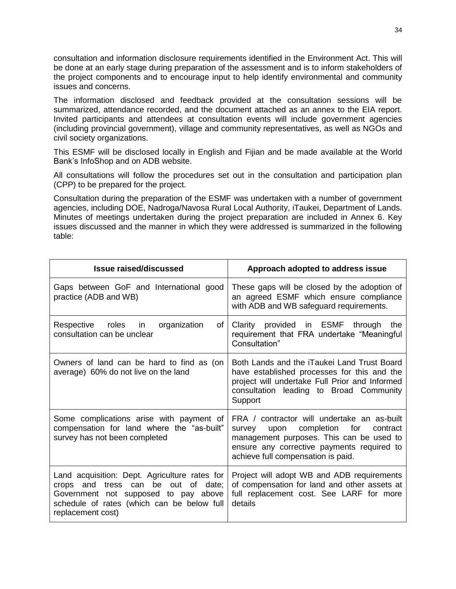consultation and information disclosure requirements identified in the Environment Act. This will be done at an early stage during preparation of the assessment and is to inform stakeholders of the project components and to encourage input to help identify environmental and community issues and concerns.

The information disclosed and feedback provided at the consultation sessions will be summarized, attendance recorded, and the document attached as an annex to the EIA report. Invited participants and attendees at consultation events will include government agencies (including provincial government), village and community representatives, as well as NGOs and civil society organizations.

This ESMF will be disclosed locally in English and Fijian and be made available at the World Bank's InfoShop and on ADB website.

All consultations will follow the procedures set out in the consultation and participation plan (CPP) to be prepared for the project.

Consultation during the preparation of the ESMF was undertaken with a number of government agencies, including DOE, Nadroga/Navosa Rural Local Authority, iTaukei, Department of Lands. Minutes of meetings undertaken during the project preparation are included in Annex 6. Key issues discussed and the manner in which they were addressed is summarized in the following table:

| <b>Issue raised/discussed</b>                                                                                                                                                                               | Approach adopted to address issue                                                                                                                                                                                              |
|-------------------------------------------------------------------------------------------------------------------------------------------------------------------------------------------------------------|--------------------------------------------------------------------------------------------------------------------------------------------------------------------------------------------------------------------------------|
| Gaps between GoF and International good<br>practice (ADB and WB)                                                                                                                                            | These gaps will be closed by the adoption of<br>an agreed ESMF which ensure compliance<br>with ADB and WB safeguard requirements.                                                                                              |
| Respective roles in organization<br>of<br>consultation can be unclear                                                                                                                                       | Clarity provided in ESMF through<br>the<br>requirement that FRA undertake "Meaningful<br>Consultation"                                                                                                                         |
| Owners of land can be hard to find as (on<br>average) 60% do not live on the land                                                                                                                           | Both Lands and the iTaukei Land Trust Board<br>have established processes for this and the<br>project will undertake Full Prior and Informed<br>consultation leading to Broad Community<br>Support                             |
| Some complications arise with payment of<br>compensation for land where the "as-built"<br>survey has not been completed                                                                                     | FRA / contractor will undertake an as-built<br>completion<br>for<br>survey<br>upon<br>contract<br>management purposes. This can be used to<br>ensure any corrective payments required to<br>achieve full compensation is paid. |
| Land acquisition: Dept. Agriculture rates for<br>be out of<br>crops and<br>tress<br>date:<br>can<br>Government not supposed to pay above<br>schedule of rates (which can be below full<br>replacement cost) | Project will adopt WB and ADB requirements<br>of compensation for land and other assets at<br>full replacement cost. See LARF for more<br>details                                                                              |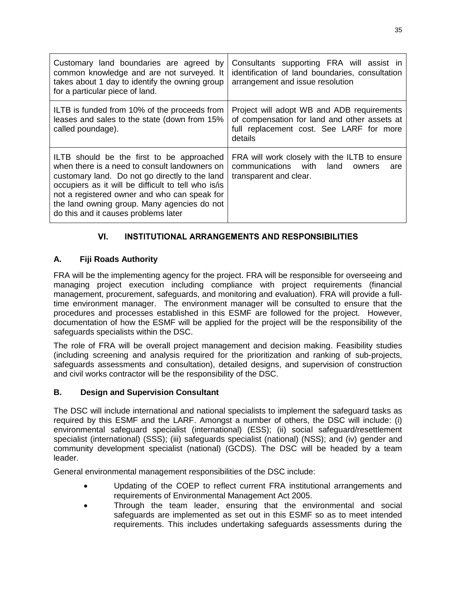| Customary land boundaries are agreed by<br>common knowledge and are not surveyed. It<br>takes about 1 day to identify the owning group<br>for a particular piece of land.                                                                                                                                                                  | Consultants supporting FRA will assist in<br>identification of land boundaries, consultation<br>arrangement and issue resolution                  |
|--------------------------------------------------------------------------------------------------------------------------------------------------------------------------------------------------------------------------------------------------------------------------------------------------------------------------------------------|---------------------------------------------------------------------------------------------------------------------------------------------------|
| ILTB is funded from 10% of the proceeds from<br>leases and sales to the state (down from 15%<br>called poundage).                                                                                                                                                                                                                          | Project will adopt WB and ADB requirements<br>of compensation for land and other assets at<br>full replacement cost. See LARF for more<br>details |
| ILTB should be the first to be approached<br>when there is a need to consult landowners on<br>customary land. Do not go directly to the land<br>occupiers as it will be difficult to tell who is/is<br>not a registered owner and who can speak for<br>the land owning group. Many agencies do not<br>do this and it causes problems later | FRA will work closely with the ILTB to ensure<br>communications with<br>land<br>owners<br>are<br>transparent and clear.                           |

#### VI. **INSTITUTIONAL ARRANGEMENTS AND RESPONSIBILITIES**

# **A. Fiji Roads Authority**

FRA will be the implementing agency for the project. FRA will be responsible for overseeing and managing project execution including compliance with project requirements (financial management, procurement, safeguards, and monitoring and evaluation). FRA will provide a fulltime environment manager. The environment manager will be consulted to ensure that the procedures and processes established in this ESMF are followed for the project. However, documentation of how the ESMF will be applied for the project will be the responsibility of the safeguards specialists within the DSC.

The role of FRA will be overall project management and decision making. Feasibility studies (including screening and analysis required for the prioritization and ranking of sub-projects, safeguards assessments and consultation), detailed designs, and supervision of construction and civil works contractor will be the responsibility of the DSC.

# **B. Design and Supervision Consultant**

The DSC will include international and national specialists to implement the safeguard tasks as required by this ESMF and the LARF. Amongst a number of others, the DSC will include: (i) environmental safeguard specialist (international) (ESS); (ii) social safeguard/resettlement specialist (international) (SSS); (iii) safeguards specialist (national) (NSS); and (iv) gender and community development specialist (national) (GCDS). The DSC will be headed by a team leader.

General environmental management responsibilities of the DSC include:

- Updating of the COEP to reflect current FRA institutional arrangements and requirements of Environmental Management Act 2005.
- Through the team leader, ensuring that the environmental and social safeguards are implemented as set out in this ESMF so as to meet intended requirements. This includes undertaking safeguards assessments during the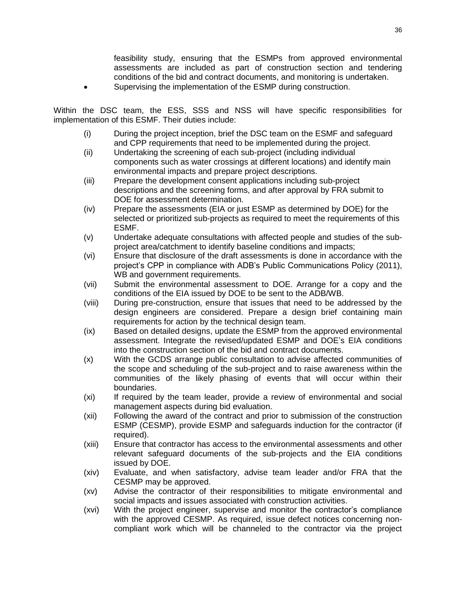feasibility study, ensuring that the ESMPs from approved environmental assessments are included as part of construction section and tendering conditions of the bid and contract documents, and monitoring is undertaken.

Supervising the implementation of the ESMP during construction.

Within the DSC team, the ESS, SSS and NSS will have specific responsibilities for implementation of this ESMF. Their duties include:

- (i) During the project inception, brief the DSC team on the ESMF and safeguard and CPP requirements that need to be implemented during the project.
- (ii) Undertaking the screening of each sub-project (including individual components such as water crossings at different locations) and identify main environmental impacts and prepare project descriptions.
- (iii) Prepare the development consent applications including sub-project descriptions and the screening forms, and after approval by FRA submit to DOE for assessment determination.
- (iv) Prepare the assessments (EIA or just ESMP as determined by DOE) for the selected or prioritized sub-projects as required to meet the requirements of this ESMF.
- (v) Undertake adequate consultations with affected people and studies of the subproject area/catchment to identify baseline conditions and impacts;
- (vi) Ensure that disclosure of the draft assessments is done in accordance with the project's CPP in compliance with ADB's Public Communications Policy (2011), WB and government requirements.
- (vii) Submit the environmental assessment to DOE. Arrange for a copy and the conditions of the EIA issued by DOE to be sent to the ADB/WB.
- (viii) During pre-construction, ensure that issues that need to be addressed by the design engineers are considered. Prepare a design brief containing main requirements for action by the technical design team.
- (ix) Based on detailed designs, update the ESMP from the approved environmental assessment. Integrate the revised/updated ESMP and DOE's EIA conditions into the construction section of the bid and contract documents.
- (x) With the GCDS arrange public consultation to advise affected communities of the scope and scheduling of the sub-project and to raise awareness within the communities of the likely phasing of events that will occur within their boundaries.
- (xi) If required by the team leader, provide a review of environmental and social management aspects during bid evaluation.
- (xii) Following the award of the contract and prior to submission of the construction ESMP (CESMP), provide ESMP and safeguards induction for the contractor (if required).
- (xiii) Ensure that contractor has access to the environmental assessments and other relevant safeguard documents of the sub-projects and the EIA conditions issued by DOE.
- (xiv) Evaluate, and when satisfactory, advise team leader and/or FRA that the CESMP may be approved.
- (xv) Advise the contractor of their responsibilities to mitigate environmental and social impacts and issues associated with construction activities.
- (xvi) With the project engineer, supervise and monitor the contractor's compliance with the approved CESMP. As required, issue defect notices concerning noncompliant work which will be channeled to the contractor via the project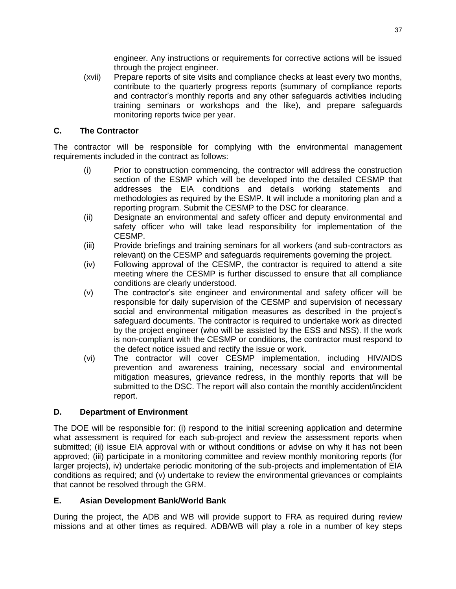engineer. Any instructions or requirements for corrective actions will be issued through the project engineer.

(xvii) Prepare reports of site visits and compliance checks at least every two months, contribute to the quarterly progress reports (summary of compliance reports and contractor's monthly reports and any other safeguards activities including training seminars or workshops and the like), and prepare safeguards monitoring reports twice per year.

## **C. The Contractor**

The contractor will be responsible for complying with the environmental management requirements included in the contract as follows:

- (i) Prior to construction commencing, the contractor will address the construction section of the ESMP which will be developed into the detailed CESMP that addresses the EIA conditions and details working statements and methodologies as required by the ESMP. It will include a monitoring plan and a reporting program. Submit the CESMP to the DSC for clearance.
- (ii) Designate an environmental and safety officer and deputy environmental and safety officer who will take lead responsibility for implementation of the CESMP.
- (iii) Provide briefings and training seminars for all workers (and sub-contractors as relevant) on the CESMP and safeguards requirements governing the project.
- (iv) Following approval of the CESMP, the contractor is required to attend a site meeting where the CESMP is further discussed to ensure that all compliance conditions are clearly understood.
- (v) The contractor's site engineer and environmental and safety officer will be responsible for daily supervision of the CESMP and supervision of necessary social and environmental mitigation measures as described in the project's safeguard documents. The contractor is required to undertake work as directed by the project engineer (who will be assisted by the ESS and NSS). If the work is non-compliant with the CESMP or conditions, the contractor must respond to the defect notice issued and rectify the issue or work.
- (vi) The contractor will cover CESMP implementation, including HIV/AIDS prevention and awareness training, necessary social and environmental mitigation measures, grievance redress, in the monthly reports that will be submitted to the DSC. The report will also contain the monthly accident/incident report.

## **D. Department of Environment**

The DOE will be responsible for: (i) respond to the initial screening application and determine what assessment is required for each sub-project and review the assessment reports when submitted; (ii) issue EIA approval with or without conditions or advise on why it has not been approved; (iii) participate in a monitoring committee and review monthly monitoring reports (for larger projects), iv) undertake periodic monitoring of the sub-projects and implementation of EIA conditions as required; and (v) undertake to review the environmental grievances or complaints that cannot be resolved through the GRM.

## **E. Asian Development Bank/World Bank**

During the project, the ADB and WB will provide support to FRA as required during review missions and at other times as required. ADB/WB will play a role in a number of key steps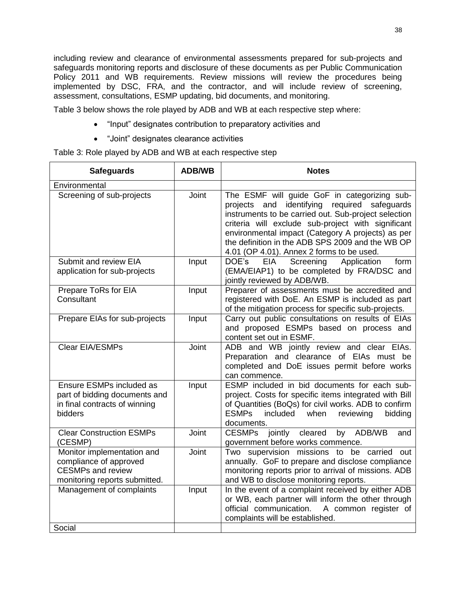including review and clearance of environmental assessments prepared for sub-projects and safeguards monitoring reports and disclosure of these documents as per Public Communication Policy 2011 and WB requirements. Review missions will review the procedures being implemented by DSC, FRA, and the contractor, and will include review of screening, assessment, consultations, ESMP updating, bid documents, and monitoring.

Table 3 below shows the role played by ADB and WB at each respective step where:

- "Input" designates contribution to preparatory activities and
- "Joint" designates clearance activities

Table 3: Role played by ADB and WB at each respective step

| <b>Safeguards</b>                                                                                                 | <b>ADB/WB</b> | <b>Notes</b>                                                                                                                                                                                                                                                                                                                                                           |
|-------------------------------------------------------------------------------------------------------------------|---------------|------------------------------------------------------------------------------------------------------------------------------------------------------------------------------------------------------------------------------------------------------------------------------------------------------------------------------------------------------------------------|
| Environmental                                                                                                     |               |                                                                                                                                                                                                                                                                                                                                                                        |
| Screening of sub-projects                                                                                         | Joint         | The ESMF will guide GoF in categorizing sub-<br>and identifying<br>required safeguards<br>projects<br>instruments to be carried out. Sub-project selection<br>criteria will exclude sub-project with significant<br>environmental impact (Category A projects) as per<br>the definition in the ADB SPS 2009 and the WB OP<br>4.01 (OP 4.01). Annex 2 forms to be used. |
| Submit and review EIA<br>application for sub-projects                                                             | Input         | DOE's<br>EIA<br>Screening<br>Application<br>form<br>(EMA/EIAP1) to be completed by FRA/DSC and<br>jointly reviewed by ADB/WB.                                                                                                                                                                                                                                          |
| Prepare ToRs for EIA<br>Consultant                                                                                | Input         | Preparer of assessments must be accredited and<br>registered with DoE. An ESMP is included as part<br>of the mitigation process for specific sub-projects.                                                                                                                                                                                                             |
| Prepare EIAs for sub-projects                                                                                     | Input         | Carry out public consultations on results of EIAs<br>and proposed ESMPs based on process and<br>content set out in ESMF.                                                                                                                                                                                                                                               |
| <b>Clear EIA/ESMPs</b>                                                                                            | Joint         | ADB and WB jointly review and clear EIAs.<br>Preparation and clearance of EIAs must be<br>completed and DoE issues permit before works<br>can commence.                                                                                                                                                                                                                |
| Ensure ESMPs included as<br>part of bidding documents and<br>in final contracts of winning<br>bidders             | Input         | ESMP included in bid documents for each sub-<br>project. Costs for specific items integrated with Bill<br>of Quantities (BoQs) for civil works. ADB to confirm<br><b>ESMPs</b><br>included<br>when<br>reviewing<br>bidding<br>documents.                                                                                                                               |
| <b>Clear Construction ESMPs</b><br>(CESMP)                                                                        | Joint         | cleared<br>jointly<br>by<br>ADB/WB<br><b>CESMPs</b><br>and<br>government before works commence.                                                                                                                                                                                                                                                                        |
| Monitor implementation and<br>compliance of approved<br><b>CESMPs and review</b><br>monitoring reports submitted. | <b>Joint</b>  | Two supervision missions to<br>be carried out<br>annually. GoF to prepare and disclose compliance<br>monitoring reports prior to arrival of missions. ADB<br>and WB to disclose monitoring reports.                                                                                                                                                                    |
| Management of complaints                                                                                          | Input         | In the event of a complaint received by either ADB<br>or WB, each partner will inform the other through<br>official communication.<br>A common register of<br>complaints will be established.                                                                                                                                                                          |
| Social                                                                                                            |               |                                                                                                                                                                                                                                                                                                                                                                        |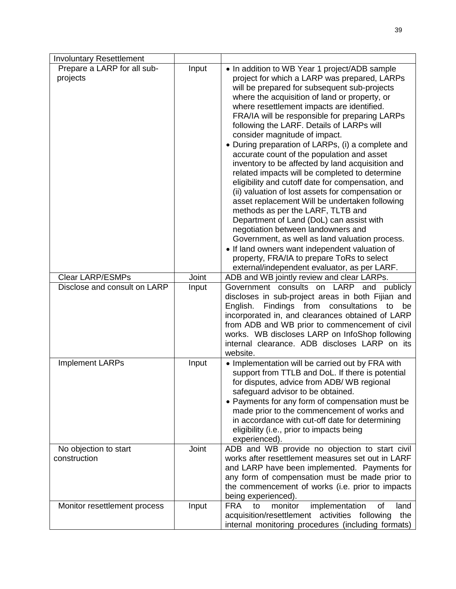| <b>Involuntary Resettlement</b>         |       |                                                                                                                                                                                                                                                                                                                                                                                                                                                                                                                                                                                                                                                                                                                                                                                                                                                                                                                                                                                                                                                                            |
|-----------------------------------------|-------|----------------------------------------------------------------------------------------------------------------------------------------------------------------------------------------------------------------------------------------------------------------------------------------------------------------------------------------------------------------------------------------------------------------------------------------------------------------------------------------------------------------------------------------------------------------------------------------------------------------------------------------------------------------------------------------------------------------------------------------------------------------------------------------------------------------------------------------------------------------------------------------------------------------------------------------------------------------------------------------------------------------------------------------------------------------------------|
| Prepare a LARP for all sub-<br>projects | Input | • In addition to WB Year 1 project/ADB sample<br>project for which a LARP was prepared, LARPs<br>will be prepared for subsequent sub-projects<br>where the acquisition of land or property, or<br>where resettlement impacts are identified.<br>FRA/IA will be responsible for preparing LARPs<br>following the LARF. Details of LARPs will<br>consider magnitude of impact.<br>• During preparation of LARPs, (i) a complete and<br>accurate count of the population and asset<br>inventory to be affected by land acquisition and<br>related impacts will be completed to determine<br>eligibility and cutoff date for compensation, and<br>(ii) valuation of lost assets for compensation or<br>asset replacement Will be undertaken following<br>methods as per the LARF, TLTB and<br>Department of Land (DoL) can assist with<br>negotiation between landowners and<br>Government, as well as land valuation process.<br>• If land owners want independent valuation of<br>property, FRA/IA to prepare ToRs to select<br>external/independent evaluator, as per LARF. |
| <b>Clear LARP/ESMPs</b>                 | Joint | ADB and WB jointly review and clear LARPs.                                                                                                                                                                                                                                                                                                                                                                                                                                                                                                                                                                                                                                                                                                                                                                                                                                                                                                                                                                                                                                 |
| Disclose and consult on LARP            | Input | Government consults on<br>LARP<br>and<br>publicly<br>discloses in sub-project areas in both Fijian and<br>English.<br>Findings from consultations<br>to<br>be<br>incorporated in, and clearances obtained of LARP<br>from ADB and WB prior to commencement of civil<br>works. WB discloses LARP on InfoShop following<br>internal clearance. ADB discloses LARP on its<br>website.                                                                                                                                                                                                                                                                                                                                                                                                                                                                                                                                                                                                                                                                                         |
| Implement LARPs                         | Input | • Implementation will be carried out by FRA with<br>support from TTLB and DoL. If there is potential<br>for disputes, advice from ADB/WB regional<br>safeguard advisor to be obtained.<br>• Payments for any form of compensation must be<br>made prior to the commencement of works and<br>in accordance with cut-off date for determining<br>eligibility (i.e., prior to impacts being<br>experienced).                                                                                                                                                                                                                                                                                                                                                                                                                                                                                                                                                                                                                                                                  |
| No objection to start<br>construction   | Joint | ADB and WB provide no objection to start civil<br>works after resettlement measures set out in LARF<br>and LARP have been implemented. Payments for<br>any form of compensation must be made prior to<br>the commencement of works (i.e. prior to impacts<br>being experienced).                                                                                                                                                                                                                                                                                                                                                                                                                                                                                                                                                                                                                                                                                                                                                                                           |
| Monitor resettlement process            | Input | implementation<br><b>FRA</b><br>to<br>monitor<br>of<br>land<br>acquisition/resettlement activities<br>following<br>the<br>internal monitoring procedures (including formats)                                                                                                                                                                                                                                                                                                                                                                                                                                                                                                                                                                                                                                                                                                                                                                                                                                                                                               |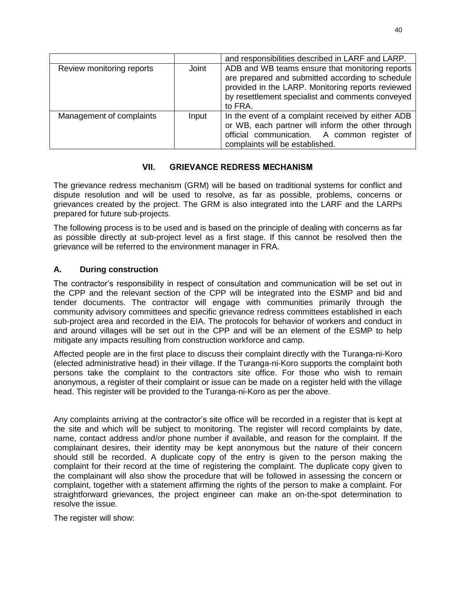|                           |       | and responsibilities described in LARF and LARP.                                                                                                                                                                        |
|---------------------------|-------|-------------------------------------------------------------------------------------------------------------------------------------------------------------------------------------------------------------------------|
| Review monitoring reports | Joint | ADB and WB teams ensure that monitoring reports<br>are prepared and submitted according to schedule<br>provided in the LARP. Monitoring reports reviewed<br>by resettlement specialist and comments conveyed<br>to FRA. |
| Management of complaints  | Input | In the event of a complaint received by either ADB<br>or WB, each partner will inform the other through<br>official communication. A common register of<br>complaints will be established.                              |

#### VII. **GRIEVANCE REDRESS MECHANISM**

The grievance redress mechanism (GRM) will be based on traditional systems for conflict and dispute resolution and will be used to resolve, as far as possible, problems, concerns or grievances created by the project. The GRM is also integrated into the LARF and the LARPs prepared for future sub-projects.

The following process is to be used and is based on the principle of dealing with concerns as far as possible directly at sub-project level as a first stage. If this cannot be resolved then the grievance will be referred to the environment manager in FRA.

## **A. During construction**

The contractor's responsibility in respect of consultation and communication will be set out in the CPP and the relevant section of the CPP will be integrated into the ESMP and bid and tender documents. The contractor will engage with communities primarily through the community advisory committees and specific grievance redress committees established in each sub-project area and recorded in the EIA. The protocols for behavior of workers and conduct in and around villages will be set out in the CPP and will be an element of the ESMP to help mitigate any impacts resulting from construction workforce and camp.

Affected people are in the first place to discuss their complaint directly with the Turanga-ni-Koro (elected administrative head) in their village. If the Turanga-ni-Koro supports the complaint both persons take the complaint to the contractors site office. For those who wish to remain anonymous, a register of their complaint or issue can be made on a register held with the village head. This register will be provided to the Turanga-ni-Koro as per the above.

Any complaints arriving at the contractor's site office will be recorded in a register that is kept at the site and which will be subject to monitoring. The register will record complaints by date, name, contact address and/or phone number if available, and reason for the complaint. If the complainant desires, their identity may be kept anonymous but the nature of their concern should still be recorded. A duplicate copy of the entry is given to the person making the complaint for their record at the time of registering the complaint. The duplicate copy given to the complainant will also show the procedure that will be followed in assessing the concern or complaint, together with a statement affirming the rights of the person to make a complaint. For straightforward grievances, the project engineer can make an on-the-spot determination to resolve the issue.

The register will show: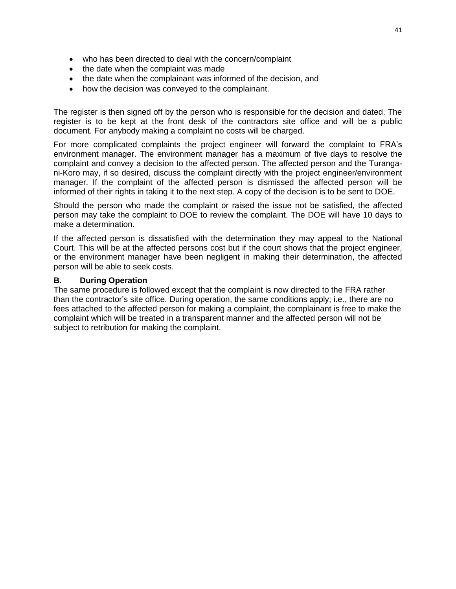- who has been directed to deal with the concern/complaint
- the date when the complaint was made
- the date when the complainant was informed of the decision, and
- how the decision was conveyed to the complainant.

The register is then signed off by the person who is responsible for the decision and dated. The register is to be kept at the front desk of the contractors site office and will be a public document. For anybody making a complaint no costs will be charged.

For more complicated complaints the project engineer will forward the complaint to FRA's environment manager. The environment manager has a maximum of five days to resolve the complaint and convey a decision to the affected person. The affected person and the Turangani-Koro may, if so desired, discuss the complaint directly with the project engineer/environment manager. If the complaint of the affected person is dismissed the affected person will be informed of their rights in taking it to the next step. A copy of the decision is to be sent to DOE.

Should the person who made the complaint or raised the issue not be satisfied, the affected person may take the complaint to DOE to review the complaint. The DOE will have 10 days to make a determination.

If the affected person is dissatisfied with the determination they may appeal to the National Court. This will be at the affected persons cost but if the court shows that the project engineer, or the environment manager have been negligent in making their determination, the affected person will be able to seek costs.

#### **B. During Operation**

The same procedure is followed except that the complaint is now directed to the FRA rather than the contractor's site office. During operation, the same conditions apply; i.e., there are no fees attached to the affected person for making a complaint, the complainant is free to make the complaint which will be treated in a transparent manner and the affected person will not be subject to retribution for making the complaint.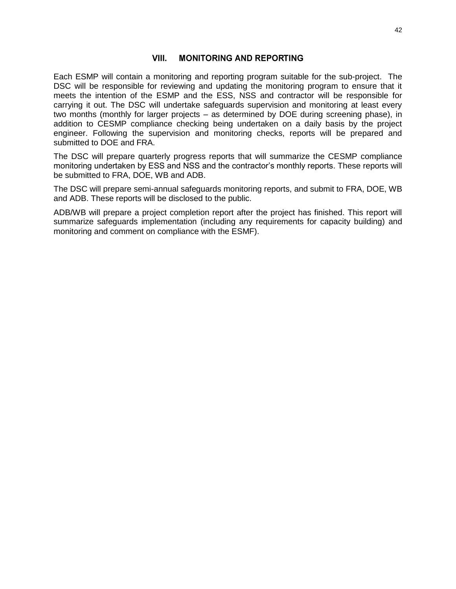Each ESMP will contain a monitoring and reporting program suitable for the sub-project. The DSC will be responsible for reviewing and updating the monitoring program to ensure that it meets the intention of the ESMP and the ESS, NSS and contractor will be responsible for carrying it out. The DSC will undertake safeguards supervision and monitoring at least every two months (monthly for larger projects – as determined by DOE during screening phase), in addition to CESMP compliance checking being undertaken on a daily basis by the project engineer. Following the supervision and monitoring checks, reports will be prepared and submitted to DOE and FRA.

The DSC will prepare quarterly progress reports that will summarize the CESMP compliance monitoring undertaken by ESS and NSS and the contractor's monthly reports. These reports will be submitted to FRA, DOE, WB and ADB.

The DSC will prepare semi-annual safeguards monitoring reports, and submit to FRA, DOE, WB and ADB. These reports will be disclosed to the public.

ADB/WB will prepare a project completion report after the project has finished. This report will summarize safeguards implementation (including any requirements for capacity building) and monitoring and comment on compliance with the ESMF).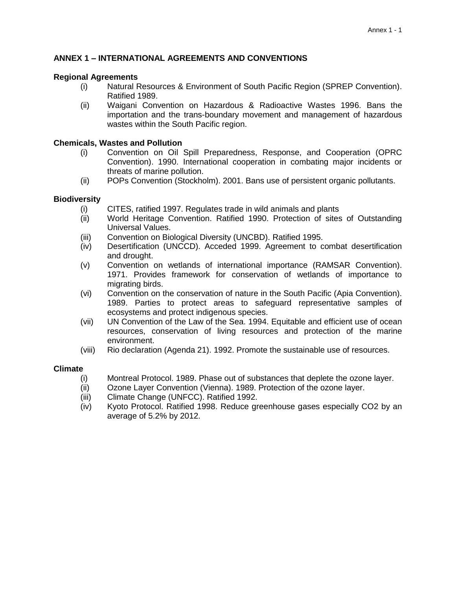## **ANNEX 1 – INTERNATIONAL AGREEMENTS AND CONVENTIONS**

### **Regional Agreements**

- (i) Natural Resources & Environment of South Pacific Region (SPREP Convention). Ratified 1989.
- (ii) Waigani Convention on Hazardous & Radioactive Wastes 1996. Bans the importation and the trans-boundary movement and management of hazardous wastes within the South Pacific region.

#### **Chemicals, Wastes and Pollution**

- (i) Convention on Oil Spill Preparedness, Response, and Cooperation (OPRC Convention). 1990. International cooperation in combating major incidents or threats of marine pollution.
- (ii) POPs Convention (Stockholm). 2001. Bans use of persistent organic pollutants.

#### **Biodiversity**

- (i) CITES, ratified 1997. Regulates trade in wild animals and plants
- (ii) World Heritage Convention. Ratified 1990. Protection of sites of Outstanding Universal Values.
- (iii) Convention on Biological Diversity (UNCBD). Ratified 1995.
- (iv) Desertification (UNCCD). Acceded 1999. Agreement to combat desertification and drought.
- (v) Convention on wetlands of international importance (RAMSAR Convention). 1971. Provides framework for conservation of wetlands of importance to migrating birds.
- (vi) Convention on the conservation of nature in the South Pacific (Apia Convention). 1989. Parties to protect areas to safeguard representative samples of ecosystems and protect indigenous species.
- (vii) UN Convention of the Law of the Sea. 1994. Equitable and efficient use of ocean resources, conservation of living resources and protection of the marine environment.
- (viii) Rio declaration (Agenda 21). 1992. Promote the sustainable use of resources.

#### **Climate**

- (i) Montreal Protocol. 1989. Phase out of substances that deplete the ozone layer.
- (ii) Ozone Layer Convention (Vienna). 1989. Protection of the ozone layer.
- (iii) Climate Change (UNFCC). Ratified 1992.
- (iv) Kyoto Protocol. Ratified 1998. Reduce greenhouse gases especially CO2 by an average of 5.2% by 2012.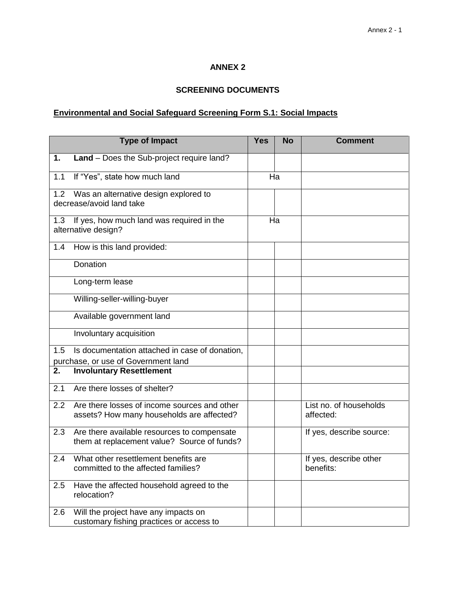# **ANNEX 2**

# **SCREENING DOCUMENTS**

# **Environmental and Social Safeguard Screening Form S.1: Social Impacts**

|     | <b>Type of Impact</b>                                                                      | <b>Yes</b> | <b>No</b> | <b>Comment</b>                      |
|-----|--------------------------------------------------------------------------------------------|------------|-----------|-------------------------------------|
| 1.  | Land - Does the Sub-project require land?                                                  |            |           |                                     |
| 1.1 | If "Yes", state how much land                                                              |            | Ha        |                                     |
| 1.2 | Was an alternative design explored to<br>decrease/avoid land take                          |            |           |                                     |
| 1.3 | If yes, how much land was required in the<br>alternative design?                           |            | Ha        |                                     |
| 1.4 | How is this land provided:                                                                 |            |           |                                     |
|     | Donation                                                                                   |            |           |                                     |
|     | Long-term lease                                                                            |            |           |                                     |
|     | Willing-seller-willing-buyer                                                               |            |           |                                     |
|     | Available government land                                                                  |            |           |                                     |
|     | Involuntary acquisition                                                                    |            |           |                                     |
| 1.5 | Is documentation attached in case of donation,<br>purchase, or use of Government land      |            |           |                                     |
| 2.  | <b>Involuntary Resettlement</b>                                                            |            |           |                                     |
| 2.1 | Are there losses of shelter?                                                               |            |           |                                     |
| 2.2 | Are there losses of income sources and other<br>assets? How many households are affected?  |            |           | List no. of households<br>affected: |
| 2.3 | Are there available resources to compensate<br>them at replacement value? Source of funds? |            |           | If yes, describe source:            |
| 2.4 | What other resettlement benefits are<br>committed to the affected families?                |            |           | If yes, describe other<br>benefits: |
| 2.5 | Have the affected household agreed to the<br>relocation?                                   |            |           |                                     |
| 2.6 | Will the project have any impacts on<br>customary fishing practices or access to           |            |           |                                     |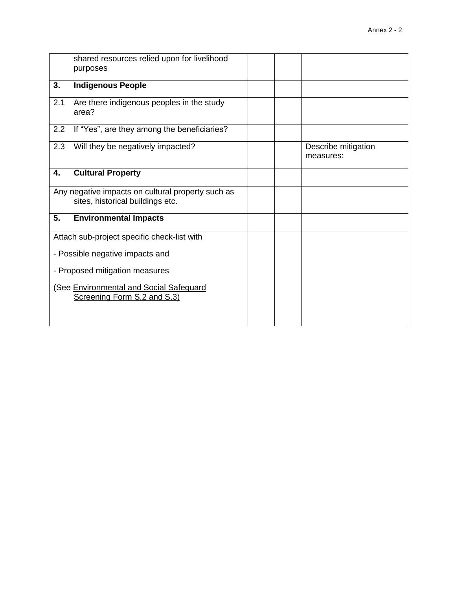|     | shared resources relied upon for livelihood<br>purposes                               |  |                                  |
|-----|---------------------------------------------------------------------------------------|--|----------------------------------|
| 3.  | <b>Indigenous People</b>                                                              |  |                                  |
| 2.1 | Are there indigenous peoples in the study<br>area?                                    |  |                                  |
| 2.2 | If "Yes", are they among the beneficiaries?                                           |  |                                  |
| 2.3 | Will they be negatively impacted?                                                     |  | Describe mitigation<br>measures: |
| 4.  | <b>Cultural Property</b>                                                              |  |                                  |
|     | Any negative impacts on cultural property such as<br>sites, historical buildings etc. |  |                                  |
| 5.  | <b>Environmental Impacts</b>                                                          |  |                                  |
|     | Attach sub-project specific check-list with                                           |  |                                  |
|     | - Possible negative impacts and                                                       |  |                                  |
|     | - Proposed mitigation measures                                                        |  |                                  |
|     | (See Environmental and Social Safeguard<br>Screening Form S.2 and S.3)                |  |                                  |
|     |                                                                                       |  |                                  |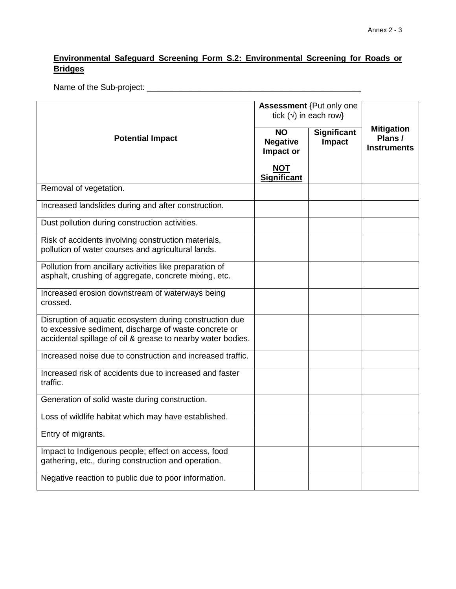# **Environmental Safeguard Screening Form S.2: Environmental Screening for Roads or Bridges**

Name of the Sub-project: \_\_\_\_\_\_\_\_\_\_\_\_\_\_\_\_\_\_\_\_\_\_\_\_\_\_\_\_\_\_\_\_\_\_\_\_\_\_\_\_\_\_\_\_\_\_\_

|                                                                                                                                                                                 | <b>Assessment {Put only one</b><br>tick $(\sqrt{})$ in each row} |                              |                                                    |
|---------------------------------------------------------------------------------------------------------------------------------------------------------------------------------|------------------------------------------------------------------|------------------------------|----------------------------------------------------|
| <b>Potential Impact</b>                                                                                                                                                         | $\overline{NO}$<br><b>Negative</b><br>Impact or                  | <b>Significant</b><br>Impact | <b>Mitigation</b><br>Plans /<br><b>Instruments</b> |
|                                                                                                                                                                                 | <b>NOT</b><br><b>Significant</b>                                 |                              |                                                    |
| Removal of vegetation.                                                                                                                                                          |                                                                  |                              |                                                    |
| Increased landslides during and after construction.                                                                                                                             |                                                                  |                              |                                                    |
| Dust pollution during construction activities.                                                                                                                                  |                                                                  |                              |                                                    |
| Risk of accidents involving construction materials,<br>pollution of water courses and agricultural lands.                                                                       |                                                                  |                              |                                                    |
| Pollution from ancillary activities like preparation of<br>asphalt, crushing of aggregate, concrete mixing, etc.                                                                |                                                                  |                              |                                                    |
| Increased erosion downstream of waterways being<br>crossed.                                                                                                                     |                                                                  |                              |                                                    |
| Disruption of aquatic ecosystem during construction due<br>to excessive sediment, discharge of waste concrete or<br>accidental spillage of oil & grease to nearby water bodies. |                                                                  |                              |                                                    |
| Increased noise due to construction and increased traffic.                                                                                                                      |                                                                  |                              |                                                    |
| Increased risk of accidents due to increased and faster<br>traffic.                                                                                                             |                                                                  |                              |                                                    |
| Generation of solid waste during construction.                                                                                                                                  |                                                                  |                              |                                                    |
| Loss of wildlife habitat which may have established.                                                                                                                            |                                                                  |                              |                                                    |
| Entry of migrants.                                                                                                                                                              |                                                                  |                              |                                                    |
| Impact to Indigenous people; effect on access, food<br>gathering, etc., during construction and operation.                                                                      |                                                                  |                              |                                                    |
| Negative reaction to public due to poor information.                                                                                                                            |                                                                  |                              |                                                    |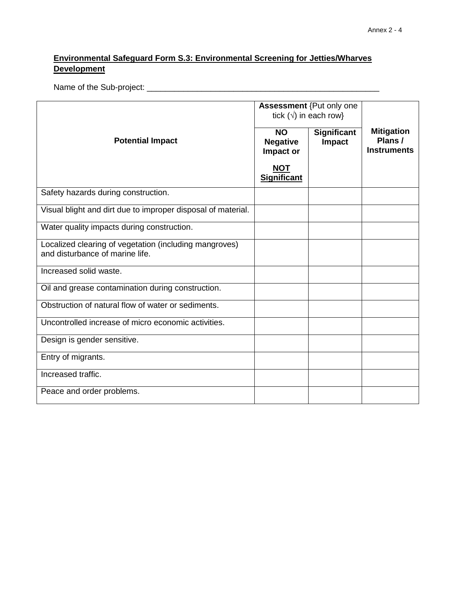# **Environmental Safeguard Form S.3: Environmental Screening for Jetties/Wharves Development**

Name of the Sub-project: \_\_\_\_\_\_\_\_\_\_\_\_\_\_\_\_\_\_\_\_\_\_\_\_\_\_\_\_\_\_\_\_\_\_\_\_\_\_\_\_\_\_\_\_\_\_\_\_\_\_\_

|                                                                                           | <b>Assessment {Put only one</b><br>tick $(\sqrt{})$ in each row} |                              |                                                    |
|-------------------------------------------------------------------------------------------|------------------------------------------------------------------|------------------------------|----------------------------------------------------|
| <b>Potential Impact</b>                                                                   | <b>NO</b><br><b>Negative</b><br>Impact or                        | <b>Significant</b><br>Impact | <b>Mitigation</b><br>Plans /<br><b>Instruments</b> |
|                                                                                           | <b>NOT</b><br><b>Significant</b>                                 |                              |                                                    |
| Safety hazards during construction.                                                       |                                                                  |                              |                                                    |
| Visual blight and dirt due to improper disposal of material.                              |                                                                  |                              |                                                    |
| Water quality impacts during construction.                                                |                                                                  |                              |                                                    |
| Localized clearing of vegetation (including mangroves)<br>and disturbance of marine life. |                                                                  |                              |                                                    |
| Increased solid waste.                                                                    |                                                                  |                              |                                                    |
| Oil and grease contamination during construction.                                         |                                                                  |                              |                                                    |
| Obstruction of natural flow of water or sediments.                                        |                                                                  |                              |                                                    |
| Uncontrolled increase of micro economic activities.                                       |                                                                  |                              |                                                    |
| Design is gender sensitive.                                                               |                                                                  |                              |                                                    |
| Entry of migrants.                                                                        |                                                                  |                              |                                                    |
| Increased traffic.                                                                        |                                                                  |                              |                                                    |
| Peace and order problems.                                                                 |                                                                  |                              |                                                    |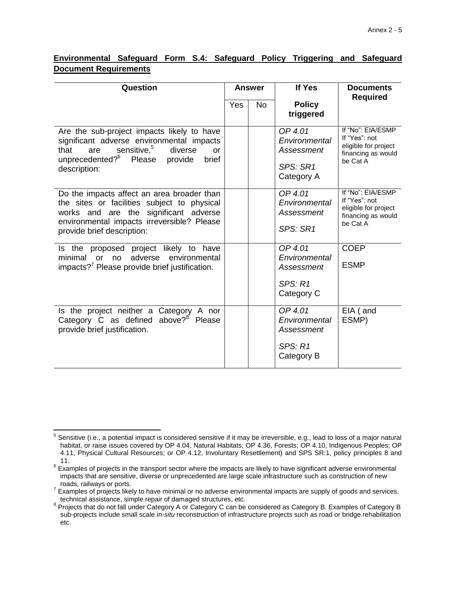# **Environmental Safeguard Form S.4: Safeguard Policy Triggering and Safeguard Document Requirements**

| Question                                                                                                                                                                                                                     |     | <b>Answer</b> | If Yes                                                           | <b>Documents</b><br><b>Required</b>                                                          |
|------------------------------------------------------------------------------------------------------------------------------------------------------------------------------------------------------------------------------|-----|---------------|------------------------------------------------------------------|----------------------------------------------------------------------------------------------|
|                                                                                                                                                                                                                              | Yes | <b>No</b>     | <b>Policy</b><br>triggered                                       |                                                                                              |
| Are the sub-project impacts likely to have<br>significant adverse environmental impacts<br>sensitive, <sup>5</sup><br>diverse<br>that<br>are<br>or<br>unprecedented? <sup>6</sup> Please<br>provide<br>brief<br>description: |     |               | OP 4.01<br>Environmental<br>Assessment<br>SPS: SR1<br>Category A | If "No": EIA/ESMP<br>If "Yes": not<br>eligible for project<br>financing as would<br>be Cat A |
| Do the impacts affect an area broader than<br>the sites or facilities subject to physical<br>works and are the significant adverse<br>environmental impacts irreversible? Please<br>provide brief description:               |     |               | OP 4.01<br>Environmental<br>Assessment<br>SPS: SR1               | If "No": EIA/ESMP<br>If "Yes": not<br>eligible for project<br>financing as would<br>be Cat A |
| Is the proposed project likely to have<br>adverse environmental<br>minimal or<br>no<br>impacts? <sup>7</sup> Please provide brief justification.                                                                             |     |               | OP 4.01<br>Environmental<br>Assessment<br>SPS: R1<br>Category C  | <b>COEP</b><br><b>ESMP</b>                                                                   |
| Is the project neither a Category A nor<br>Category C as defined above? <sup>8</sup> Please<br>provide brief justification.                                                                                                  |     |               | OP 4.01<br>Environmental<br>Assessment<br>SPS: R1<br>Category B  | EIA (and<br>ESMP)                                                                            |

 $\overline{a}$ <sup>5</sup> Sensitive (i.e., a potential impact is considered sensitive if it may be irreversible, e.g., lead to loss of a major natural habitat, or raise issues covered by OP 4.04, Natural Habitats; OP 4.36, Forests; OP 4.10, Indigenous Peoples; OP 4.11, Physical Cultural Resources; or OP 4.12, Involuntary Resettlement) and SPS SR:1, policy principles 8 and 11.

 $^6$  Examples of projects in the transport sector where the impacts are likely to have significant adverse environmental impacts that are sensitive, diverse or unprecedented are large scale infrastructure such as construction of new roads, railways or ports.

 $^7$  Examples of projects likely to have minimal or no adverse environmental impacts are supply of goods and services, technical assistance, simple repair of damaged structures, etc.

<sup>&</sup>lt;sup>8</sup> Projects that do not fall under Category A or Category C can be considered as Category B. Examples of Category B sub-projects include small scale *in-situ* reconstruction of infrastructure projects such as road or bridge rehabilitation etc.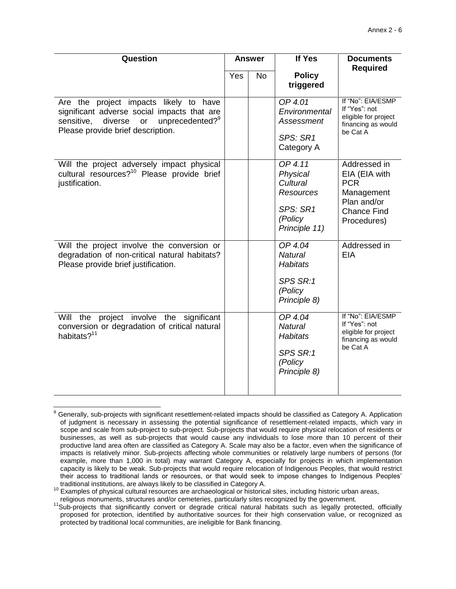| Question                                                                                                                                                                                 |     | <b>Answer</b> | <b>If Yes</b>                                                                        | <b>Documents</b><br><b>Required</b>                                                                           |
|------------------------------------------------------------------------------------------------------------------------------------------------------------------------------------------|-----|---------------|--------------------------------------------------------------------------------------|---------------------------------------------------------------------------------------------------------------|
|                                                                                                                                                                                          | Yes | <b>No</b>     | <b>Policy</b><br>triggered                                                           |                                                                                                               |
| Are the project impacts likely to have<br>significant adverse social impacts that are<br>unprecedented? <sup>9</sup><br>diverse<br>or<br>sensitive,<br>Please provide brief description. |     |               | OP 4.01<br>Environmental<br>Assessment<br>SPS: SR1<br>Category A                     | If "No": EIA/ESMP<br>If "Yes": not<br>eligible for project<br>financing as would<br>be Cat A                  |
| Will the project adversely impact physical<br>cultural resources? <sup>10</sup> Please provide brief<br>justification.                                                                   |     |               | OP 4.11<br>Physical<br>Cultural<br>Resources<br>SPS: SR1<br>(Policy<br>Principle 11) | Addressed in<br>EIA (EIA with<br><b>PCR</b><br>Management<br>Plan and/or<br><b>Chance Find</b><br>Procedures) |
| Will the project involve the conversion or<br>degradation of non-critical natural habitats?<br>Please provide brief justification.                                                       |     |               | OP 4.04<br><b>Natural</b><br><b>Habitats</b><br>SPS SR:1<br>(Policy<br>Principle 8)  | Addressed in<br><b>EIA</b>                                                                                    |
| project involve the significant<br>Will the<br>conversion or degradation of critical natural<br>habitats? <sup>11</sup>                                                                  |     |               | OP 4.04<br><b>Natural</b><br><b>Habitats</b><br>SPS SR:1<br>(Policy<br>Principle 8)  | If "No": EIA/ESMP<br>If "Yes": not<br>eligible for project<br>financing as would<br>be Cat A                  |

 <sup>9</sup> Generally, sub-projects with significant resettlement-related impacts should be classified as Category A. Application of judgment is necessary in assessing the potential significance of resettlement-related impacts, which vary in scope and scale from sub-project to sub-project. Sub-projects that would require physical relocation of residents or businesses, as well as sub-projects that would cause any individuals to lose more than 10 percent of their productive land area often are classified as Category A. Scale may also be a factor, even when the significance of impacts is relatively minor. Sub-projects affecting whole communities or relatively large numbers of persons (for example, more than 1,000 in total) may warrant Category A, especially for projects in which implementation capacity is likely to be weak. Sub-projects that would require relocation of Indigenous Peoples, that would restrict their access to traditional lands or resources, or that would seek to impose changes to Indigenous Peoples' traditional institutions, are always likely to be classified in Category A.

<sup>&</sup>lt;sup>10</sup> Examples of physical cultural resources are archaeological or historical sites, including historic urban areas, religious monuments, structures and/or cemeteries, particularly sites recognized by the government.

<sup>&</sup>lt;sup>11</sup>Sub-projects that significantly convert or degrade critical natural habitats such as legally protected, officially proposed for protection, identified by authoritative sources for their high conservation value, or recognized as protected by traditional local communities, are ineligible for Bank financing.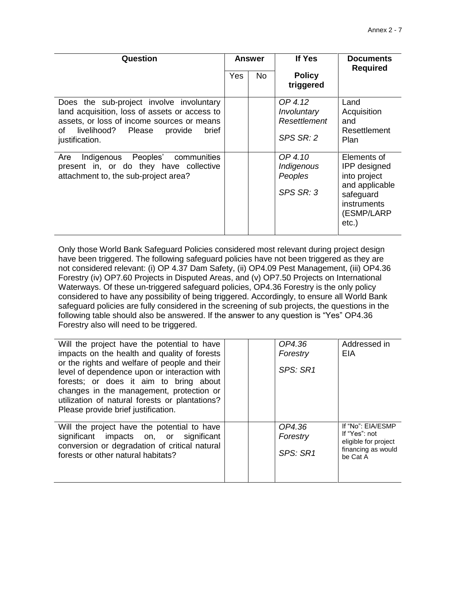| Question                                                                                                                                                                                                  | <b>Answer</b> |    |                                                            |                                                                                                                            | If Yes | <b>Documents</b><br><b>Required</b> |
|-----------------------------------------------------------------------------------------------------------------------------------------------------------------------------------------------------------|---------------|----|------------------------------------------------------------|----------------------------------------------------------------------------------------------------------------------------|--------|-------------------------------------|
|                                                                                                                                                                                                           | Yes           | No | <b>Policy</b><br>triggered                                 |                                                                                                                            |        |                                     |
| Does the sub-project involve involuntary<br>land acquisition, loss of assets or access to<br>assets, or loss of income sources or means<br>livelihood? Please<br>of<br>provide<br>brief<br>justification. |               |    | OP 4.12<br>Involuntary<br><b>Resettlement</b><br>SPS SR: 2 | Land<br>Acquisition<br>and<br>Resettlement<br>Plan                                                                         |        |                                     |
| Peoples'<br>communities<br>Indigenous<br>Are<br>present in, or do they have collective<br>attachment to, the sub-project area?                                                                            |               |    | OP 4.10<br>Indigenous<br>Peoples<br>SPS SR: 3              | Elements of<br><b>IPP</b> designed<br>into project<br>and applicable<br>safeguard<br>instruments<br>(ESMP/LARP<br>$etc.$ ) |        |                                     |

Only those World Bank Safeguard Policies considered most relevant during project design have been triggered. The following safeguard policies have not been triggered as they are not considered relevant: (i) OP 4.37 Dam Safety, (ii) OP4.09 Pest Management, (iii) OP4.36 Forestry (iv) OP7.60 Projects in Disputed Areas, and (v) OP7.50 Projects on International Waterways. Of these un-triggered safeguard policies, OP4.36 Forestry is the only policy considered to have any possibility of being triggered. Accordingly, to ensure all World Bank safeguard policies are fully considered in the screening of sub projects, the questions in the following table should also be answered. If the answer to any question is "Yes" OP4.36 Forestry also will need to be triggered.

| Will the project have the potential to have<br>impacts on the health and quality of forests<br>or the rights and welfare of people and their<br>level of dependence upon or interaction with<br>forests; or does it aim to bring about<br>changes in the management, protection or<br>utilization of natural forests or plantations?<br>Please provide brief justification. |  | OP4.36<br>Forestry<br>SPS: SR1 | Addressed in<br>EIA                                                                          |
|-----------------------------------------------------------------------------------------------------------------------------------------------------------------------------------------------------------------------------------------------------------------------------------------------------------------------------------------------------------------------------|--|--------------------------------|----------------------------------------------------------------------------------------------|
| Will the project have the potential to have<br>significant impacts on, or significant<br>conversion or degradation of critical natural<br>forests or other natural habitats?                                                                                                                                                                                                |  | OP4.36<br>Forestry<br>SPS: SR1 | If "No": EIA/ESMP<br>If "Yes": not<br>eligible for project<br>financing as would<br>be Cat A |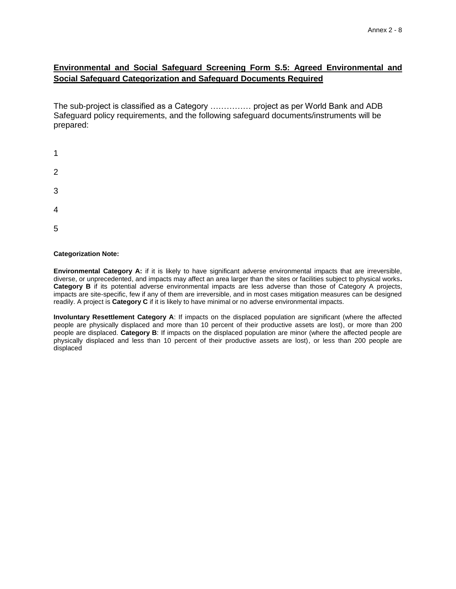## **Environmental and Social Safeguard Screening Form S.5: Agreed Environmental and Social Safeguard Categorization and Safeguard Documents Required**

The sub-project is classified as a Category …………… project as per World Bank and ADB Safeguard policy requirements, and the following safeguard documents/instruments will be prepared:

#### **Categorization Note:**

**Environmental Category A:** if it is likely to have significant adverse environmental impacts that are irreversible, diverse, or unprecedented, and impacts may affect an area larger than the sites or facilities subject to physical works**. Category B** if its potential adverse environmental impacts are less adverse than those of Category A projects, impacts are site-specific, few if any of them are irreversible, and in most cases mitigation measures can be designed readily. A project is **Category C** if it is likely to have minimal or no adverse environmental impacts.

**Involuntary Resettlement Category A**: If impacts on the displaced population are significant (where the affected people are physically displaced and more than 10 percent of their productive assets are lost), or more than 200 people are displaced. **Category B**: If impacts on the displaced population are minor (where the affected people are physically displaced and less than 10 percent of their productive assets are lost), or less than 200 people are displaced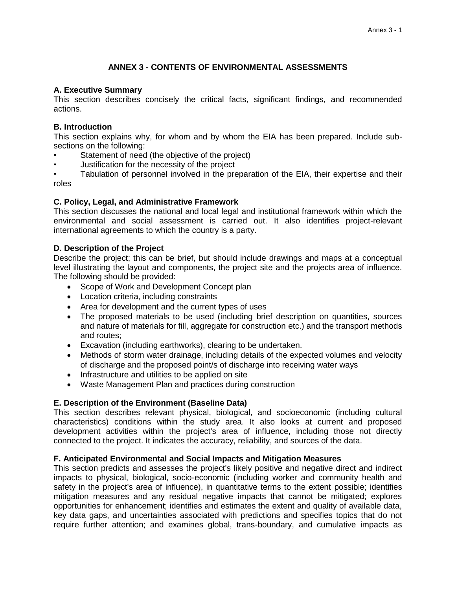## **ANNEX 3 - CONTENTS OF ENVIRONMENTAL ASSESSMENTS**

#### **A. Executive Summary**

This section describes concisely the critical facts, significant findings, and recommended actions.

## **B. Introduction**

This section explains why, for whom and by whom the EIA has been prepared. Include subsections on the following:

- Statement of need (the objective of the project)
- Justification for the necessity of the project
- Tabulation of personnel involved in the preparation of the EIA, their expertise and their roles

## **C. Policy, Legal, and Administrative Framework**

This section discusses the national and local legal and institutional framework within which the environmental and social assessment is carried out. It also identifies project-relevant international agreements to which the country is a party.

## **D. Description of the Project**

Describe the project; this can be brief, but should include drawings and maps at a conceptual level illustrating the layout and components, the project site and the projects area of influence. The following should be provided:

- Scope of Work and Development Concept plan
- Location criteria, including constraints
- Area for development and the current types of uses
- The proposed materials to be used (including brief description on quantities, sources and nature of materials for fill, aggregate for construction etc.) and the transport methods and routes;
- Excavation (including earthworks), clearing to be undertaken.
- Methods of storm water drainage, including details of the expected volumes and velocity of discharge and the proposed point/s of discharge into receiving water ways
- Infrastructure and utilities to be applied on site
- Waste Management Plan and practices during construction

## **E. Description of the Environment (Baseline Data)**

This section describes relevant physical, biological, and socioeconomic (including cultural characteristics) conditions within the study area. It also looks at current and proposed development activities within the project's area of influence, including those not directly connected to the project. It indicates the accuracy, reliability, and sources of the data.

## **F. Anticipated Environmental and Social Impacts and Mitigation Measures**

This section predicts and assesses the project's likely positive and negative direct and indirect impacts to physical, biological, socio-economic (including worker and community health and safety in the project's area of influence), in quantitative terms to the extent possible; identifies mitigation measures and any residual negative impacts that cannot be mitigated; explores opportunities for enhancement; identifies and estimates the extent and quality of available data, key data gaps, and uncertainties associated with predictions and specifies topics that do not require further attention; and examines global, trans-boundary, and cumulative impacts as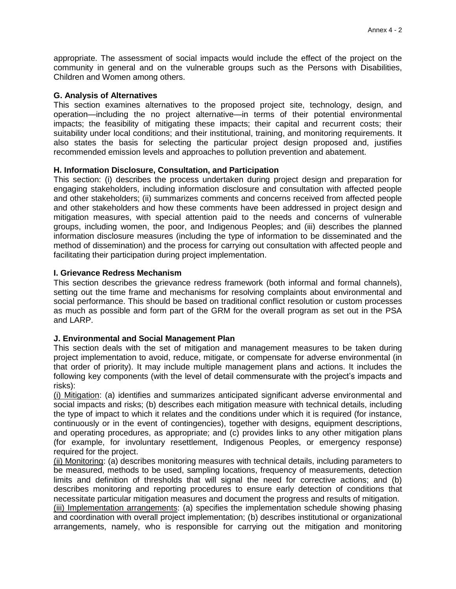appropriate. The assessment of social impacts would include the effect of the project on the community in general and on the vulnerable groups such as the Persons with Disabilities, Children and Women among others.

### **G. Analysis of Alternatives**

This section examines alternatives to the proposed project site, technology, design, and operation—including the no project alternative—in terms of their potential environmental impacts; the feasibility of mitigating these impacts; their capital and recurrent costs; their suitability under local conditions; and their institutional, training, and monitoring requirements. It also states the basis for selecting the particular project design proposed and, justifies recommended emission levels and approaches to pollution prevention and abatement.

#### **H. Information Disclosure, Consultation, and Participation**

This section: (i) describes the process undertaken during project design and preparation for engaging stakeholders, including information disclosure and consultation with affected people and other stakeholders; (ii) summarizes comments and concerns received from affected people and other stakeholders and how these comments have been addressed in project design and mitigation measures, with special attention paid to the needs and concerns of vulnerable groups, including women, the poor, and Indigenous Peoples; and (iii) describes the planned information disclosure measures (including the type of information to be disseminated and the method of dissemination) and the process for carrying out consultation with affected people and facilitating their participation during project implementation.

#### **I. Grievance Redress Mechanism**

This section describes the grievance redress framework (both informal and formal channels), setting out the time frame and mechanisms for resolving complaints about environmental and social performance. This should be based on traditional conflict resolution or custom processes as much as possible and form part of the GRM for the overall program as set out in the PSA and LARP.

#### **J. Environmental and Social Management Plan**

This section deals with the set of mitigation and management measures to be taken during project implementation to avoid, reduce, mitigate, or compensate for adverse environmental (in that order of priority). It may include multiple management plans and actions. It includes the following key components (with the level of detail commensurate with the project's impacts and risks):

(i) Mitigation: (a) identifies and summarizes anticipated significant adverse environmental and social impacts and risks; (b) describes each mitigation measure with technical details, including the type of impact to which it relates and the conditions under which it is required (for instance, continuously or in the event of contingencies), together with designs, equipment descriptions, and operating procedures, as appropriate; and (c) provides links to any other mitigation plans (for example, for involuntary resettlement, Indigenous Peoples, or emergency response) required for the project.

(ii) Monitoring: (a) describes monitoring measures with technical details, including parameters to be measured, methods to be used, sampling locations, frequency of measurements, detection limits and definition of thresholds that will signal the need for corrective actions; and (b) describes monitoring and reporting procedures to ensure early detection of conditions that necessitate particular mitigation measures and document the progress and results of mitigation.

(iii) Implementation arrangements: (a) specifies the implementation schedule showing phasing and coordination with overall project implementation; (b) describes institutional or organizational arrangements, namely, who is responsible for carrying out the mitigation and monitoring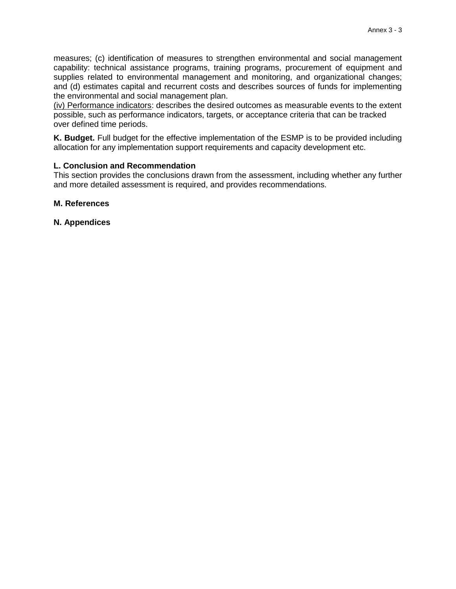measures; (c) identification of measures to strengthen environmental and social management capability: technical assistance programs, training programs, procurement of equipment and supplies related to environmental management and monitoring, and organizational changes; and (d) estimates capital and recurrent costs and describes sources of funds for implementing the environmental and social management plan.

(iv) Performance indicators: describes the desired outcomes as measurable events to the extent possible, such as performance indicators, targets, or acceptance criteria that can be tracked over defined time periods.

**K. Budget.** Full budget for the effective implementation of the ESMP is to be provided including allocation for any implementation support requirements and capacity development etc.

#### **L. Conclusion and Recommendation**

This section provides the conclusions drawn from the assessment, including whether any further and more detailed assessment is required, and provides recommendations.

#### **M. References**

**N. Appendices**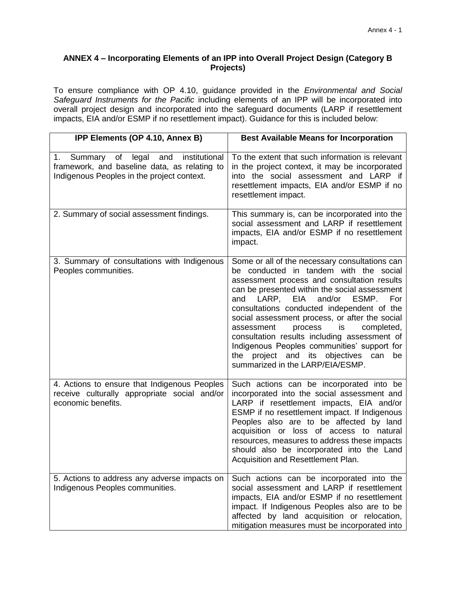## **ANNEX 4 – Incorporating Elements of an IPP into Overall Project Design (Category B Projects)**

To ensure compliance with OP 4.10, guidance provided in the *Environmental and Social Safeguard Instruments for the Pacific* including elements of an IPP will be incorporated into overall project design and incorporated into the safeguard documents (LARP if resettlement impacts, EIA and/or ESMP if no resettlement impact). Guidance for this is included below:

| <b>IPP Elements (OP 4.10, Annex B)</b>                                                                                                          | <b>Best Available Means for Incorporation</b>                                                                                                                                                                                                                                                                                                                                                                                                                                                                                                                               |
|-------------------------------------------------------------------------------------------------------------------------------------------------|-----------------------------------------------------------------------------------------------------------------------------------------------------------------------------------------------------------------------------------------------------------------------------------------------------------------------------------------------------------------------------------------------------------------------------------------------------------------------------------------------------------------------------------------------------------------------------|
| 1.<br>Summary<br>of legal<br>and<br>institutional<br>framework, and baseline data, as relating to<br>Indigenous Peoples in the project context. | To the extent that such information is relevant<br>in the project context, it may be incorporated<br>into the social assessment and LARP if<br>resettlement impacts, EIA and/or ESMP if no<br>resettlement impact.                                                                                                                                                                                                                                                                                                                                                          |
| 2. Summary of social assessment findings.                                                                                                       | This summary is, can be incorporated into the<br>social assessment and LARP if resettlement<br>impacts, EIA and/or ESMP if no resettlement<br>impact.                                                                                                                                                                                                                                                                                                                                                                                                                       |
| 3. Summary of consultations with Indigenous<br>Peoples communities.                                                                             | Some or all of the necessary consultations can<br>be conducted in tandem with the social<br>assessment process and consultation results<br>can be presented within the social assessment<br>EIA<br>and/or<br>LARP,<br>ESMP.<br>For<br>and<br>consultations conducted independent of the<br>social assessment process, or after the social<br>is<br>assessment<br>process<br>completed,<br>consultation results including assessment of<br>Indigenous Peoples communities' support for<br>project and<br>its objectives can<br>the<br>be<br>summarized in the LARP/EIA/ESMP. |
| 4. Actions to ensure that Indigenous Peoples<br>receive culturally appropriate social and/or<br>economic benefits.                              | Such actions can be incorporated into be<br>incorporated into the social assessment and<br>LARP if resettlement impacts, EIA and/or<br>ESMP if no resettlement impact. If Indigenous<br>Peoples also are to be affected by land<br>acquisition or loss of access to natural<br>resources, measures to address these impacts<br>should also be incorporated into the Land<br>Acquisition and Resettlement Plan.                                                                                                                                                              |
| 5. Actions to address any adverse impacts on<br>Indigenous Peoples communities.                                                                 | Such actions can be incorporated into the<br>social assessment and LARP if resettlement<br>impacts, EIA and/or ESMP if no resettlement<br>impact. If Indigenous Peoples also are to be<br>affected by land acquisition or relocation,<br>mitigation measures must be incorporated into                                                                                                                                                                                                                                                                                      |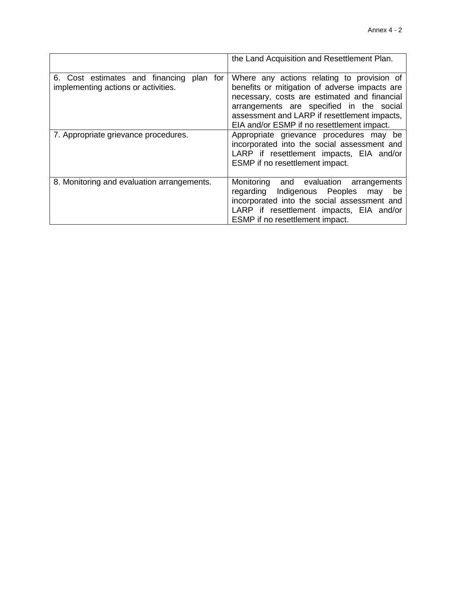|                                                                                    | the Land Acquisition and Resettlement Plan.                                                                                                                                                                                                                                           |
|------------------------------------------------------------------------------------|---------------------------------------------------------------------------------------------------------------------------------------------------------------------------------------------------------------------------------------------------------------------------------------|
| 6. Cost estimates and financing plan<br>for<br>implementing actions or activities. | Where any actions relating to provision of<br>benefits or mitigation of adverse impacts are<br>necessary, costs are estimated and financial<br>arrangements are specified in the social<br>assessment and LARP if resettlement impacts,<br>EIA and/or ESMP if no resettlement impact. |
| 7. Appropriate grievance procedures.                                               | Appropriate grievance procedures may be<br>incorporated into the social assessment and<br>LARP if resettlement impacts, EIA and/or<br>ESMP if no resettlement impact.                                                                                                                 |
| 8. Monitoring and evaluation arrangements.                                         | Monitoring<br>and evaluation<br>arrangements<br>Indigenous Peoples<br>regarding<br>be<br>may<br>incorporated into the social assessment and<br>LARP if resettlement impacts, EIA and/or<br>ESMP if no resettlement impact.                                                            |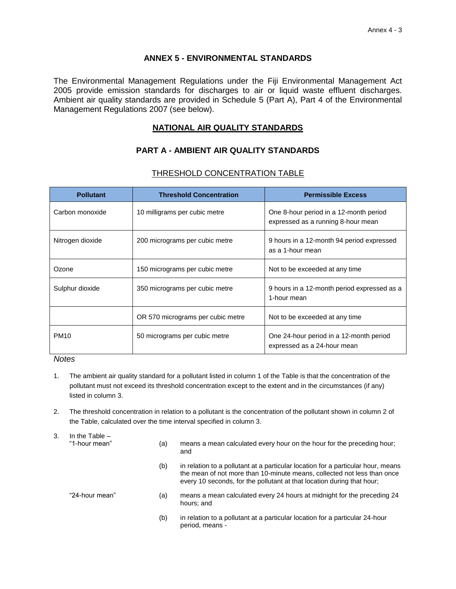#### **ANNEX 5 - ENVIRONMENTAL STANDARDS**

The Environmental Management Regulations under the Fiji Environmental Management Act 2005 provide emission standards for discharges to air or liquid waste effluent discharges. Ambient air quality standards are provided in Schedule 5 (Part A), Part 4 of the Environmental Management Regulations 2007 (see below).

#### **NATIONAL AIR QUALITY STANDARDS**

#### **PART A - AMBIENT AIR QUALITY STANDARDS**

| <b>Pollutant</b> | <b>Threshold Concentration</b>    | <b>Permissible Excess</b>                                                    |
|------------------|-----------------------------------|------------------------------------------------------------------------------|
| Carbon monoxide  | 10 milligrams per cubic metre     | One 8-hour period in a 12-month period<br>expressed as a running 8-hour mean |
| Nitrogen dioxide | 200 micrograms per cubic metre    | 9 hours in a 12-month 94 period expressed<br>as a 1-hour mean                |
| Ozone            | 150 micrograms per cubic metre    | Not to be exceeded at any time                                               |
| Sulphur dioxide  | 350 micrograms per cubic metre    | 9 hours in a 12-month period expressed as a<br>1-hour mean                   |
|                  | OR 570 micrograms per cubic metre | Not to be exceeded at any time                                               |
| <b>PM10</b>      | 50 micrograms per cubic metre     | One 24-hour period in a 12-month period<br>expressed as a 24-hour mean       |

#### THRESHOLD CONCENTRATION TABLE

#### *Notes*

- 1. The ambient air quality standard for a pollutant listed in column 1 of the Table is that the concentration of the pollutant must not exceed its threshold concentration except to the extent and in the circumstances (if any) listed in column 3.
- 2. The threshold concentration in relation to a pollutant is the concentration of the pollutant shown in column 2 of the Table, calculated over the time interval specified in column 3.

| 3. | In the Table $-$<br>"1-hour mean" | (a) | means a mean calculated every hour on the hour for the preceding hour;<br>and                                                                                                                                                         |
|----|-----------------------------------|-----|---------------------------------------------------------------------------------------------------------------------------------------------------------------------------------------------------------------------------------------|
|    |                                   | (b) | in relation to a pollutant at a particular location for a particular hour, means<br>the mean of not more than 10-minute means, collected not less than once<br>every 10 seconds, for the pollutant at that location during that hour; |
|    | "24-hour mean"                    | (a) | means a mean calculated every 24 hours at midnight for the preceding 24<br>hours; and                                                                                                                                                 |
|    |                                   | (b) | in relation to a pollutant at a particular location for a particular 24-hour<br>period, means -                                                                                                                                       |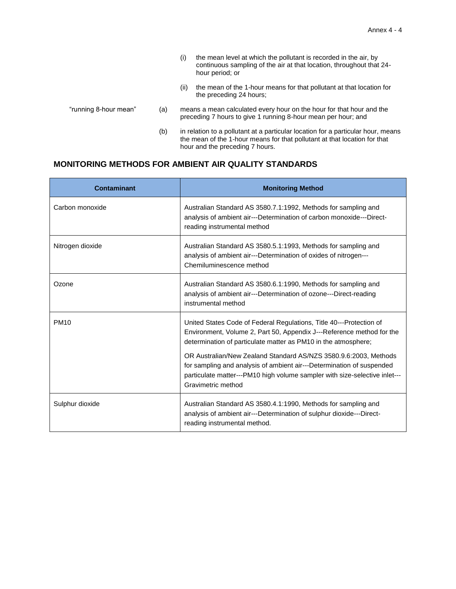|                       |     | the mean level at which the pollutant is recorded in the air, by<br>(i)<br>continuous sampling of the air at that location, throughout that 24-<br>hour period; or |  |
|-----------------------|-----|--------------------------------------------------------------------------------------------------------------------------------------------------------------------|--|
|                       |     | the mean of the 1-hour means for that pollutant at that location for<br>(ii)<br>the preceding 24 hours;                                                            |  |
| "running 8-hour mean" | (a) | means a mean calculated every hour on the hour for that hour and the<br>preceding 7 hours to give 1 running 8-hour mean per hour; and                              |  |
|                       | (b) | in relation to a pollutant at a particular location for a particular hour, means<br>the mean of the 1-hour means for that pollutant at that location for that      |  |

hour and the preceding 7 hours.

## **MONITORING METHODS FOR AMBIENT AIR QUALITY STANDARDS**

| <b>Contaminant</b> | <b>Monitoring Method</b>                                                                                                                                                                                                                                                           |
|--------------------|------------------------------------------------------------------------------------------------------------------------------------------------------------------------------------------------------------------------------------------------------------------------------------|
| Carbon monoxide    | Australian Standard AS 3580.7.1:1992, Methods for sampling and<br>analysis of ambient air---Determination of carbon monoxide---Direct-<br>reading instrumental method                                                                                                              |
| Nitrogen dioxide   | Australian Standard AS 3580.5.1:1993, Methods for sampling and<br>analysis of ambient air---Determination of oxides of nitrogen---<br>Chemiluminescence method                                                                                                                     |
| Ozone              | Australian Standard AS 3580.6.1:1990, Methods for sampling and<br>analysis of ambient air---Determination of ozone---Direct-reading<br>instrumental method                                                                                                                         |
| <b>PM10</b>        | United States Code of Federal Regulations, Title 40---Protection of<br>Environment, Volume 2, Part 50, Appendix J---Reference method for the<br>determination of particulate matter as PM10 in the atmosphere;<br>OR Australian/New Zealand Standard AS/NZS 3580.9.6:2003, Methods |
|                    | for sampling and analysis of ambient air---Determination of suspended<br>particulate matter---PM10 high volume sampler with size-selective inlet---<br>Gravimetric method                                                                                                          |
| Sulphur dioxide    | Australian Standard AS 3580.4.1:1990, Methods for sampling and<br>analysis of ambient air---Determination of sulphur dioxide---Direct-<br>reading instrumental method.                                                                                                             |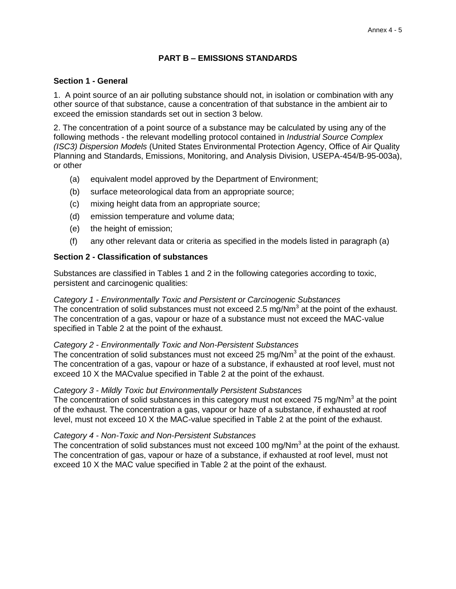## **PART B – EMISSIONS STANDARDS**

#### **Section 1 - General**

1. A point source of an air polluting substance should not, in isolation or combination with any other source of that substance, cause a concentration of that substance in the ambient air to exceed the emission standards set out in section 3 below.

2. The concentration of a point source of a substance may be calculated by using any of the following methods - the relevant modelling protocol contained in *Industrial Source Complex (ISC3) Dispersion Models* (United States Environmental Protection Agency, Office of Air Quality Planning and Standards, Emissions, Monitoring, and Analysis Division, USEPA-454/B-95-003a), or other

- (a) equivalent model approved by the Department of Environment;
- (b) surface meteorological data from an appropriate source;
- (c) mixing height data from an appropriate source;
- (d) emission temperature and volume data;
- (e) the height of emission;
- (f) any other relevant data or criteria as specified in the models listed in paragraph (a)

## **Section 2 - Classification of substances**

Substances are classified in Tables 1 and 2 in the following categories according to toxic, persistent and carcinogenic qualities:

*Category 1 - Environmentally Toxic and Persistent or Carcinogenic Substances* The concentration of solid substances must not exceed 2.5 mg/Nm<sup>3</sup> at the point of the exhaust. The concentration of a gas, vapour or haze of a substance must not exceed the MAC-value specified in Table 2 at the point of the exhaust.

## *Category 2 - Environmentally Toxic and Non-Persistent Substances*

The concentration of solid substances must not exceed 25 mg/Nm<sup>3</sup> at the point of the exhaust. The concentration of a gas, vapour or haze of a substance, if exhausted at roof level, must not exceed 10 X the MACvalue specified in Table 2 at the point of the exhaust.

#### *Category 3 - Mildly Toxic but Environmentally Persistent Substances*

The concentration of solid substances in this category must not exceed 75 mg/Nm $^3$  at the point of the exhaust. The concentration a gas, vapour or haze of a substance, if exhausted at roof level, must not exceed 10 X the MAC-value specified in Table 2 at the point of the exhaust.

## *Category 4 - Non-Toxic and Non-Persistent Substances*

The concentration of solid substances must not exceed 100 mg/Nm $^3$  at the point of the exhaust. The concentration of gas, vapour or haze of a substance, if exhausted at roof level, must not exceed 10 X the MAC value specified in Table 2 at the point of the exhaust.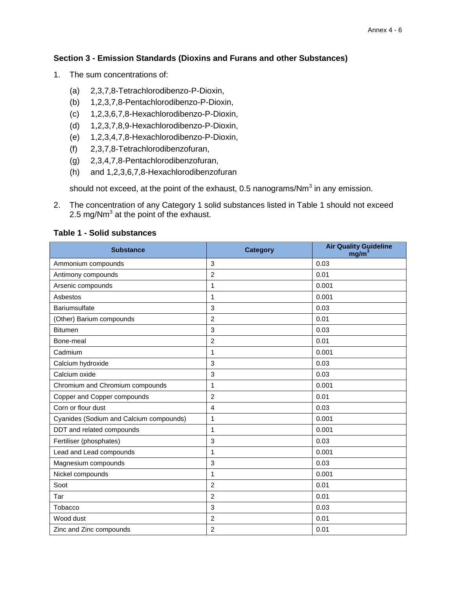## **Section 3 - Emission Standards (Dioxins and Furans and other Substances)**

- 1. The sum concentrations of:
	- (a) 2,3,7,8-Tetrachlorodibenzo-P-Dioxin,
	- (b) 1,2,3,7,8-Pentachlorodibenzo-P-Dioxin,
	- (c) 1,2,3,6,7,8-Hexachlorodibenzo-P-Dioxin,
	- (d) 1,2,3,7,8,9-Hexachlorodibenzo-P-Dioxin,
	- (e) 1,2,3,4,7,8-Hexachlorodibenzo-P-Dioxin,
	- (f) 2,3,7,8-Tetrachlorodibenzofuran,
	- (g) 2,3,4,7,8-Pentachlorodibenzofuran,
	- (h) and 1,2,3,6,7,8-Hexachlorodibenzofuran

should not exceed, at the point of the exhaust, 0.5 nanograms/Nm $^3$  in any emission.

2. The concentration of any Category 1 solid substances listed in Table 1 should not exceed 2.5 mg/Nm $^3$  at the point of the exhaust.

| <b>Substance</b>                        | <b>Category</b> | <b>Air Quality Guideline</b><br>mg/m <sup>3</sup> |
|-----------------------------------------|-----------------|---------------------------------------------------|
| Ammonium compounds                      | 3               | 0.03                                              |
| Antimony compounds                      | $\overline{2}$  | 0.01                                              |
| Arsenic compounds                       | 1               | 0.001                                             |
| Asbestos                                | 1               | 0.001                                             |
| <b>Bariumsulfate</b>                    | 3               | 0.03                                              |
| (Other) Barium compounds                | $\overline{2}$  | 0.01                                              |
| <b>Bitumen</b>                          | 3               | 0.03                                              |
| Bone-meal                               | $\overline{2}$  | 0.01                                              |
| Cadmium                                 | $\mathbf{1}$    | 0.001                                             |
| Calcium hydroxide                       | 3               | 0.03                                              |
| Calcium oxide                           | 3               | 0.03                                              |
| Chromium and Chromium compounds         | 1               | 0.001                                             |
| Copper and Copper compounds             | $\overline{2}$  | 0.01                                              |
| Corn or flour dust                      | $\overline{4}$  | 0.03                                              |
| Cyanides (Sodium and Calcium compounds) | $\mathbf{1}$    | 0.001                                             |
| DDT and related compounds               | $\mathbf{1}$    | 0.001                                             |
| Fertiliser (phosphates)                 | 3               | 0.03                                              |
| Lead and Lead compounds                 | 1               | 0.001                                             |
| Magnesium compounds                     | 3               | 0.03                                              |
| Nickel compounds                        | 1               | 0.001                                             |
| Soot                                    | $\overline{2}$  | 0.01                                              |
| Tar                                     | $\overline{2}$  | 0.01                                              |
| Tobacco                                 | 3               | 0.03                                              |
| Wood dust                               | $\overline{c}$  | 0.01                                              |
| Zinc and Zinc compounds                 | $\overline{2}$  | 0.01                                              |

### **Table 1 - Solid substances**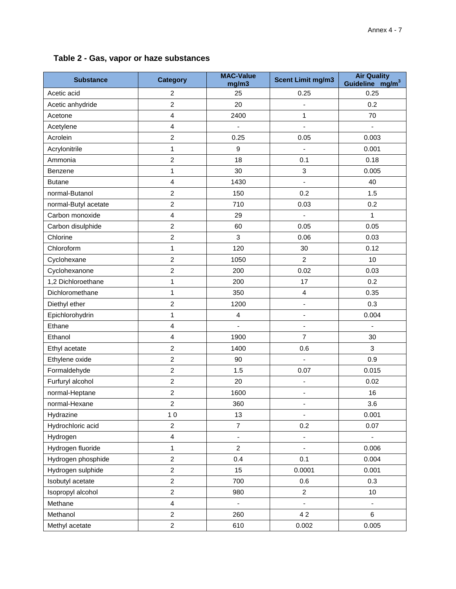# **Table 2 - Gas, vapor or haze substances**

| <b>Substance</b>     | <b>Category</b>         | <b>MAC-Value</b><br>mg/m3 | <b>Scent Limit mg/m3</b> | <b>Air Quality</b><br>Guideline mg/m <sup>3</sup> |
|----------------------|-------------------------|---------------------------|--------------------------|---------------------------------------------------|
| Acetic acid          | $\boldsymbol{2}$        | 25                        | 0.25                     | 0.25                                              |
| Acetic anhydride     | $\overline{c}$          | 20                        | $\blacksquare$           | 0.2                                               |
| Acetone              | $\overline{\mathbf{4}}$ | 2400                      | 1                        | 70                                                |
| Acetylene            | $\overline{\mathbf{4}}$ | ÷,                        | $\frac{1}{2}$            | $\overline{\phantom{a}}$                          |
| Acrolein             | $\boldsymbol{2}$        | 0.25                      | 0.05                     | 0.003                                             |
| Acrylonitrile        | 1                       | $\boldsymbol{9}$          | ÷,                       | 0.001                                             |
| Ammonia              | $\boldsymbol{2}$        | 18                        | 0.1                      | 0.18                                              |
| Benzene              | 1                       | 30                        | 3                        | 0.005                                             |
| <b>Butane</b>        | $\overline{\mathbf{4}}$ | 1430                      |                          | 40                                                |
| normal-Butanol       | $\overline{c}$          | 150                       | 0.2                      | 1.5                                               |
| normal-Butyl acetate | $\overline{2}$          | 710                       | 0.03                     | 0.2                                               |
| Carbon monoxide      | $\overline{\mathbf{4}}$ | 29                        | $\blacksquare$           | 1                                                 |
| Carbon disulphide    | $\boldsymbol{2}$        | 60                        | 0.05                     | 0.05                                              |
| Chlorine             | $\mathbf 2$             | $\mathbf{3}$              | 0.06                     | 0.03                                              |
| Chloroform           | $\mathbf 1$             | 120                       | 30                       | 0.12                                              |
| Cyclohexane          | $\boldsymbol{2}$        | 1050                      | $\overline{2}$           | 10                                                |
| Cyclohexanone        | $\boldsymbol{2}$        | 200                       | 0.02                     | 0.03                                              |
| 1,2 Dichloroethane   | 1                       | 200                       | 17                       | 0.2                                               |
| Dichloromethane      | $\mathbf{1}$            | 350                       | $\overline{\mathbf{4}}$  | 0.35                                              |
| Diethyl ether        | $\mathbf 2$             | 1200                      | $\frac{1}{2}$            | 0.3                                               |
| Epichlorohydrin      | 1                       | $\overline{\mathbf{4}}$   | $\blacksquare$           | 0.004                                             |
| Ethane               | $\overline{4}$          | ÷,                        | $\overline{\phantom{a}}$ |                                                   |
| Ethanol              | $\overline{4}$          | 1900                      | 7                        | 30                                                |
| Ethyl acetate        | $\boldsymbol{2}$        | 1400                      | 0.6                      | 3                                                 |
| Ethylene oxide       | $\boldsymbol{2}$        | 90                        | $\blacksquare$           | 0.9                                               |
| Formaldehyde         | $\boldsymbol{2}$        | 1.5                       | 0.07                     | 0.015                                             |
| Furfuryl alcohol     | $\overline{c}$          | 20                        | $\blacksquare$           | 0.02                                              |
| normal-Heptane       | $\boldsymbol{2}$        | 1600                      | $\overline{\phantom{a}}$ | 16                                                |
| normal-Hexane        | $\overline{\mathbf{c}}$ | 360                       |                          | 3.6                                               |
| Hydrazine            | 10                      | 13                        |                          | 0.001                                             |
| Hydrochloric acid    | $\overline{2}$          | $\overline{7}$            | 0.2                      | 0.07                                              |
| Hydrogen             | $\overline{\mathbf{4}}$ | $\Box$                    | $\overline{\phantom{a}}$ |                                                   |
| Hydrogen fluoride    | 1                       | $\overline{2}$            | $\blacksquare$           | 0.006                                             |
| Hydrogen phosphide   | $\overline{2}$          | 0.4                       | 0.1                      | 0.004                                             |
| Hydrogen sulphide    | $\overline{c}$          | 15                        | 0.0001                   | 0.001                                             |
| Isobutyl acetate     | $\boldsymbol{2}$        | 700                       | 0.6                      | 0.3                                               |
| Isopropyl alcohol    | $\overline{c}$          | 980                       | $\overline{2}$           | $10$                                              |
| Methane              | $\overline{\mathbf{4}}$ |                           |                          |                                                   |
| Methanol             | $\overline{2}$          | 260                       | 42                       | 6                                                 |
| Methyl acetate       | $\overline{2}$          | 610                       | 0.002                    | 0.005                                             |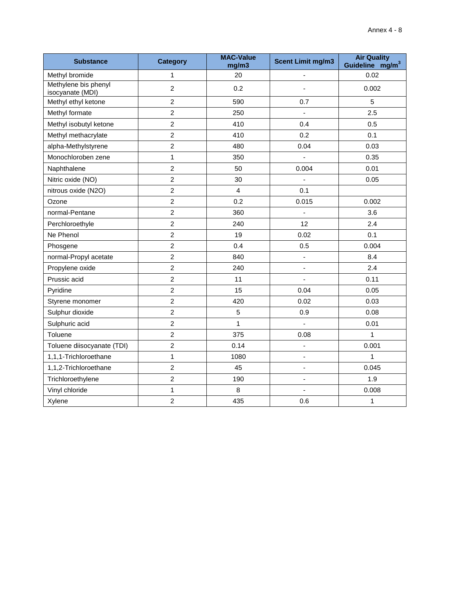| <b>Substance</b>                         | <b>Category</b>  | <b>MAC-Value</b><br>mg/m3 | <b>Scent Limit mg/m3</b>     | <b>Air Quality</b><br>Guideline mg/m <sup>3</sup> |
|------------------------------------------|------------------|---------------------------|------------------------------|---------------------------------------------------|
| Methyl bromide                           | $\mathbf{1}$     | 20                        |                              | 0.02                                              |
| Methylene bis phenyl<br>isocyanate (MDI) | $\overline{c}$   | 0.2                       |                              | 0.002                                             |
| Methyl ethyl ketone                      | $\overline{2}$   | 590                       | 0.7                          | 5                                                 |
| Methyl formate                           | $\overline{c}$   | 250                       |                              | 2.5                                               |
| Methyl isobutyl ketone                   | $\overline{c}$   | 410                       | 0.4                          | 0.5                                               |
| Methyl methacrylate                      | $\overline{c}$   | 410                       | 0.2                          | 0.1                                               |
| alpha-Methylstyrene                      | $\overline{c}$   | 480                       | 0.04                         | 0.03                                              |
| Monochloroben zene                       | $\mathbf{1}$     | 350                       |                              | 0.35                                              |
| Naphthalene                              | $\overline{2}$   | 50                        | 0.004                        | 0.01                                              |
| Nitric oxide (NO)                        | $\overline{c}$   | 30                        |                              | 0.05                                              |
| nitrous oxide (N2O)                      | $\overline{c}$   | 4                         | 0.1                          |                                                   |
| Ozone                                    | $\boldsymbol{2}$ | 0.2                       | 0.015                        | 0.002                                             |
| normal-Pentane                           | $\overline{c}$   | 360                       |                              | 3.6                                               |
| Perchloroethyle                          | $\overline{c}$   | 240                       | 12                           | 2.4                                               |
| Ne Phenol                                | $\overline{2}$   | 19                        | 0.02                         | 0.1                                               |
| Phosgene                                 | $\overline{c}$   | 0.4                       | 0.5                          | 0.004                                             |
| normal-Propyl acetate                    | $\overline{c}$   | 840                       | -                            | 8.4                                               |
| Propylene oxide                          | $\overline{c}$   | 240                       | $\qquad \qquad \blacksquare$ | 2.4                                               |
| Prussic acid                             | $\overline{c}$   | 11                        |                              | 0.11                                              |
| Pyridine                                 | $\boldsymbol{2}$ | 15                        | 0.04                         | 0.05                                              |
| Styrene monomer                          | $\overline{2}$   | 420                       | 0.02                         | 0.03                                              |
| Sulphur dioxide                          | $\overline{a}$   | 5                         | 0.9                          | 0.08                                              |
| Sulphuric acid                           | $\overline{2}$   | $\mathbf{1}$              |                              | 0.01                                              |
| Toluene                                  | $\boldsymbol{2}$ | 375                       | 0.08                         | $\mathbf{1}$                                      |
| Toluene diisocyanate (TDI)               | $\overline{c}$   | 0.14                      | ä,                           | 0.001                                             |
| 1,1,1-Trichloroethane                    | $\mathbf{1}$     | 1080                      | $\qquad \qquad \blacksquare$ | 1                                                 |
| 1,1,2-Trichloroethane                    | $\boldsymbol{2}$ | 45                        |                              | 0.045                                             |
| Trichloroethylene                        | $\overline{c}$   | 190                       |                              | 1.9                                               |
| Vinyl chloride                           | $\mathbf{1}$     | 8                         |                              | 0.008                                             |
| Xylene                                   | $\boldsymbol{2}$ | 435                       | 0.6                          | $\mathbf 1$                                       |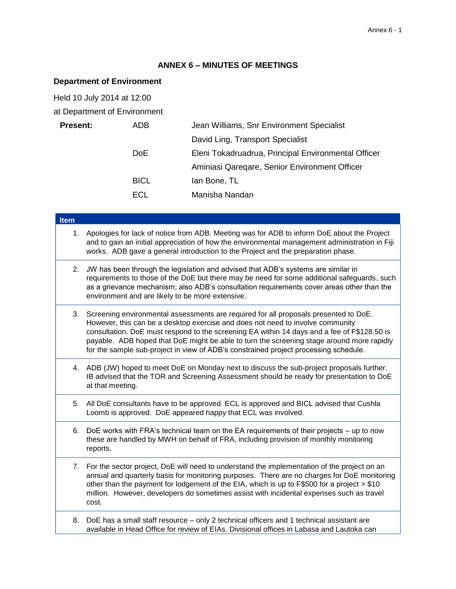# **ANNEX 6 – MINUTES OF MEETINGS**

# **Department of Environment**

Held 10 July 2014 at 12:00

at Department of Environment

| <b>Present:</b> | ADB.        | Jean Williams, Snr Environment Specialist           |
|-----------------|-------------|-----------------------------------------------------|
|                 |             | David Ling, Transport Specialist                    |
|                 | DoE         | Eleni Tokadruadrua, Principal Environmental Officer |
|                 |             | Aminiasi Qaregare, Senior Environment Officer       |
|                 | <b>BICL</b> | lan Bone, TL                                        |
|                 | ECL         | Manisha Nandan                                      |

| <b>Item</b> |                                                                                                                                                                                                                                                                                                                                                                                                                                                               |
|-------------|---------------------------------------------------------------------------------------------------------------------------------------------------------------------------------------------------------------------------------------------------------------------------------------------------------------------------------------------------------------------------------------------------------------------------------------------------------------|
| 1.          | Apologies for lack of notice from ADB. Meeting was for ADB to inform DoE about the Project<br>and to gain an initial appreciation of how the environmental management administration in Fiji<br>works. ADB gave a general introduction to the Project and the preparation phase.                                                                                                                                                                              |
| 2.          | JW has been through the legislation and advised that ADB's systems are similar in<br>requirements to those of the DoE but there may be need for some additional safeguards, such<br>as a grievance mechanism; also ADB's consultation requirements cover areas other than the<br>environment and are likely to be more extensive.                                                                                                                             |
|             | 3. Screening environmental assessments are required for all proposals presented to DoE.<br>However, this can be a desktop exercise and does not need to involve community<br>consultation. DoE must respond to the screening EA within 14 days and a fee of F\$128.50 is<br>payable. ADB hoped that DoE might be able to turn the screening stage around more rapidly<br>for the sample sub-project in view of ADB's constrained project processing schedule. |
|             | 4. ADB (JW) hoped to meet DoE on Monday next to discuss the sub-project proposals further.<br>IB advised that the TOR and Screening Assessment should be ready for presentation to DoE<br>at that meeting.                                                                                                                                                                                                                                                    |
|             | 5. All DoE consultants have to be approved. ECL is approved and BICL advised that Cushla<br>Loomb is approved. DoE appeared happy that ECL was involved.                                                                                                                                                                                                                                                                                                      |
| 6.          | DoE works with FRA's technical team on the EA requirements of their projects – up to now<br>these are handled by MWH on behalf of FRA, including provision of monthly monitoring<br>reports.                                                                                                                                                                                                                                                                  |
| 7.          | For the sector project, DoE will need to understand the implementation of the project on an<br>annual and quarterly basis for monitoring purposes. There are no charges for DoE monitoring<br>other than the payment for lodgement of the EIA, which is up to F\$500 for a project > \$10<br>million. However, developers do sometimes assist with incidental expenses such as travel<br>cost.                                                                |
| 8.          | DoE has a small staff resource - only 2 technical officers and 1 technical assistant are<br>available in Head Office for review of EIAs. Divisional offices in Labasa and Lautoka can                                                                                                                                                                                                                                                                         |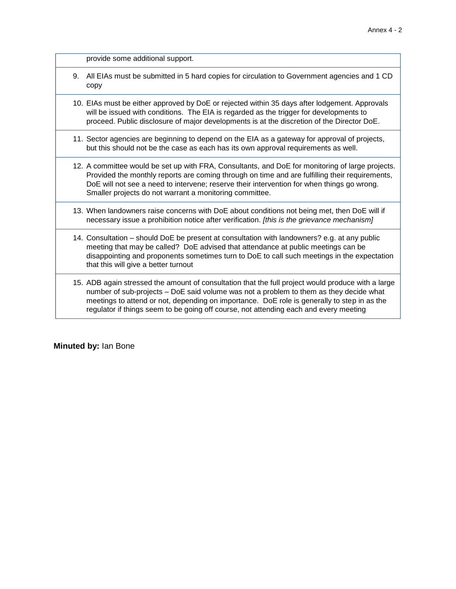provide some additional support.

- 9. All EIAs must be submitted in 5 hard copies for circulation to Government agencies and 1 CD copy
- 10. EIAs must be either approved by DoE or rejected within 35 days after lodgement. Approvals will be issued with conditions. The EIA is regarded as the trigger for developments to proceed. Public disclosure of major developments is at the discretion of the Director DoE.
- 11. Sector agencies are beginning to depend on the EIA as a gateway for approval of projects, but this should not be the case as each has its own approval requirements as well.
- 12. A committee would be set up with FRA, Consultants, and DoE for monitoring of large projects. Provided the monthly reports are coming through on time and are fulfilling their requirements, DoE will not see a need to intervene; reserve their intervention for when things go wrong. Smaller projects do not warrant a monitoring committee.
- 13. When landowners raise concerns with DoE about conditions not being met, then DoE will if necessary issue a prohibition notice after verification. *[this is the grievance mechanism]*
- 14. Consultation should DoE be present at consultation with landowners? e.g. at any public meeting that may be called? DoE advised that attendance at public meetings can be disappointing and proponents sometimes turn to DoE to call such meetings in the expectation that this will give a better turnout
- 15. ADB again stressed the amount of consultation that the full project would produce with a large number of sub-projects – DoE said volume was not a problem to them as they decide what meetings to attend or not, depending on importance. DoE role is generally to step in as the regulator if things seem to be going off course, not attending each and every meeting

**Minuted by:** Ian Bone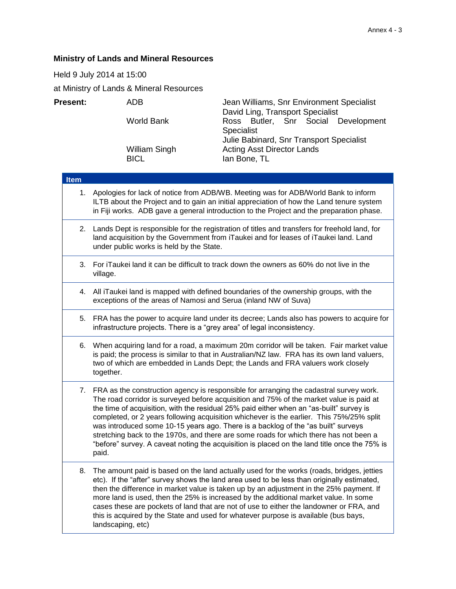## **Ministry of Lands and Mineral Resources**

Held 9 July 2014 at 15:00

at Ministry of Lands & Mineral Resources

BICL and Bone, TL

**Present:** ADB ADB Jean Williams, Snr Environment Specialist David Ling, Transport Specialist World Bank **Ross** Butler, Snr Social Development Specialist Julie Babinard, Snr Transport Specialist William Singh **Acting Asst Director Lands** 

#### **Item**

- 1. Apologies for lack of notice from ADB/WB. Meeting was for ADB/World Bank to inform ILTB about the Project and to gain an initial appreciation of how the Land tenure system in Fiji works. ADB gave a general introduction to the Project and the preparation phase.
- 2. Lands Dept is responsible for the registration of titles and transfers for freehold land, for land acquisition by the Government from iTaukei and for leases of iTaukei land. Land under public works is held by the State.
- 3. For iTaukei land it can be difficult to track down the owners as 60% do not live in the village.
- 4. All iTaukei land is mapped with defined boundaries of the ownership groups, with the exceptions of the areas of Namosi and Serua (inland NW of Suva)
- 5. FRA has the power to acquire land under its decree; Lands also has powers to acquire for infrastructure projects. There is a "grey area" of legal inconsistency.
- 6. When acquiring land for a road, a maximum 20m corridor will be taken. Fair market value is paid; the process is similar to that in Australian/NZ law. FRA has its own land valuers, two of which are embedded in Lands Dept; the Lands and FRA valuers work closely together.
- 7. FRA as the construction agency is responsible for arranging the cadastral survey work. The road corridor is surveyed before acquisition and 75% of the market value is paid at the time of acquisition, with the residual 25% paid either when an "as-built" survey is completed, or 2 years following acquisition whichever is the earlier. This 75%/25% split was introduced some 10-15 years ago. There is a backlog of the "as built" surveys stretching back to the 1970s, and there are some roads for which there has not been a "before" survey. A caveat noting the acquisition is placed on the land title once the 75% is paid.
- 8. The amount paid is based on the land actually used for the works (roads, bridges, jetties etc). If the "after" survey shows the land area used to be less than originally estimated, then the difference in market value is taken up by an adjustment in the 25% payment. If more land is used, then the 25% is increased by the additional market value. In some cases these are pockets of land that are not of use to either the landowner or FRA, and this is acquired by the State and used for whatever purpose is available (bus bays, landscaping, etc)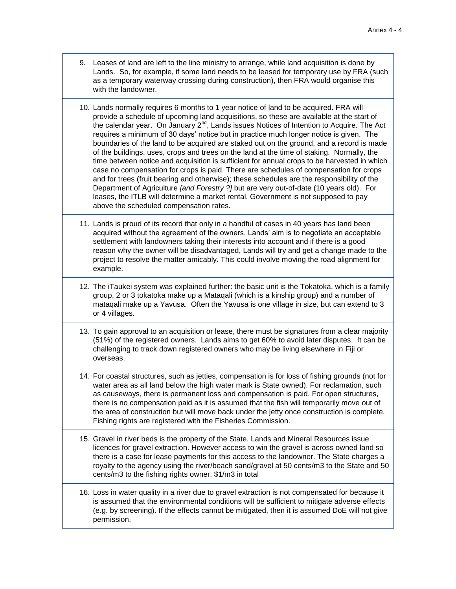- 9. Leases of land are left to the line ministry to arrange, while land acquisition is done by Lands. So, for example, if some land needs to be leased for temporary use by FRA (such as a temporary waterway crossing during construction), then FRA would organise this with the landowner.
- 10. Lands normally requires 6 months to 1 year notice of land to be acquired. FRA will provide a schedule of upcoming land acquisitions, so these are available at the start of the calendar year. On January  $2^{nd}$ , Lands issues Notices of Intention to Acquire. The Act requires a minimum of 30 days' notice but in practice much longer notice is given. The boundaries of the land to be acquired are staked out on the ground, and a record is made of the buildings, uses, crops and trees on the land at the time of staking. Normally, the time between notice and acquisition is sufficient for annual crops to be harvested in which case no compensation for crops is paid. There are schedules of compensation for crops and for trees (fruit bearing and otherwise); these schedules are the responsibility of the Department of Agriculture *[and Forestry ?]* but are very out-of-date (10 years old). For leases, the ITLB will determine a market rental. Government is not supposed to pay above the scheduled compensation rates.
- 11. Lands is proud of its record that only in a handful of cases in 40 years has land been acquired without the agreement of the owners. Lands' aim is to negotiate an acceptable settlement with landowners taking their interests into account and if there is a good reason why the owner will be disadvantaged, Lands will try and get a change made to the project to resolve the matter amicably. This could involve moving the road alignment for example.
- 12. The iTaukei system was explained further: the basic unit is the Tokatoka, which is a family group, 2 or 3 tokatoka make up a Mataqali (which is a kinship group) and a number of mataqali make up a Yavusa. Often the Yavusa is one village in size, but can extend to 3 or 4 villages.
- 13. To gain approval to an acquisition or lease, there must be signatures from a clear majority (51%) of the registered owners. Lands aims to get 60% to avoid later disputes. It can be challenging to track down registered owners who may be living elsewhere in Fiji or overseas.
- 14. For coastal structures, such as jetties, compensation is for loss of fishing grounds (not for water area as all land below the high water mark is State owned). For reclamation, such as causeways, there is permanent loss and compensation is paid. For open structures, there is no compensation paid as it is assumed that the fish will temporarily move out of the area of construction but will move back under the jetty once construction is complete. Fishing rights are registered with the Fisheries Commission.
- 15. Gravel in river beds is the property of the State. Lands and Mineral Resources issue licences for gravel extraction. However access to win the gravel is across owned land so there is a case for lease payments for this access to the landowner. The State charges a royalty to the agency using the river/beach sand/gravel at 50 cents/m3 to the State and 50 cents/m3 to the fishing rights owner, \$1/m3 in total
- 16. Loss in water quality in a river due to gravel extraction is not compensated for because it is assumed that the environmental conditions will be sufficient to mitigate adverse effects (e.g. by screening). If the effects cannot be mitigated, then it is assumed DoE will not give permission.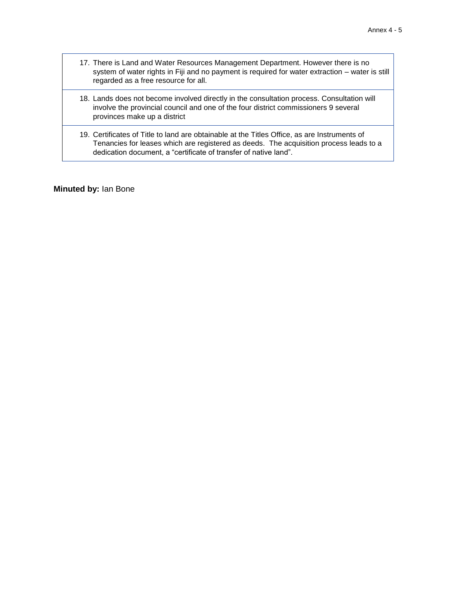- 17. There is Land and Water Resources Management Department. However there is no system of water rights in Fiji and no payment is required for water extraction – water is still regarded as a free resource for all.
- 18. Lands does not become involved directly in the consultation process. Consultation will involve the provincial council and one of the four district commissioners 9 several provinces make up a district
- 19. Certificates of Title to land are obtainable at the Titles Office, as are Instruments of Tenancies for leases which are registered as deeds. The acquisition process leads to a dedication document, a "certificate of transfer of native land".

**Minuted by:** Ian Bone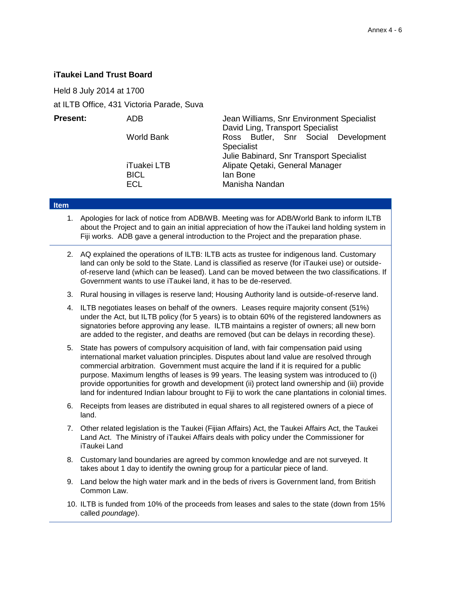## **iTaukei Land Trust Board**

Held 8 July 2014 at 1700 at ILTB Office, 431 Victoria Parade, Suva

BICL Ian Bone

**Present:** ADB ADB Jean Williams, Snr Environment Specialist David Ling, Transport Specialist World Bank **Ross** Butler, Snr Social Development **Specialist** Julie Babinard, Snr Transport Specialist iTuakei LTB Alipate Qetaki, General Manager ECL Manisha Nandan

#### **Item**

- 1. Apologies for lack of notice from ADB/WB. Meeting was for ADB/World Bank to inform ILTB about the Project and to gain an initial appreciation of how the iTaukei land holding system in Fiji works. ADB gave a general introduction to the Project and the preparation phase.
- 2. AQ explained the operations of ILTB: ILTB acts as trustee for indigenous land. Customary land can only be sold to the State. Land is classified as reserve (for iTaukei use) or outsideof-reserve land (which can be leased). Land can be moved between the two classifications. If Government wants to use iTaukei land, it has to be de-reserved.
- 3. Rural housing in villages is reserve land; Housing Authority land is outside-of-reserve land.
- 4. ILTB negotiates leases on behalf of the owners. Leases require majority consent (51%) under the Act, but ILTB policy (for 5 years) is to obtain 60% of the registered landowners as signatories before approving any lease. ILTB maintains a register of owners; all new born are added to the register, and deaths are removed (but can be delays in recording these).
- 5. State has powers of compulsory acquisition of land, with fair compensation paid using international market valuation principles. Disputes about land value are resolved through commercial arbitration. Government must acquire the land if it is required for a public purpose. Maximum lengths of leases is 99 years. The leasing system was introduced to (i) provide opportunities for growth and development (ii) protect land ownership and (iii) provide land for indentured Indian labour brought to Fiji to work the cane plantations in colonial times.
- 6. Receipts from leases are distributed in equal shares to all registered owners of a piece of land.
- 7. Other related legislation is the Taukei (Fijian Affairs) Act, the Taukei Affairs Act, the Taukei Land Act. The Ministry of iTaukei Affairs deals with policy under the Commissioner for iTaukei Land
- 8. Customary land boundaries are agreed by common knowledge and are not surveyed. It takes about 1 day to identify the owning group for a particular piece of land.
- 9. Land below the high water mark and in the beds of rivers is Government land, from British Common Law.
- 10. ILTB is funded from 10% of the proceeds from leases and sales to the state (down from 15% called *poundage*).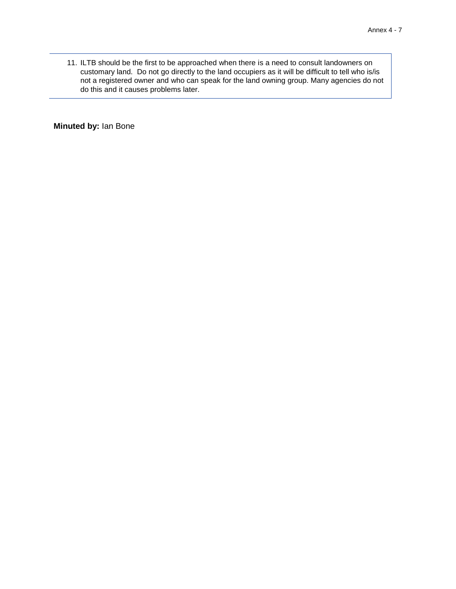11. ILTB should be the first to be approached when there is a need to consult landowners on customary land. Do not go directly to the land occupiers as it will be difficult to tell who is/is not a registered owner and who can speak for the land owning group. Many agencies do not do this and it causes problems later.

**Minuted by:** Ian Bone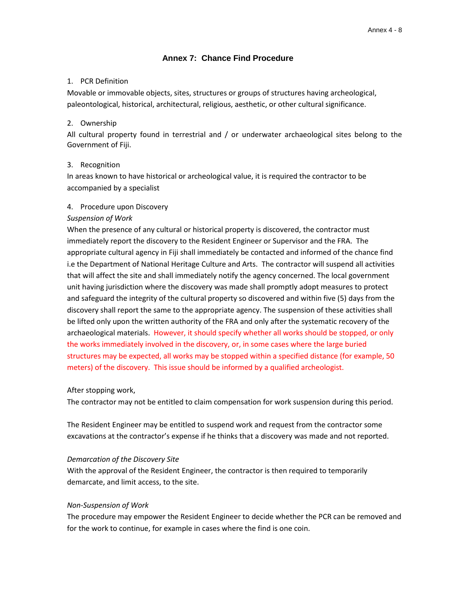# **Annex 7: Chance Find Procedure**

# 1. PCR Definition

Movable or immovable objects, sites, structures or groups of structures having archeological, paleontological, historical, architectural, religious, aesthetic, or other cultural significance.

## 2. Ownership

All cultural property found in terrestrial and / or underwater archaeological sites belong to the Government of Fiji.

## 3. Recognition

In areas known to have historical or archeological value, it is required the contractor to be accompanied by a specialist

## 4. Procedure upon Discovery

## *Suspension of Work*

When the presence of any cultural or historical property is discovered, the contractor must immediately report the discovery to the Resident Engineer or Supervisor and the FRA. The appropriate cultural agency in Fiji shall immediately be contacted and informed of the chance find i.e the Department of National Heritage Culture and Arts. The contractor will suspend all activities that will affect the site and shall immediately notify the agency concerned. The local government unit having jurisdiction where the discovery was made shall promptly adopt measures to protect and safeguard the integrity of the cultural property so discovered and within five (5) days from the discovery shall report the same to the appropriate agency. The suspension of these activities shall be lifted only upon the written authority of the FRA and only after the systematic recovery of the archaeological materials. However, it should specify whether all works should be stopped, or only the works immediately involved in the discovery, or, in some cases where the large buried structures may be expected, all works may be stopped within a specified distance (for example, 50 meters) of the discovery. This issue should be informed by a qualified archeologist.

# After stopping work,

The contractor may not be entitled to claim compensation for work suspension during this period.

The Resident Engineer may be entitled to suspend work and request from the contractor some excavations at the contractor's expense if he thinks that a discovery was made and not reported.

#### *Demarcation of the Discovery Site*

With the approval of the Resident Engineer, the contractor is then required to temporarily demarcate, and limit access, to the site.

#### *Non-Suspension of Work*

The procedure may empower the Resident Engineer to decide whether the PCR can be removed and for the work to continue, for example in cases where the find is one coin.